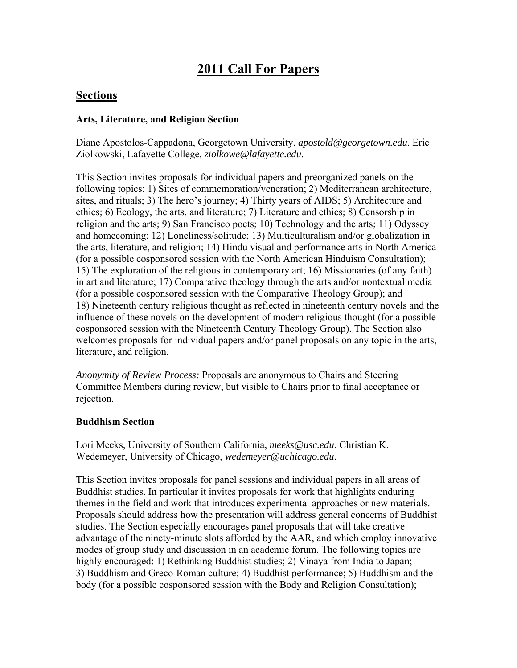# **2011 Call For Papers**

# **Sections**

### **Arts, Literature, and Religion Section**

Diane Apostolos-Cappadona, Georgetown University, *apostold@georgetown.edu*. Eric Ziolkowski, Lafayette College, *ziolkowe@lafayette.edu*.

This Section invites proposals for individual papers and preorganized panels on the following topics: 1) Sites of commemoration/veneration; 2) Mediterranean architecture, sites, and rituals; 3) The hero's journey; 4) Thirty years of AIDS; 5) Architecture and ethics; 6) Ecology, the arts, and literature; 7) Literature and ethics; 8) Censorship in religion and the arts; 9) San Francisco poets; 10) Technology and the arts; 11) Odyssey and homecoming; 12) Loneliness/solitude; 13) Multiculturalism and/or globalization in the arts, literature, and religion; 14) Hindu visual and performance arts in North America (for a possible cosponsored session with the North American Hinduism Consultation); 15) The exploration of the religious in contemporary art; 16) Missionaries (of any faith) in art and literature; 17) Comparative theology through the arts and/or nontextual media (for a possible cosponsored session with the Comparative Theology Group); and 18) Nineteenth century religious thought as reflected in nineteenth century novels and the influence of these novels on the development of modern religious thought (for a possible cosponsored session with the Nineteenth Century Theology Group). The Section also welcomes proposals for individual papers and/or panel proposals on any topic in the arts, literature, and religion.

*Anonymity of Review Process:* Proposals are anonymous to Chairs and Steering Committee Members during review, but visible to Chairs prior to final acceptance or rejection.

#### **Buddhism Section**

Lori Meeks, University of Southern California, *meeks@usc.edu*. Christian K. Wedemeyer, University of Chicago, *wedemeyer@uchicago.edu*.

This Section invites proposals for panel sessions and individual papers in all areas of Buddhist studies. In particular it invites proposals for work that highlights enduring themes in the field and work that introduces experimental approaches or new materials. Proposals should address how the presentation will address general concerns of Buddhist studies. The Section especially encourages panel proposals that will take creative advantage of the ninety-minute slots afforded by the AAR, and which employ innovative modes of group study and discussion in an academic forum. The following topics are highly encouraged: 1) Rethinking Buddhist studies; 2) Vinaya from India to Japan; 3) Buddhism and Greco-Roman culture; 4) Buddhist performance; 5) Buddhism and the body (for a possible cosponsored session with the Body and Religion Consultation);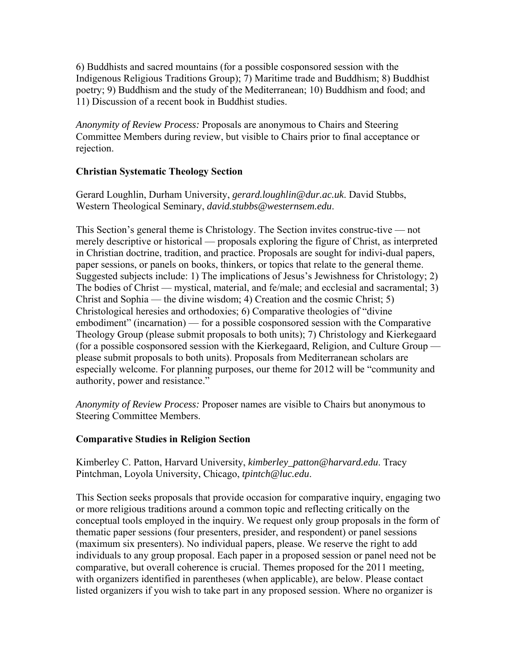6) Buddhists and sacred mountains (for a possible cosponsored session with the Indigenous Religious Traditions Group); 7) Maritime trade and Buddhism; 8) Buddhist poetry; 9) Buddhism and the study of the Mediterranean; 10) Buddhism and food; and 11) Discussion of a recent book in Buddhist studies.

*Anonymity of Review Process:* Proposals are anonymous to Chairs and Steering Committee Members during review, but visible to Chairs prior to final acceptance or rejection.

# **Christian Systematic Theology Section**

Gerard Loughlin, Durham University, *gerard.loughlin@dur.ac.uk*. David Stubbs, Western Theological Seminary, *david.stubbs@westernsem.edu*.

This Section's general theme is Christology. The Section invites construc-tive — not merely descriptive or historical — proposals exploring the figure of Christ, as interpreted in Christian doctrine, tradition, and practice. Proposals are sought for indivi-dual papers, paper sessions, or panels on books, thinkers, or topics that relate to the general theme. Suggested subjects include: 1) The implications of Jesus's Jewishness for Christology; 2) The bodies of Christ — mystical, material, and fe/male; and ecclesial and sacramental; 3) Christ and Sophia — the divine wisdom; 4) Creation and the cosmic Christ; 5) Christological heresies and orthodoxies; 6) Comparative theologies of "divine embodiment" (incarnation) — for a possible cosponsored session with the Comparative Theology Group (please submit proposals to both units); 7) Christology and Kierkegaard (for a possible cosponsored session with the Kierkegaard, Religion, and Culture Group please submit proposals to both units). Proposals from Mediterranean scholars are especially welcome. For planning purposes, our theme for 2012 will be "community and authority, power and resistance."

*Anonymity of Review Process:* Proposer names are visible to Chairs but anonymous to Steering Committee Members.

# **Comparative Studies in Religion Section**

Kimberley C. Patton, Harvard University, *kimberley\_patton@harvard.edu*. Tracy Pintchman, Loyola University, Chicago, *tpintch@luc.edu*.

This Section seeks proposals that provide occasion for comparative inquiry, engaging two or more religious traditions around a common topic and reflecting critically on the conceptual tools employed in the inquiry. We request only group proposals in the form of thematic paper sessions (four presenters, presider, and respondent) or panel sessions (maximum six presenters). No individual papers, please. We reserve the right to add individuals to any group proposal. Each paper in a proposed session or panel need not be comparative, but overall coherence is crucial. Themes proposed for the 2011 meeting, with organizers identified in parentheses (when applicable), are below. Please contact listed organizers if you wish to take part in any proposed session. Where no organizer is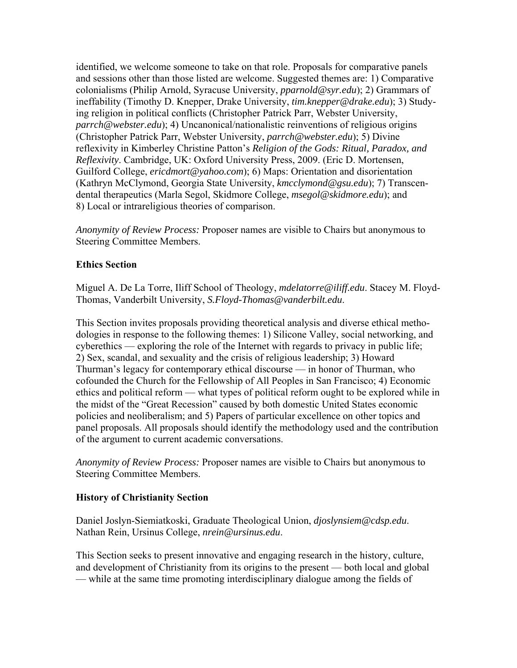identified, we welcome someone to take on that role. Proposals for comparative panels and sessions other than those listed are welcome. Suggested themes are: 1) Comparative colonialisms (Philip Arnold, Syracuse University, *pparnold@syr.edu*); 2) Grammars of ineffability (Timothy D. Knepper, Drake University, *tim.knepper@drake.edu*); 3) Studying religion in political conflicts (Christopher Patrick Parr, Webster University, *parrch@webster.edu*); 4) Uncanonical/nationalistic reinventions of religious origins (Christopher Patrick Parr, Webster University, *parrch@webster.edu*); 5) Divine reflexivity in Kimberley Christine Patton's *Religion of the Gods: Ritual, Paradox, and Reflexivity*. Cambridge, UK: Oxford University Press, 2009. (Eric D. Mortensen, Guilford College, *ericdmort@yahoo.com*); 6) Maps: Orientation and disorientation (Kathryn McClymond, Georgia State University, *kmcclymond@gsu.edu*); 7) Transcendental therapeutics (Marla Segol, Skidmore College, *msegol@skidmore.edu*); and 8) Local or intrareligious theories of comparison.

*Anonymity of Review Process:* Proposer names are visible to Chairs but anonymous to Steering Committee Members.

### **Ethics Section**

Miguel A. De La Torre, Iliff School of Theology, *mdelatorre@iliff.edu*. Stacey M. Floyd-Thomas, Vanderbilt University, *S.Floyd-Thomas@vanderbilt.edu*.

This Section invites proposals providing theoretical analysis and diverse ethical methodologies in response to the following themes: 1) Silicone Valley, social networking, and cyberethics — exploring the role of the Internet with regards to privacy in public life; 2) Sex, scandal, and sexuality and the crisis of religious leadership; 3) Howard Thurman's legacy for contemporary ethical discourse — in honor of Thurman, who cofounded the Church for the Fellowship of All Peoples in San Francisco; 4) Economic ethics and political reform — what types of political reform ought to be explored while in the midst of the "Great Recession" caused by both domestic United States economic policies and neoliberalism; and 5) Papers of particular excellence on other topics and panel proposals. All proposals should identify the methodology used and the contribution of the argument to current academic conversations.

*Anonymity of Review Process:* Proposer names are visible to Chairs but anonymous to Steering Committee Members.

#### **History of Christianity Section**

Daniel Joslyn-Siemiatkoski, Graduate Theological Union, *djoslynsiem@cdsp.edu*. Nathan Rein, Ursinus College, *nrein@ursinus.edu*.

This Section seeks to present innovative and engaging research in the history, culture, and development of Christianity from its origins to the present — both local and global — while at the same time promoting interdisciplinary dialogue among the fields of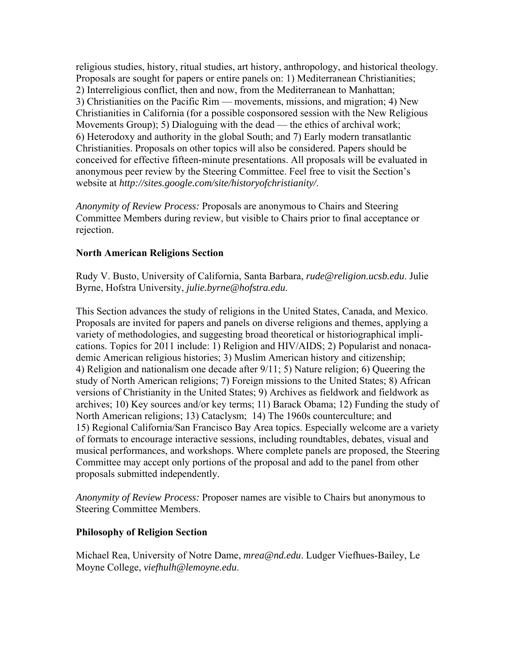religious studies, history, ritual studies, art history, anthropology, and historical theology. Proposals are sought for papers or entire panels on: 1) Mediterranean Christianities; 2) Interreligious conflict, then and now, from the Mediterranean to Manhattan; 3) Christianities on the Pacific Rim — movements, missions, and migration; 4) New Christianities in California (for a possible cosponsored session with the New Religious Movements Group); 5) Dialoguing with the dead — the ethics of archival work; 6) Heterodoxy and authority in the global South; and 7) Early modern transatlantic Christianities. Proposals on other topics will also be considered. Papers should be conceived for effective fifteen-minute presentations. All proposals will be evaluated in anonymous peer review by the Steering Committee. Feel free to visit the Section's website at *http://sites.google.com/site/historyofchristianity/*.

*Anonymity of Review Process:* Proposals are anonymous to Chairs and Steering Committee Members during review, but visible to Chairs prior to final acceptance or rejection.

#### **North American Religions Section**

Rudy V. Busto, University of California, Santa Barbara, *rude@religion.ucsb.edu*. Julie Byrne, Hofstra University, *julie.byrne@hofstra.edu*.

This Section advances the study of religions in the United States, Canada, and Mexico. Proposals are invited for papers and panels on diverse religions and themes, applying a variety of methodologies, and suggesting broad theoretical or historiographical implications. Topics for 2011 include: 1) Religion and HIV/AIDS; 2) Popularist and nonacademic American religious histories; 3) Muslim American history and citizenship; 4) Religion and nationalism one decade after 9/11; 5) Nature religion; 6) Queering the study of North American religions; 7) Foreign missions to the United States; 8) African versions of Christianity in the United States; 9) Archives as fieldwork and fieldwork as archives; 10) Key sources and/or key terms; 11) Barack Obama; 12) Funding the study of North American religions; 13) Cataclysm; 14) The 1960s counterculture; and 15) Regional California/San Francisco Bay Area topics. Especially welcome are a variety of formats to encourage interactive sessions, including roundtables, debates, visual and musical performances, and workshops. Where complete panels are proposed, the Steering Committee may accept only portions of the proposal and add to the panel from other proposals submitted independently.

*Anonymity of Review Process:* Proposer names are visible to Chairs but anonymous to Steering Committee Members.

#### **Philosophy of Religion Section**

Michael Rea, University of Notre Dame, *mrea@nd.edu*. Ludger Viefhues-Bailey, Le Moyne College, *viefhulh@lemoyne.edu*.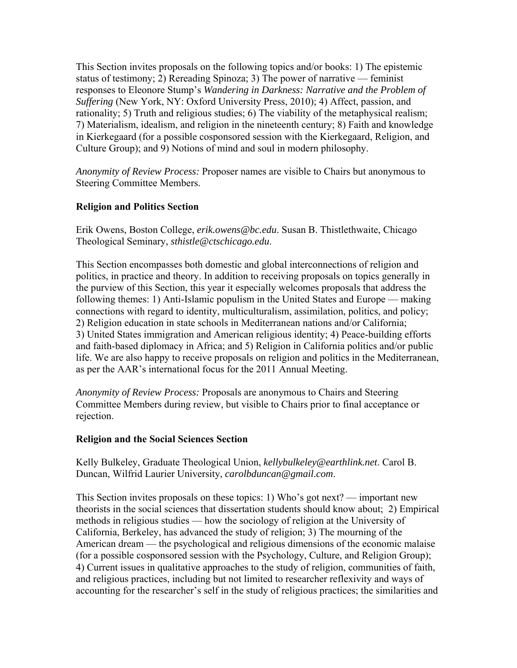This Section invites proposals on the following topics and/or books: 1) The epistemic status of testimony; 2) Rereading Spinoza; 3) The power of narrative — feminist responses to Eleonore Stump's *Wandering in Darkness: Narrative and the Problem of Suffering* (New York, NY: Oxford University Press, 2010); 4) Affect, passion, and rationality; 5) Truth and religious studies; 6) The viability of the metaphysical realism; 7) Materialism, idealism, and religion in the nineteenth century; 8) Faith and knowledge in Kierkegaard (for a possible cosponsored session with the Kierkegaard, Religion, and Culture Group); and 9) Notions of mind and soul in modern philosophy.

*Anonymity of Review Process:* Proposer names are visible to Chairs but anonymous to Steering Committee Members.

### **Religion and Politics Section**

Erik Owens, Boston College, *erik.owens@bc.edu*. Susan B. Thistlethwaite, Chicago Theological Seminary, *sthistle@ctschicago.edu*.

This Section encompasses both domestic and global interconnections of religion and politics, in practice and theory. In addition to receiving proposals on topics generally in the purview of this Section, this year it especially welcomes proposals that address the following themes: 1) Anti-Islamic populism in the United States and Europe — making connections with regard to identity, multiculturalism, assimilation, politics, and policy; 2) Religion education in state schools in Mediterranean nations and/or California; 3) United States immigration and American religious identity; 4) Peace-building efforts and faith-based diplomacy in Africa; and 5) Religion in California politics and/or public life. We are also happy to receive proposals on religion and politics in the Mediterranean, as per the AAR's international focus for the 2011 Annual Meeting.

*Anonymity of Review Process:* Proposals are anonymous to Chairs and Steering Committee Members during review, but visible to Chairs prior to final acceptance or rejection.

#### **Religion and the Social Sciences Section**

Kelly Bulkeley, Graduate Theological Union, *kellybulkeley@earthlink.net*. Carol B. Duncan, Wilfrid Laurier University, *carolbduncan@gmail.com*.

This Section invites proposals on these topics: 1) Who's got next? — important new theorists in the social sciences that dissertation students should know about; 2) Empirical methods in religious studies — how the sociology of religion at the University of California, Berkeley, has advanced the study of religion; 3) The mourning of the American dream — the psychological and religious dimensions of the economic malaise (for a possible cosponsored session with the Psychology, Culture, and Religion Group); 4) Current issues in qualitative approaches to the study of religion, communities of faith, and religious practices, including but not limited to researcher reflexivity and ways of accounting for the researcher's self in the study of religious practices; the similarities and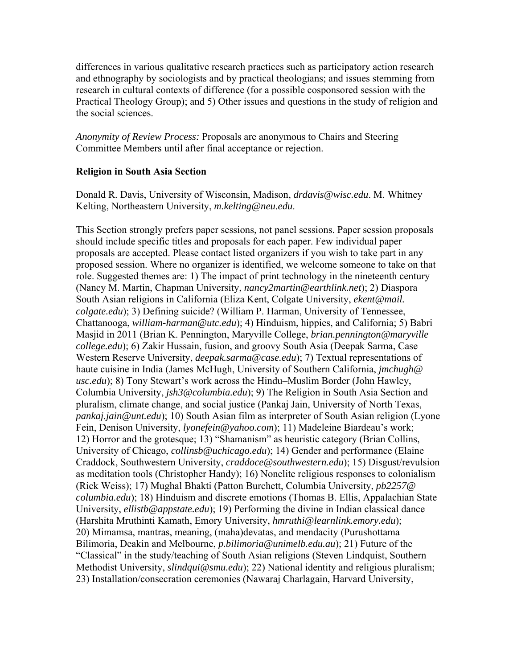differences in various qualitative research practices such as participatory action research and ethnography by sociologists and by practical theologians; and issues stemming from research in cultural contexts of difference (for a possible cosponsored session with the Practical Theology Group); and 5) Other issues and questions in the study of religion and the social sciences.

*Anonymity of Review Process:* Proposals are anonymous to Chairs and Steering Committee Members until after final acceptance or rejection.

#### **Religion in South Asia Section**

Donald R. Davis, University of Wisconsin, Madison, *drdavis@wisc.edu*. M. Whitney Kelting, Northeastern University, *m.kelting@neu.edu*.

This Section strongly prefers paper sessions, not panel sessions. Paper session proposals should include specific titles and proposals for each paper. Few individual paper proposals are accepted. Please contact listed organizers if you wish to take part in any proposed session. Where no organizer is identified, we welcome someone to take on that role. Suggested themes are: 1) The impact of print technology in the nineteenth century (Nancy M. Martin, Chapman University, *nancy2martin@earthlink.net*); 2) Diaspora South Asian religions in California (Eliza Kent, Colgate University, *ekent@mail. colgate.edu*); 3) Defining suicide? (William P. Harman, University of Tennessee, Chattanooga, *william-harman@utc.edu*); 4) Hinduism, hippies, and California; 5) Babri Masjid in 2011 (Brian K. Pennington, Maryville College, *brian.pennington@maryville college.edu*); 6) Zakir Hussain, fusion, and groovy South Asia (Deepak Sarma, Case Western Reserve University, *deepak.sarma@case.edu*); 7) Textual representations of haute cuisine in India (James McHugh, University of Southern California, *jmchugh@ usc.edu*); 8) Tony Stewart's work across the Hindu–Muslim Border (John Hawley, Columbia University, *jsh3@columbia.edu*); 9) The Religion in South Asia Section and pluralism, climate change, and social justice (Pankaj Jain, University of North Texas, *pankaj.jain@unt.edu*); 10) South Asian film as interpreter of South Asian religion (Lyone Fein, Denison University, *lyonefein@yahoo.com*); 11) Madeleine Biardeau's work; 12) Horror and the grotesque; 13) "Shamanism" as heuristic category (Brian Collins, University of Chicago, *collinsb@uchicago.edu*); 14) Gender and performance (Elaine Craddock, Southwestern University, *craddoce@southwestern.edu*); 15) Disgust/revulsion as meditation tools (Christopher Handy); 16) Nonelite religious responses to colonialism (Rick Weiss); 17) Mughal Bhakti (Patton Burchett, Columbia University, *pb2257@ columbia.edu*); 18) Hinduism and discrete emotions (Thomas B. Ellis, Appalachian State University, *ellistb@appstate.edu*); 19) Performing the divine in Indian classical dance (Harshita Mruthinti Kamath, Emory University, *hmruthi@learnlink.emory.edu*); 20) Mimamsa, mantras, meaning, (maha)devatas, and mendacity (Purushottama Bilimoria, Deakin and Melbourne, *p.bilimoria@unimelb.edu.au*); 21) Future of the "Classical" in the study/teaching of South Asian religions (Steven Lindquist, Southern Methodist University, *slindqui@smu.edu*); 22) National identity and religious pluralism; 23) Installation/consecration ceremonies (Nawaraj Charlagain, Harvard University,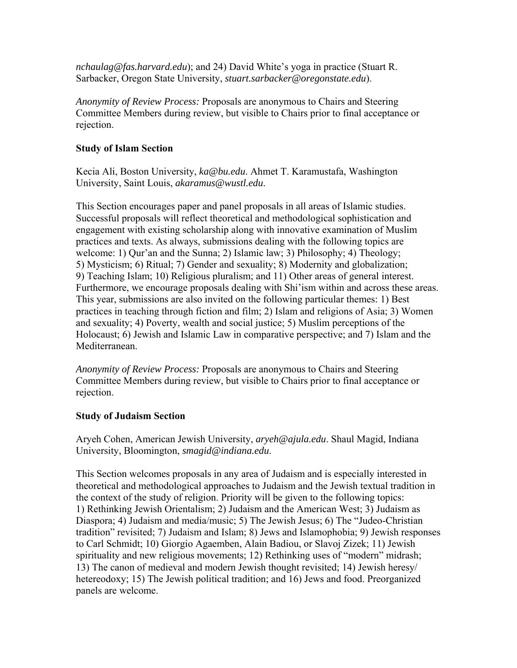*nchaulag@fas.harvard.edu*); and 24) David White's yoga in practice (Stuart R. Sarbacker, Oregon State University, *stuart.sarbacker@oregonstate.edu*).

*Anonymity of Review Process:* Proposals are anonymous to Chairs and Steering Committee Members during review, but visible to Chairs prior to final acceptance or rejection.

### **Study of Islam Section**

Kecia Ali, Boston University, *ka@bu.edu*. Ahmet T. Karamustafa, Washington University, Saint Louis, *akaramus@wustl.edu*.

This Section encourages paper and panel proposals in all areas of Islamic studies. Successful proposals will reflect theoretical and methodological sophistication and engagement with existing scholarship along with innovative examination of Muslim practices and texts. As always, submissions dealing with the following topics are welcome: 1) Qur'an and the Sunna; 2) Islamic law; 3) Philosophy; 4) Theology; 5) Mysticism; 6) Ritual; 7) Gender and sexuality; 8) Modernity and globalization; 9) Teaching Islam; 10) Religious pluralism; and 11) Other areas of general interest. Furthermore, we encourage proposals dealing with Shi'ism within and across these areas. This year, submissions are also invited on the following particular themes: 1) Best practices in teaching through fiction and film; 2) Islam and religions of Asia; 3) Women and sexuality; 4) Poverty, wealth and social justice; 5) Muslim perceptions of the Holocaust; 6) Jewish and Islamic Law in comparative perspective; and 7) Islam and the Mediterranean.

*Anonymity of Review Process:* Proposals are anonymous to Chairs and Steering Committee Members during review, but visible to Chairs prior to final acceptance or rejection.

#### **Study of Judaism Section**

Aryeh Cohen, American Jewish University, *aryeh@ajula.edu*. Shaul Magid, Indiana University, Bloomington, *smagid@indiana.edu*.

This Section welcomes proposals in any area of Judaism and is especially interested in theoretical and methodological approaches to Judaism and the Jewish textual tradition in the context of the study of religion. Priority will be given to the following topics: 1) Rethinking Jewish Orientalism; 2) Judaism and the American West; 3) Judaism as Diaspora; 4) Judaism and media/music; 5) The Jewish Jesus; 6) The "Judeo-Christian tradition" revisited; 7) Judaism and Islam; 8) Jews and Islamophobia; 9) Jewish responses to Carl Schmidt; 10) Giorgio Agaemben, Alain Badiou, or Slavoj Zizek; 11) Jewish spirituality and new religious movements; 12) Rethinking uses of "modern" midrash; 13) The canon of medieval and modern Jewish thought revisited; 14) Jewish heresy/ hetereodoxy; 15) The Jewish political tradition; and 16) Jews and food. Preorganized panels are welcome.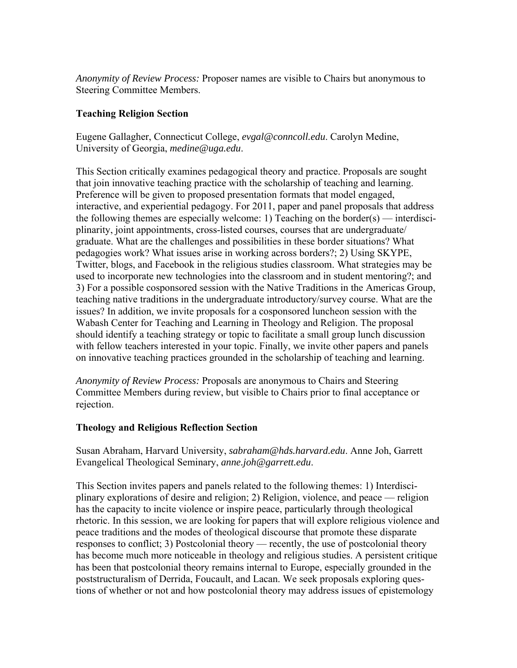*Anonymity of Review Process:* Proposer names are visible to Chairs but anonymous to Steering Committee Members.

### **Teaching Religion Section**

Eugene Gallagher, Connecticut College, *evgal@conncoll.edu*. Carolyn Medine, University of Georgia, *medine@uga.edu*.

This Section critically examines pedagogical theory and practice. Proposals are sought that join innovative teaching practice with the scholarship of teaching and learning. Preference will be given to proposed presentation formats that model engaged, interactive, and experiential pedagogy. For 2011, paper and panel proposals that address the following themes are especially welcome: 1) Teaching on the border(s) — interdisciplinarity, joint appointments, cross-listed courses, courses that are undergraduate/ graduate. What are the challenges and possibilities in these border situations? What pedagogies work? What issues arise in working across borders?; 2) Using SKYPE, Twitter, blogs, and Facebook in the religious studies classroom. What strategies may be used to incorporate new technologies into the classroom and in student mentoring?; and 3) For a possible cosponsored session with the Native Traditions in the Americas Group, teaching native traditions in the undergraduate introductory/survey course. What are the issues? In addition, we invite proposals for a cosponsored luncheon session with the Wabash Center for Teaching and Learning in Theology and Religion. The proposal should identify a teaching strategy or topic to facilitate a small group lunch discussion with fellow teachers interested in your topic. Finally, we invite other papers and panels on innovative teaching practices grounded in the scholarship of teaching and learning.

*Anonymity of Review Process:* Proposals are anonymous to Chairs and Steering Committee Members during review, but visible to Chairs prior to final acceptance or rejection.

#### **Theology and Religious Reflection Section**

Susan Abraham, Harvard University, *sabraham@hds.harvard.edu*. Anne Joh, Garrett Evangelical Theological Seminary, *anne.joh@garrett.edu*.

This Section invites papers and panels related to the following themes: 1) Interdisciplinary explorations of desire and religion; 2) Religion, violence, and peace — religion has the capacity to incite violence or inspire peace, particularly through theological rhetoric. In this session, we are looking for papers that will explore religious violence and peace traditions and the modes of theological discourse that promote these disparate responses to conflict; 3) Postcolonial theory — recently, the use of postcolonial theory has become much more noticeable in theology and religious studies. A persistent critique has been that postcolonial theory remains internal to Europe, especially grounded in the poststructuralism of Derrida, Foucault, and Lacan. We seek proposals exploring questions of whether or not and how postcolonial theory may address issues of epistemology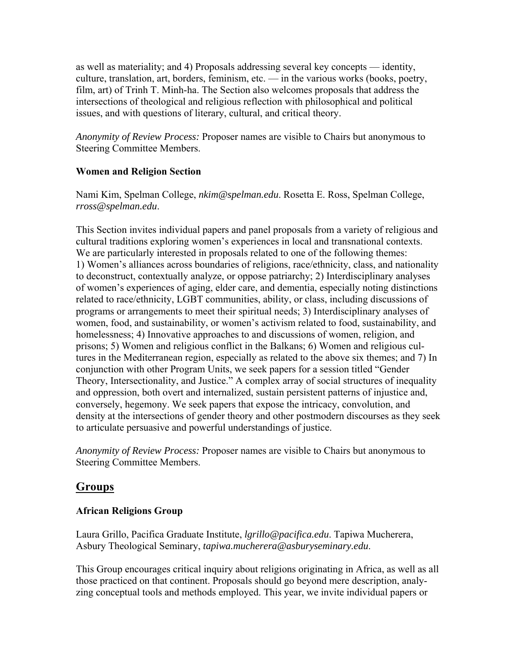as well as materiality; and 4) Proposals addressing several key concepts — identity, culture, translation, art, borders, feminism, etc. — in the various works (books, poetry, film, art) of Trinh T. Minh-ha. The Section also welcomes proposals that address the intersections of theological and religious reflection with philosophical and political issues, and with questions of literary, cultural, and critical theory.

*Anonymity of Review Process:* Proposer names are visible to Chairs but anonymous to Steering Committee Members.

### **Women and Religion Section**

Nami Kim, Spelman College, *nkim@spelman.edu*. Rosetta E. Ross, Spelman College, *rross@spelman.edu*.

This Section invites individual papers and panel proposals from a variety of religious and cultural traditions exploring women's experiences in local and transnational contexts. We are particularly interested in proposals related to one of the following themes: 1) Women's alliances across boundaries of religions, race/ethnicity, class, and nationality to deconstruct, contextually analyze, or oppose patriarchy; 2) Interdisciplinary analyses of women's experiences of aging, elder care, and dementia, especially noting distinctions related to race/ethnicity, LGBT communities, ability, or class, including discussions of programs or arrangements to meet their spiritual needs; 3) Interdisciplinary analyses of women, food, and sustainability, or women's activism related to food, sustainability, and homelessness; 4) Innovative approaches to and discussions of women, religion, and prisons; 5) Women and religious conflict in the Balkans; 6) Women and religious cultures in the Mediterranean region, especially as related to the above six themes; and 7) In conjunction with other Program Units, we seek papers for a session titled "Gender Theory, Intersectionality, and Justice." A complex array of social structures of inequality and oppression, both overt and internalized, sustain persistent patterns of injustice and, conversely, hegemony. We seek papers that expose the intricacy, convolution, and density at the intersections of gender theory and other postmodern discourses as they seek to articulate persuasive and powerful understandings of justice.

*Anonymity of Review Process:* Proposer names are visible to Chairs but anonymous to Steering Committee Members.

# **Groups**

# **African Religions Group**

Laura Grillo, Pacifica Graduate Institute, *lgrillo@pacifica.edu*. Tapiwa Mucherera, Asbury Theological Seminary, *tapiwa.mucherera@asburyseminary.edu*.

This Group encourages critical inquiry about religions originating in Africa, as well as all those practiced on that continent. Proposals should go beyond mere description, analyzing conceptual tools and methods employed. This year, we invite individual papers or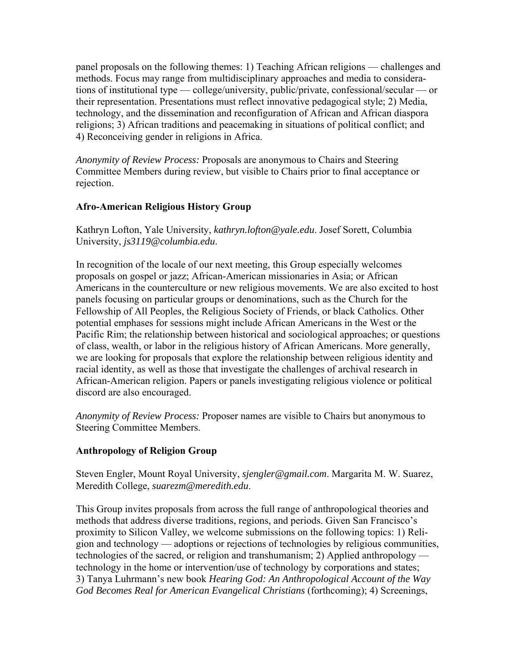panel proposals on the following themes: 1) Teaching African religions — challenges and methods. Focus may range from multidisciplinary approaches and media to considerations of institutional type — college/university, public/private, confessional/secular — or their representation. Presentations must reflect innovative pedagogical style; 2) Media, technology, and the dissemination and reconfiguration of African and African diaspora religions; 3) African traditions and peacemaking in situations of political conflict; and 4) Reconceiving gender in religions in Africa.

*Anonymity of Review Process:* Proposals are anonymous to Chairs and Steering Committee Members during review, but visible to Chairs prior to final acceptance or rejection.

# **Afro-American Religious History Group**

Kathryn Lofton, Yale University, *kathryn.lofton@yale.edu*. Josef Sorett, Columbia University, *js3119@columbia.edu*.

In recognition of the locale of our next meeting, this Group especially welcomes proposals on gospel or jazz; African-American missionaries in Asia; or African Americans in the counterculture or new religious movements. We are also excited to host panels focusing on particular groups or denominations, such as the Church for the Fellowship of All Peoples, the Religious Society of Friends, or black Catholics. Other potential emphases for sessions might include African Americans in the West or the Pacific Rim; the relationship between historical and sociological approaches; or questions of class, wealth, or labor in the religious history of African Americans. More generally, we are looking for proposals that explore the relationship between religious identity and racial identity, as well as those that investigate the challenges of archival research in African-American religion. Papers or panels investigating religious violence or political discord are also encouraged.

*Anonymity of Review Process:* Proposer names are visible to Chairs but anonymous to Steering Committee Members.

#### **Anthropology of Religion Group**

Steven Engler, Mount Royal University, *sjengler@gmail.com*. Margarita M. W. Suarez, Meredith College, *suarezm@meredith.edu*.

This Group invites proposals from across the full range of anthropological theories and methods that address diverse traditions, regions, and periods. Given San Francisco's proximity to Silicon Valley, we welcome submissions on the following topics: 1) Religion and technology — adoptions or rejections of technologies by religious communities, technologies of the sacred, or religion and transhumanism; 2) Applied anthropology technology in the home or intervention/use of technology by corporations and states; 3) Tanya Luhrmann's new book *Hearing God: An Anthropological Account of the Way God Becomes Real for American Evangelical Christians* (forthcoming); 4) Screenings,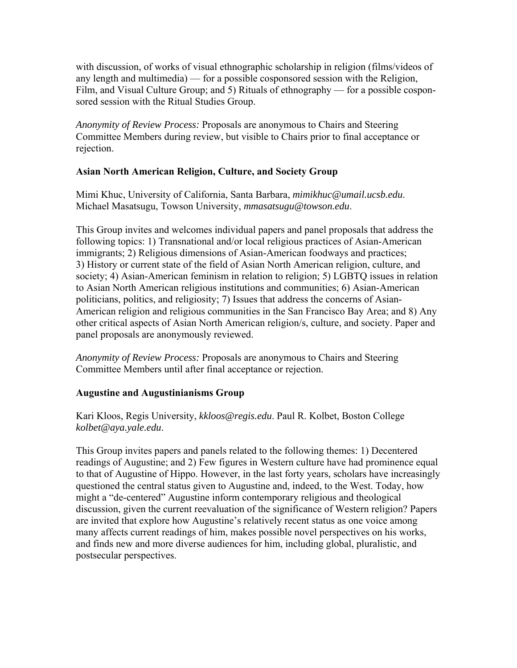with discussion, of works of visual ethnographic scholarship in religion (films/videos of any length and multimedia) — for a possible cosponsored session with the Religion, Film, and Visual Culture Group; and 5) Rituals of ethnography — for a possible cosponsored session with the Ritual Studies Group.

*Anonymity of Review Process:* Proposals are anonymous to Chairs and Steering Committee Members during review, but visible to Chairs prior to final acceptance or rejection.

# **Asian North American Religion, Culture, and Society Group**

Mimi Khuc, University of California, Santa Barbara, *mimikhuc@umail.ucsb.edu*. Michael Masatsugu, Towson University, *mmasatsugu@towson.edu*.

This Group invites and welcomes individual papers and panel proposals that address the following topics: 1) Transnational and/or local religious practices of Asian-American immigrants; 2) Religious dimensions of Asian-American foodways and practices; 3) History or current state of the field of Asian North American religion, culture, and society; 4) Asian-American feminism in relation to religion; 5) LGBTQ issues in relation to Asian North American religious institutions and communities; 6) Asian-American politicians, politics, and religiosity; 7) Issues that address the concerns of Asian-American religion and religious communities in the San Francisco Bay Area; and 8) Any other critical aspects of Asian North American religion/s, culture, and society. Paper and panel proposals are anonymously reviewed.

*Anonymity of Review Process:* Proposals are anonymous to Chairs and Steering Committee Members until after final acceptance or rejection.

# **Augustine and Augustinianisms Group**

Kari Kloos, Regis University, *kkloos@regis.edu*. Paul R. Kolbet, Boston College *kolbet@aya.yale.edu*.

This Group invites papers and panels related to the following themes: 1) Decentered readings of Augustine; and 2) Few figures in Western culture have had prominence equal to that of Augustine of Hippo. However, in the last forty years, scholars have increasingly questioned the central status given to Augustine and, indeed, to the West. Today, how might a "de-centered" Augustine inform contemporary religious and theological discussion, given the current reevaluation of the significance of Western religion? Papers are invited that explore how Augustine's relatively recent status as one voice among many affects current readings of him, makes possible novel perspectives on his works, and finds new and more diverse audiences for him, including global, pluralistic, and postsecular perspectives.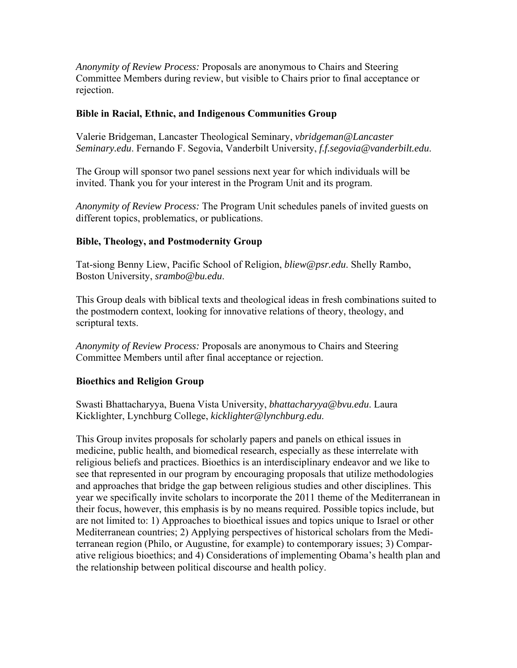*Anonymity of Review Process:* Proposals are anonymous to Chairs and Steering Committee Members during review, but visible to Chairs prior to final acceptance or rejection.

### **Bible in Racial, Ethnic, and Indigenous Communities Group**

Valerie Bridgeman, Lancaster Theological Seminary, *vbridgeman@Lancaster Seminary.edu*. Fernando F. Segovia, Vanderbilt University, *f.f.segovia@vanderbilt.edu*.

The Group will sponsor two panel sessions next year for which individuals will be invited. Thank you for your interest in the Program Unit and its program.

*Anonymity of Review Process:* The Program Unit schedules panels of invited guests on different topics, problematics, or publications.

# **Bible, Theology, and Postmodernity Group**

Tat-siong Benny Liew, Pacific School of Religion, *bliew@psr.edu*. Shelly Rambo, Boston University, *srambo@bu.edu*.

This Group deals with biblical texts and theological ideas in fresh combinations suited to the postmodern context, looking for innovative relations of theory, theology, and scriptural texts.

*Anonymity of Review Process:* Proposals are anonymous to Chairs and Steering Committee Members until after final acceptance or rejection.

# **Bioethics and Religion Group**

Swasti Bhattacharyya, Buena Vista University, *bhattacharyya@bvu.edu*. Laura Kicklighter, Lynchburg College, *kicklighter@lynchburg.edu*.

This Group invites proposals for scholarly papers and panels on ethical issues in medicine, public health, and biomedical research, especially as these interrelate with religious beliefs and practices. Bioethics is an interdisciplinary endeavor and we like to see that represented in our program by encouraging proposals that utilize methodologies and approaches that bridge the gap between religious studies and other disciplines. This year we specifically invite scholars to incorporate the 2011 theme of the Mediterranean in their focus, however, this emphasis is by no means required. Possible topics include, but are not limited to: 1) Approaches to bioethical issues and topics unique to Israel or other Mediterranean countries; 2) Applying perspectives of historical scholars from the Mediterranean region (Philo, or Augustine, for example) to contemporary issues; 3) Comparative religious bioethics; and 4) Considerations of implementing Obama's health plan and the relationship between political discourse and health policy.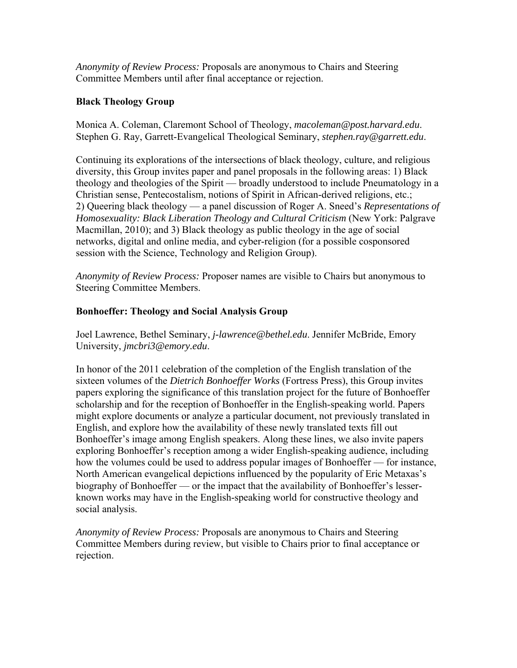*Anonymity of Review Process:* Proposals are anonymous to Chairs and Steering Committee Members until after final acceptance or rejection.

### **Black Theology Group**

Monica A. Coleman, Claremont School of Theology, *macoleman@post.harvard.edu*. Stephen G. Ray, Garrett-Evangelical Theological Seminary, *stephen.ray@garrett.edu*.

Continuing its explorations of the intersections of black theology, culture, and religious diversity, this Group invites paper and panel proposals in the following areas: 1) Black theology and theologies of the Spirit — broadly understood to include Pneumatology in a Christian sense, Pentecostalism, notions of Spirit in African-derived religions, etc.; 2) Queering black theology — a panel discussion of Roger A. Sneed's *Representations of Homosexuality: Black Liberation Theology and Cultural Criticism* (New York: Palgrave Macmillan, 2010); and 3) Black theology as public theology in the age of social networks, digital and online media, and cyber-religion (for a possible cosponsored session with the Science, Technology and Religion Group).

*Anonymity of Review Process:* Proposer names are visible to Chairs but anonymous to Steering Committee Members.

### **Bonhoeffer: Theology and Social Analysis Group**

Joel Lawrence, Bethel Seminary, *j-lawrence@bethel.edu*. Jennifer McBride, Emory University, *jmcbri3@emory.edu*.

In honor of the 2011 celebration of the completion of the English translation of the sixteen volumes of the *Dietrich Bonhoeffer Works* (Fortress Press), this Group invites papers exploring the significance of this translation project for the future of Bonhoeffer scholarship and for the reception of Bonhoeffer in the English-speaking world. Papers might explore documents or analyze a particular document, not previously translated in English, and explore how the availability of these newly translated texts fill out Bonhoeffer's image among English speakers. Along these lines, we also invite papers exploring Bonhoeffer's reception among a wider English-speaking audience, including how the volumes could be used to address popular images of Bonhoeffer — for instance, North American evangelical depictions influenced by the popularity of Eric Metaxas's biography of Bonhoeffer — or the impact that the availability of Bonhoeffer's lesserknown works may have in the English-speaking world for constructive theology and social analysis.

*Anonymity of Review Process:* Proposals are anonymous to Chairs and Steering Committee Members during review, but visible to Chairs prior to final acceptance or rejection.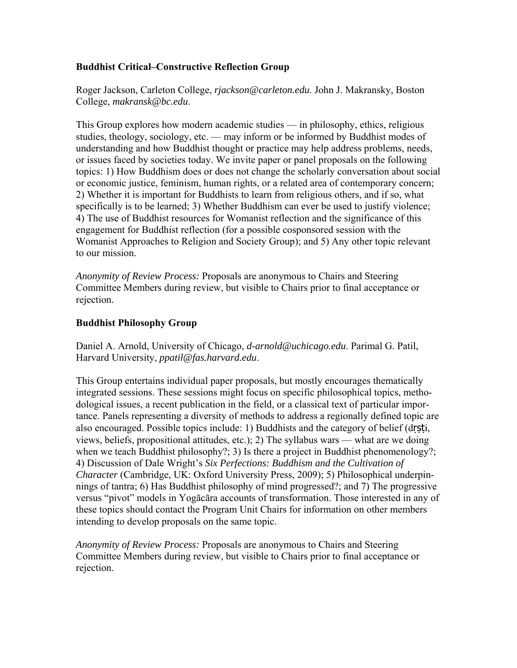# **Buddhist Critical–Constructive Reflection Group**

Roger Jackson, Carleton College, *rjackson@carleton.edu*. John J. Makransky, Boston College, *makransk@bc.edu*.

This Group explores how modern academic studies — in philosophy, ethics, religious studies, theology, sociology, etc. — may inform or be informed by Buddhist modes of understanding and how Buddhist thought or practice may help address problems, needs, or issues faced by societies today. We invite paper or panel proposals on the following topics: 1) How Buddhism does or does not change the scholarly conversation about social or economic justice, feminism, human rights, or a related area of contemporary concern; 2) Whether it is important for Buddhists to learn from religious others, and if so, what specifically is to be learned; 3) Whether Buddhism can ever be used to justify violence; 4) The use of Buddhist resources for Womanist reflection and the significance of this engagement for Buddhist reflection (for a possible cosponsored session with the Womanist Approaches to Religion and Society Group); and 5) Any other topic relevant to our mission.

*Anonymity of Review Process:* Proposals are anonymous to Chairs and Steering Committee Members during review, but visible to Chairs prior to final acceptance or rejection.

### **Buddhist Philosophy Group**

Daniel A. Arnold, University of Chicago, *d-arnold@uchicago.edu*. Parimal G. Patil, Harvard University, *ppatil@fas.harvard.edu*.

This Group entertains individual paper proposals, but mostly encourages thematically integrated sessions. These sessions might focus on specific philosophical topics, methodological issues, a recent publication in the field, or a classical text of particular importance. Panels representing a diversity of methods to address a regionally defined topic are also encouraged. Possible topics include: 1) Buddhists and the category of belief (drsti, views, beliefs, propositional attitudes, etc.); 2) The syllabus wars — what are we doing when we teach Buddhist philosophy?; 3) Is there a project in Buddhist phenomenology?; 4) Discussion of Dale Wright's *Six Perfections: Buddhism and the Cultivation of Character* (Cambridge, UK: Oxford University Press, 2009); 5) Philosophical underpinnings of tantra; 6) Has Buddhist philosophy of mind progressed?; and 7) The progressive versus "pivot" models in Yogācāra accounts of transformation. Those interested in any of these topics should contact the Program Unit Chairs for information on other members intending to develop proposals on the same topic.

*Anonymity of Review Process:* Proposals are anonymous to Chairs and Steering Committee Members during review, but visible to Chairs prior to final acceptance or rejection.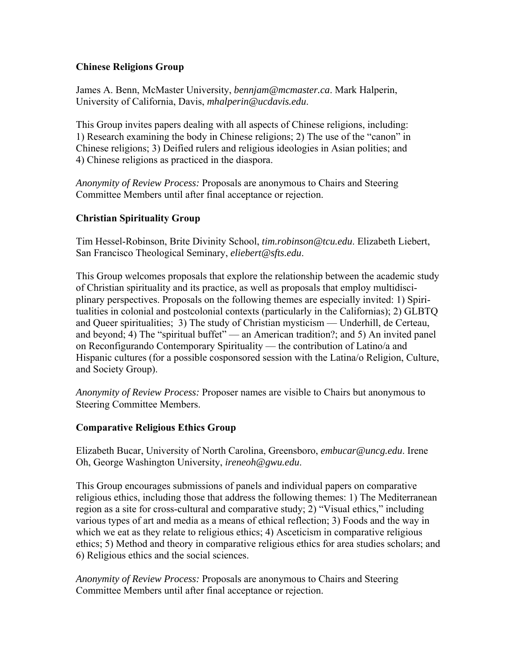### **Chinese Religions Group**

James A. Benn, McMaster University, *bennjam@mcmaster.ca*. Mark Halperin, University of California, Davis, *mhalperin@ucdavis.edu*.

This Group invites papers dealing with all aspects of Chinese religions, including: 1) Research examining the body in Chinese religions; 2) The use of the "canon" in Chinese religions; 3) Deified rulers and religious ideologies in Asian polities; and 4) Chinese religions as practiced in the diaspora.

*Anonymity of Review Process:* Proposals are anonymous to Chairs and Steering Committee Members until after final acceptance or rejection.

# **Christian Spirituality Group**

Tim Hessel-Robinson, Brite Divinity School, *tim.robinson@tcu.edu*. Elizabeth Liebert, San Francisco Theological Seminary, *eliebert@sfts.edu*.

This Group welcomes proposals that explore the relationship between the academic study of Christian spirituality and its practice, as well as proposals that employ multidisciplinary perspectives. Proposals on the following themes are especially invited: 1) Spiritualities in colonial and postcolonial contexts (particularly in the Californias); 2) GLBTQ and Queer spiritualities; 3) The study of Christian mysticism — Underhill, de Certeau, and beyond; 4) The "spiritual buffet" — an American tradition?; and 5) An invited panel on Reconfigurando Contemporary Spirituality — the contribution of Latino/a and Hispanic cultures (for a possible cosponsored session with the Latina/o Religion, Culture, and Society Group).

*Anonymity of Review Process:* Proposer names are visible to Chairs but anonymous to Steering Committee Members.

#### **Comparative Religious Ethics Group**

Elizabeth Bucar, University of North Carolina, Greensboro, *embucar@uncg.edu*. Irene Oh, George Washington University, *ireneoh@gwu.edu*.

This Group encourages submissions of panels and individual papers on comparative religious ethics, including those that address the following themes: 1) The Mediterranean region as a site for cross-cultural and comparative study; 2) "Visual ethics," including various types of art and media as a means of ethical reflection; 3) Foods and the way in which we eat as they relate to religious ethics; 4) Asceticism in comparative religious ethics; 5) Method and theory in comparative religious ethics for area studies scholars; and 6) Religious ethics and the social sciences.

*Anonymity of Review Process:* Proposals are anonymous to Chairs and Steering Committee Members until after final acceptance or rejection.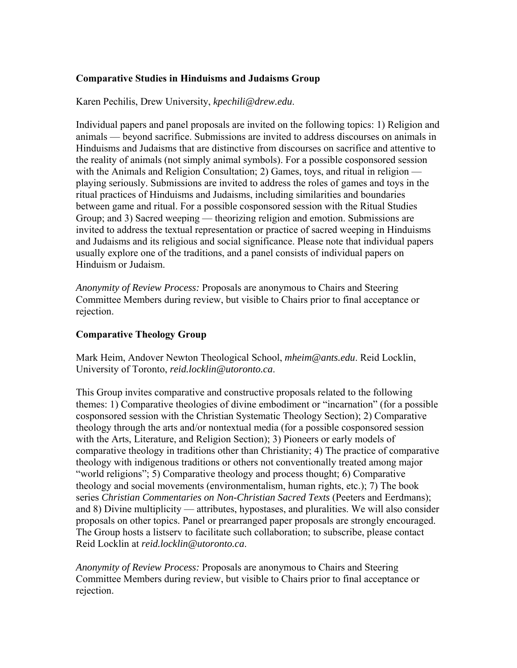# **Comparative Studies in Hinduisms and Judaisms Group**

Karen Pechilis, Drew University, *kpechili@drew.edu*.

Individual papers and panel proposals are invited on the following topics: 1) Religion and animals — beyond sacrifice. Submissions are invited to address discourses on animals in Hinduisms and Judaisms that are distinctive from discourses on sacrifice and attentive to the reality of animals (not simply animal symbols). For a possible cosponsored session with the Animals and Religion Consultation; 2) Games, toys, and ritual in religion playing seriously. Submissions are invited to address the roles of games and toys in the ritual practices of Hinduisms and Judaisms, including similarities and boundaries between game and ritual. For a possible cosponsored session with the Ritual Studies Group; and 3) Sacred weeping — theorizing religion and emotion. Submissions are invited to address the textual representation or practice of sacred weeping in Hinduisms and Judaisms and its religious and social significance. Please note that individual papers usually explore one of the traditions, and a panel consists of individual papers on Hinduism or Judaism.

*Anonymity of Review Process:* Proposals are anonymous to Chairs and Steering Committee Members during review, but visible to Chairs prior to final acceptance or rejection.

### **Comparative Theology Group**

Mark Heim, Andover Newton Theological School, *mheim@ants.edu*. Reid Locklin, University of Toronto, *reid.locklin@utoronto.ca*.

This Group invites comparative and constructive proposals related to the following themes: 1) Comparative theologies of divine embodiment or "incarnation" (for a possible cosponsored session with the Christian Systematic Theology Section); 2) Comparative theology through the arts and/or nontextual media (for a possible cosponsored session with the Arts, Literature, and Religion Section); 3) Pioneers or early models of comparative theology in traditions other than Christianity; 4) The practice of comparative theology with indigenous traditions or others not conventionally treated among major "world religions"; 5) Comparative theology and process thought; 6) Comparative theology and social movements (environmentalism, human rights, etc.); 7) The book series *Christian Commentaries on Non-Christian Sacred Texts* (Peeters and Eerdmans); and 8) Divine multiplicity — attributes, hypostases, and pluralities. We will also consider proposals on other topics. Panel or prearranged paper proposals are strongly encouraged. The Group hosts a listserv to facilitate such collaboration; to subscribe, please contact Reid Locklin at *reid.locklin@utoronto.ca*.

*Anonymity of Review Process:* Proposals are anonymous to Chairs and Steering Committee Members during review, but visible to Chairs prior to final acceptance or rejection.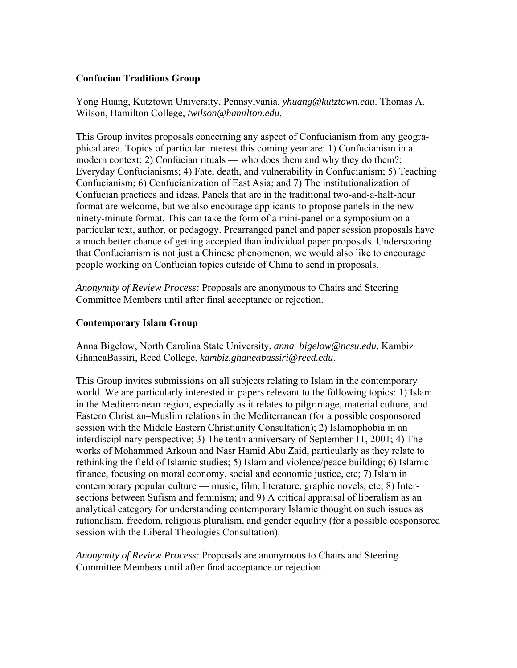### **Confucian Traditions Group**

Yong Huang, Kutztown University, Pennsylvania, *yhuang@kutztown.edu*. Thomas A. Wilson, Hamilton College, *twilson@hamilton.edu*.

This Group invites proposals concerning any aspect of Confucianism from any geographical area. Topics of particular interest this coming year are: 1) Confucianism in a modern context; 2) Confucian rituals — who does them and why they do them?; Everyday Confucianisms; 4) Fate, death, and vulnerability in Confucianism; 5) Teaching Confucianism; 6) Confucianization of East Asia; and 7) The institutionalization of Confucian practices and ideas. Panels that are in the traditional two-and-a-half-hour format are welcome, but we also encourage applicants to propose panels in the new ninety-minute format. This can take the form of a mini-panel or a symposium on a particular text, author, or pedagogy. Prearranged panel and paper session proposals have a much better chance of getting accepted than individual paper proposals. Underscoring that Confucianism is not just a Chinese phenomenon, we would also like to encourage people working on Confucian topics outside of China to send in proposals.

*Anonymity of Review Process:* Proposals are anonymous to Chairs and Steering Committee Members until after final acceptance or rejection.

### **Contemporary Islam Group**

Anna Bigelow, North Carolina State University, *anna\_bigelow@ncsu.edu*. Kambiz GhaneaBassiri, Reed College, *kambiz.ghaneabassiri@reed.edu*.

This Group invites submissions on all subjects relating to Islam in the contemporary world. We are particularly interested in papers relevant to the following topics: 1) Islam in the Mediterranean region, especially as it relates to pilgrimage, material culture, and Eastern Christian–Muslim relations in the Mediterranean (for a possible cosponsored session with the Middle Eastern Christianity Consultation); 2) Islamophobia in an interdisciplinary perspective; 3) The tenth anniversary of September 11, 2001; 4) The works of Mohammed Arkoun and Nasr Hamid Abu Zaid, particularly as they relate to rethinking the field of Islamic studies; 5) Islam and violence/peace building; 6) Islamic finance, focusing on moral economy, social and economic justice, etc; 7) Islam in contemporary popular culture — music, film, literature, graphic novels, etc; 8) Intersections between Sufism and feminism; and 9) A critical appraisal of liberalism as an analytical category for understanding contemporary Islamic thought on such issues as rationalism, freedom, religious pluralism, and gender equality (for a possible cosponsored session with the Liberal Theologies Consultation).

*Anonymity of Review Process:* Proposals are anonymous to Chairs and Steering Committee Members until after final acceptance or rejection.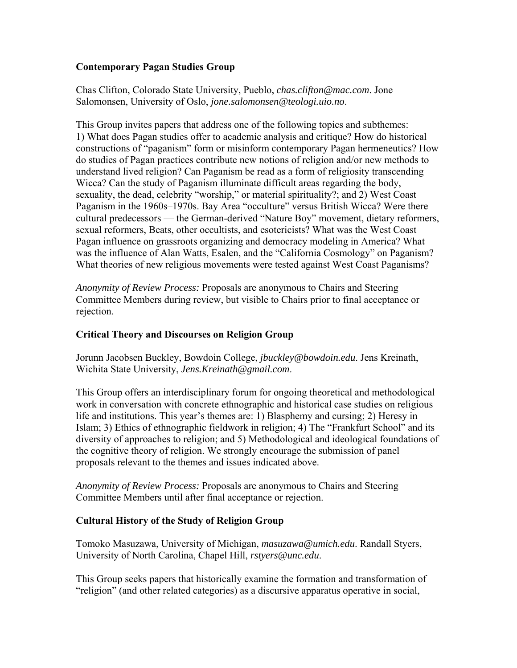# **Contemporary Pagan Studies Group**

Chas Clifton, Colorado State University, Pueblo, *chas.clifton@mac.com*. Jone Salomonsen, University of Oslo, *jone.salomonsen@teologi.uio.no*.

This Group invites papers that address one of the following topics and subthemes: 1) What does Pagan studies offer to academic analysis and critique? How do historical constructions of "paganism" form or misinform contemporary Pagan hermeneutics? How do studies of Pagan practices contribute new notions of religion and/or new methods to understand lived religion? Can Paganism be read as a form of religiosity transcending Wicca? Can the study of Paganism illuminate difficult areas regarding the body, sexuality, the dead, celebrity "worship," or material spirituality?; and 2) West Coast Paganism in the 1960s–1970s. Bay Area "occulture" versus British Wicca? Were there cultural predecessors — the German-derived "Nature Boy" movement, dietary reformers, sexual reformers, Beats, other occultists, and esotericists? What was the West Coast Pagan influence on grassroots organizing and democracy modeling in America? What was the influence of Alan Watts, Esalen, and the "California Cosmology" on Paganism? What theories of new religious movements were tested against West Coast Paganisms?

*Anonymity of Review Process:* Proposals are anonymous to Chairs and Steering Committee Members during review, but visible to Chairs prior to final acceptance or rejection.

# **Critical Theory and Discourses on Religion Group**

Jorunn Jacobsen Buckley, Bowdoin College, *jbuckley@bowdoin.edu*. Jens Kreinath, Wichita State University, *Jens.Kreinath@gmail.com*.

This Group offers an interdisciplinary forum for ongoing theoretical and methodological work in conversation with concrete ethnographic and historical case studies on religious life and institutions. This year's themes are: 1) Blasphemy and cursing; 2) Heresy in Islam; 3) Ethics of ethnographic fieldwork in religion; 4) The "Frankfurt School" and its diversity of approaches to religion; and 5) Methodological and ideological foundations of the cognitive theory of religion. We strongly encourage the submission of panel proposals relevant to the themes and issues indicated above.

*Anonymity of Review Process:* Proposals are anonymous to Chairs and Steering Committee Members until after final acceptance or rejection.

# **Cultural History of the Study of Religion Group**

Tomoko Masuzawa, University of Michigan, *masuzawa@umich.edu*. Randall Styers, University of North Carolina, Chapel Hill, *rstyers@unc.edu*.

This Group seeks papers that historically examine the formation and transformation of "religion" (and other related categories) as a discursive apparatus operative in social,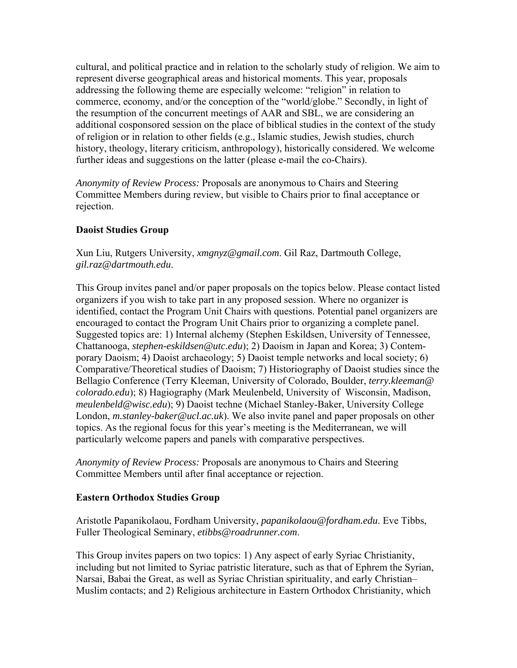cultural, and political practice and in relation to the scholarly study of religion. We aim to represent diverse geographical areas and historical moments. This year, proposals addressing the following theme are especially welcome: "religion" in relation to commerce, economy, and/or the conception of the "world/globe." Secondly, in light of the resumption of the concurrent meetings of AAR and SBL, we are considering an additional cosponsored session on the place of biblical studies in the context of the study of religion or in relation to other fields (e.g., Islamic studies, Jewish studies, church history, theology, literary criticism, anthropology), historically considered. We welcome further ideas and suggestions on the latter (please e-mail the co-Chairs).

*Anonymity of Review Process:* Proposals are anonymous to Chairs and Steering Committee Members during review, but visible to Chairs prior to final acceptance or rejection.

# **Daoist Studies Group**

Xun Liu, Rutgers University, *xmgnyz@gmail.com*. Gil Raz, Dartmouth College, *gil.raz@dartmouth.edu*.

This Group invites panel and/or paper proposals on the topics below. Please contact listed organizers if you wish to take part in any proposed session. Where no organizer is identified, contact the Program Unit Chairs with questions. Potential panel organizers are encouraged to contact the Program Unit Chairs prior to organizing a complete panel. Suggested topics are: 1) Internal alchemy (Stephen Eskildsen, University of Tennessee, Chattanooga, *stephen-eskildsen@utc.edu*); 2) Daoism in Japan and Korea; 3) Contemporary Daoism; 4) Daoist archaeology; 5) Daoist temple networks and local society; 6) Comparative/Theoretical studies of Daoism; 7) Historiography of Daoist studies since the Bellagio Conference (Terry Kleeman, University of Colorado, Boulder, *terry.kleeman@ colorado.edu*); 8) Hagiography (Mark Meulenbeld, University of Wisconsin, Madison, *meulenbeld@wisc.edu*); 9) Daoist techne (Michael Stanley-Baker, University College London, *m.stanley-baker@ucl.ac.uk*). We also invite panel and paper proposals on other topics. As the regional focus for this year's meeting is the Mediterranean, we will particularly welcome papers and panels with comparative perspectives.

*Anonymity of Review Process:* Proposals are anonymous to Chairs and Steering Committee Members until after final acceptance or rejection.

#### **Eastern Orthodox Studies Group**

Aristotle Papanikolaou, Fordham University, *papanikolaou@fordham.edu*. Eve Tibbs, Fuller Theological Seminary, *etibbs@roadrunner.com*.

This Group invites papers on two topics: 1) Any aspect of early Syriac Christianity, including but not limited to Syriac patristic literature, such as that of Ephrem the Syrian, Narsai, Babai the Great, as well as Syriac Christian spirituality, and early Christian– Muslim contacts; and 2) Religious architecture in Eastern Orthodox Christianity, which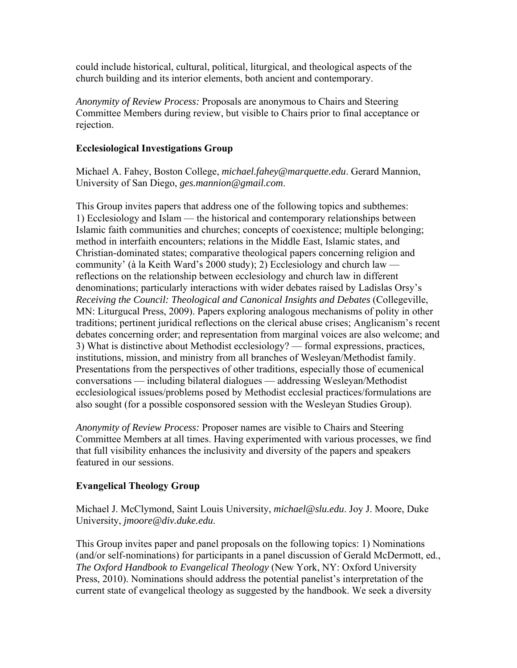could include historical, cultural, political, liturgical, and theological aspects of the church building and its interior elements, both ancient and contemporary.

*Anonymity of Review Process:* Proposals are anonymous to Chairs and Steering Committee Members during review, but visible to Chairs prior to final acceptance or rejection.

### **Ecclesiological Investigations Group**

Michael A. Fahey, Boston College, *michael.fahey@marquette.edu*. Gerard Mannion, University of San Diego, *ges.mannion@gmail.com*.

This Group invites papers that address one of the following topics and subthemes: 1) Ecclesiology and Islam — the historical and contemporary relationships between Islamic faith communities and churches; concepts of coexistence; multiple belonging; method in interfaith encounters; relations in the Middle East, Islamic states, and Christian-dominated states; comparative theological papers concerning religion and community' (à la Keith Ward's 2000 study); 2) Ecclesiology and church law reflections on the relationship between ecclesiology and church law in different denominations; particularly interactions with wider debates raised by Ladislas Orsy's *Receiving the Council: Theological and Canonical Insights and Debates* (Collegeville, MN: Liturgucal Press, 2009). Papers exploring analogous mechanisms of polity in other traditions; pertinent juridical reflections on the clerical abuse crises; Anglicanism's recent debates concerning order; and representation from marginal voices are also welcome; and 3) What is distinctive about Methodist ecclesiology? — formal expressions, practices, institutions, mission, and ministry from all branches of Wesleyan/Methodist family. Presentations from the perspectives of other traditions, especially those of ecumenical conversations — including bilateral dialogues — addressing Wesleyan/Methodist ecclesiological issues/problems posed by Methodist ecclesial practices/formulations are also sought (for a possible cosponsored session with the Wesleyan Studies Group).

*Anonymity of Review Process:* Proposer names are visible to Chairs and Steering Committee Members at all times. Having experimented with various processes, we find that full visibility enhances the inclusivity and diversity of the papers and speakers featured in our sessions.

# **Evangelical Theology Group**

Michael J. McClymond, Saint Louis University, *michael@slu.edu*. Joy J. Moore, Duke University, *jmoore@div.duke.edu*.

This Group invites paper and panel proposals on the following topics: 1) Nominations (and/or self-nominations) for participants in a panel discussion of Gerald McDermott, ed., *The Oxford Handbook to Evangelical Theology* (New York, NY: Oxford University Press, 2010). Nominations should address the potential panelist's interpretation of the current state of evangelical theology as suggested by the handbook. We seek a diversity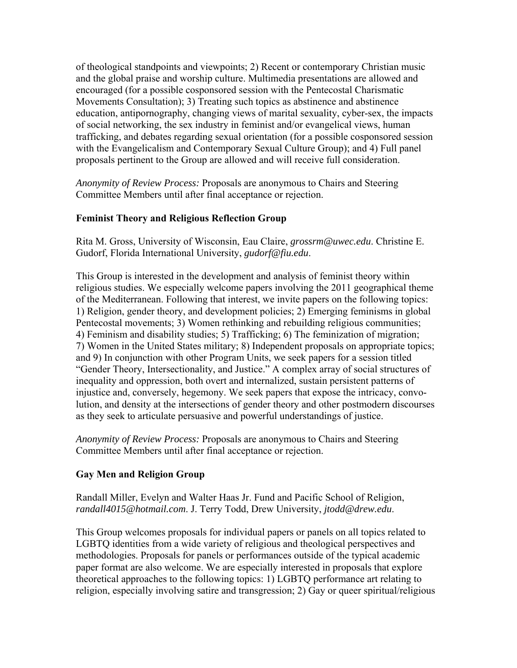of theological standpoints and viewpoints; 2) Recent or contemporary Christian music and the global praise and worship culture. Multimedia presentations are allowed and encouraged (for a possible cosponsored session with the Pentecostal Charismatic Movements Consultation); 3) Treating such topics as abstinence and abstinence education, antipornography, changing views of marital sexuality, cyber-sex, the impacts of social networking, the sex industry in feminist and/or evangelical views, human trafficking, and debates regarding sexual orientation (for a possible cosponsored session with the Evangelicalism and Contemporary Sexual Culture Group); and 4) Full panel proposals pertinent to the Group are allowed and will receive full consideration.

*Anonymity of Review Process:* Proposals are anonymous to Chairs and Steering Committee Members until after final acceptance or rejection.

# **Feminist Theory and Religious Reflection Group**

Rita M. Gross, University of Wisconsin, Eau Claire, *grossrm@uwec.edu*. Christine E. Gudorf, Florida International University, *gudorf@fiu.edu*.

This Group is interested in the development and analysis of feminist theory within religious studies. We especially welcome papers involving the 2011 geographical theme of the Mediterranean. Following that interest, we invite papers on the following topics: 1) Religion, gender theory, and development policies; 2) Emerging feminisms in global Pentecostal movements; 3) Women rethinking and rebuilding religious communities; 4) Feminism and disability studies; 5) Trafficking; 6) The feminization of migration; 7) Women in the United States military; 8) Independent proposals on appropriate topics; and 9) In conjunction with other Program Units, we seek papers for a session titled "Gender Theory, Intersectionality, and Justice." A complex array of social structures of inequality and oppression, both overt and internalized, sustain persistent patterns of injustice and, conversely, hegemony. We seek papers that expose the intricacy, convolution, and density at the intersections of gender theory and other postmodern discourses as they seek to articulate persuasive and powerful understandings of justice.

*Anonymity of Review Process:* Proposals are anonymous to Chairs and Steering Committee Members until after final acceptance or rejection.

# **Gay Men and Religion Group**

Randall Miller, Evelyn and Walter Haas Jr. Fund and Pacific School of Religion, *randall4015@hotmail.com*. J. Terry Todd, Drew University, *jtodd@drew.edu*.

This Group welcomes proposals for individual papers or panels on all topics related to LGBTQ identities from a wide variety of religious and theological perspectives and methodologies. Proposals for panels or performances outside of the typical academic paper format are also welcome. We are especially interested in proposals that explore theoretical approaches to the following topics: 1) LGBTQ performance art relating to religion, especially involving satire and transgression; 2) Gay or queer spiritual/religious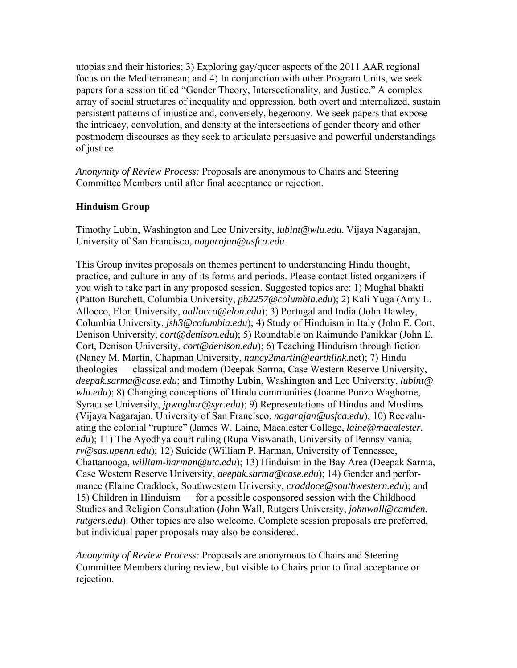utopias and their histories; 3) Exploring gay/queer aspects of the 2011 AAR regional focus on the Mediterranean; and 4) In conjunction with other Program Units, we seek papers for a session titled "Gender Theory, Intersectionality, and Justice." A complex array of social structures of inequality and oppression, both overt and internalized, sustain persistent patterns of injustice and, conversely, hegemony. We seek papers that expose the intricacy, convolution, and density at the intersections of gender theory and other postmodern discourses as they seek to articulate persuasive and powerful understandings of justice.

*Anonymity of Review Process:* Proposals are anonymous to Chairs and Steering Committee Members until after final acceptance or rejection.

# **Hinduism Group**

Timothy Lubin, Washington and Lee University, *lubint@wlu.edu*. Vijaya Nagarajan, University of San Francisco, *nagarajan@usfca.edu*.

This Group invites proposals on themes pertinent to understanding Hindu thought, practice, and culture in any of its forms and periods. Please contact listed organizers if you wish to take part in any proposed session. Suggested topics are: 1) Mughal bhakti (Patton Burchett, Columbia University, *pb2257@columbia.edu*); 2) Kali Yuga (Amy L. Allocco, Elon University, *aallocco@elon.edu*); 3) Portugal and India (John Hawley, Columbia University, *jsh3@columbia.edu*); 4) Study of Hinduism in Italy (John E. Cort, Denison University, *cort@denison.edu*); 5) Roundtable on Raimundo Panikkar (John E. Cort, Denison University, *cort@denison.edu*); 6) Teaching Hinduism through fiction (Nancy M. Martin, Chapman University, *nancy2martin@earthlink.*net); 7) Hindu theologies — classical and modern (Deepak Sarma, Case Western Reserve University, *deepak.sarma@case.edu*; and Timothy Lubin, Washington and Lee University, *lubint@ wlu.edu*); 8) Changing conceptions of Hindu communities (Joanne Punzo Waghorne, Syracuse University, *jpwaghor@syr.edu*); 9) Representations of Hindus and Muslims (Vijaya Nagarajan, University of San Francisco, *nagarajan@usfca.edu*); 10) Reevaluating the colonial "rupture" (James W. Laine, Macalester College, *laine@macalester. edu*); 11) The Ayodhya court ruling (Rupa Viswanath, University of Pennsylvania, *rv@sas.upenn.edu*); 12) Suicide (William P. Harman, University of Tennessee, Chattanooga, *william-harman@utc.edu*); 13) Hinduism in the Bay Area (Deepak Sarma, Case Western Reserve University, *deepak.sarma@case.edu*); 14) Gender and performance (Elaine Craddock, Southwestern University, *craddoce@southwestern.edu*); and 15) Children in Hinduism — for a possible cosponsored session with the Childhood Studies and Religion Consultation (John Wall, Rutgers University, *johnwall@camden. rutgers.edu*). Other topics are also welcome. Complete session proposals are preferred, but individual paper proposals may also be considered.

*Anonymity of Review Process:* Proposals are anonymous to Chairs and Steering Committee Members during review, but visible to Chairs prior to final acceptance or rejection.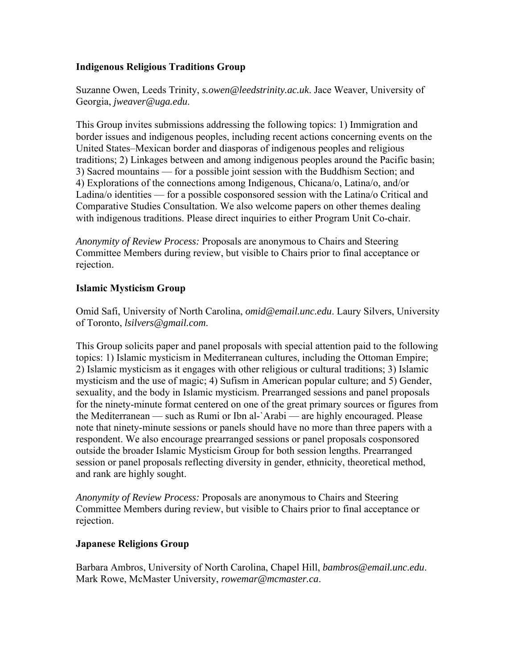### **Indigenous Religious Traditions Group**

Suzanne Owen, Leeds Trinity, *s.owen@leedstrinity.ac.uk*. Jace Weaver, University of Georgia, *jweaver@uga.edu*.

This Group invites submissions addressing the following topics: 1) Immigration and border issues and indigenous peoples, including recent actions concerning events on the United States–Mexican border and diasporas of indigenous peoples and religious traditions; 2) Linkages between and among indigenous peoples around the Pacific basin; 3) Sacred mountains — for a possible joint session with the Buddhism Section; and 4) Explorations of the connections among Indigenous, Chicana/o, Latina/o, and/or Ladina/o identities — for a possible cosponsored session with the Latina/o Critical and Comparative Studies Consultation. We also welcome papers on other themes dealing with indigenous traditions. Please direct inquiries to either Program Unit Co-chair.

*Anonymity of Review Process:* Proposals are anonymous to Chairs and Steering Committee Members during review, but visible to Chairs prior to final acceptance or rejection.

### **Islamic Mysticism Group**

Omid Safi, University of North Carolina, *omid@email.unc.edu*. Laury Silvers, University of Toronto, *lsilvers@gmail.com*.

This Group solicits paper and panel proposals with special attention paid to the following topics: 1) Islamic mysticism in Mediterranean cultures, including the Ottoman Empire; 2) Islamic mysticism as it engages with other religious or cultural traditions; 3) Islamic mysticism and the use of magic; 4) Sufism in American popular culture; and 5) Gender, sexuality, and the body in Islamic mysticism. Prearranged sessions and panel proposals for the ninety-minute format centered on one of the great primary sources or figures from the Mediterranean — such as Rumi or Ibn al-`Arabi — are highly encouraged. Please note that ninety-minute sessions or panels should have no more than three papers with a respondent. We also encourage prearranged sessions or panel proposals cosponsored outside the broader Islamic Mysticism Group for both session lengths. Prearranged session or panel proposals reflecting diversity in gender, ethnicity, theoretical method, and rank are highly sought.

*Anonymity of Review Process:* Proposals are anonymous to Chairs and Steering Committee Members during review, but visible to Chairs prior to final acceptance or rejection.

#### **Japanese Religions Group**

Barbara Ambros, University of North Carolina, Chapel Hill, *bambros@email.unc.edu*. Mark Rowe, McMaster University, *rowemar@mcmaster.ca*.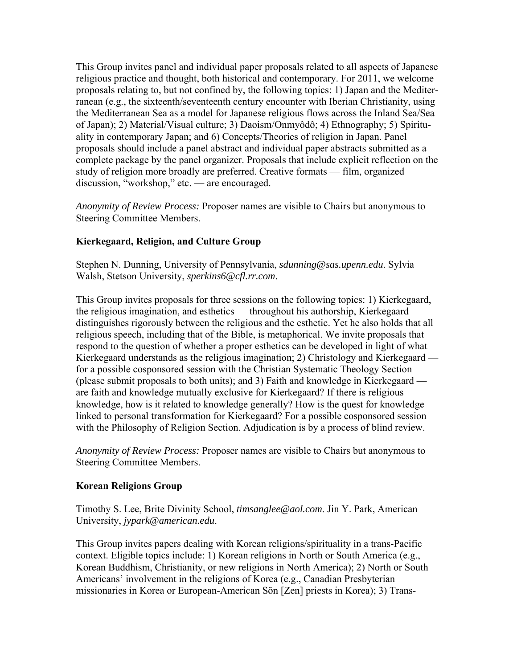This Group invites panel and individual paper proposals related to all aspects of Japanese religious practice and thought, both historical and contemporary. For 2011, we welcome proposals relating to, but not confined by, the following topics: 1) Japan and the Mediterranean (e.g., the sixteenth/seventeenth century encounter with Iberian Christianity, using the Mediterranean Sea as a model for Japanese religious flows across the Inland Sea/Sea of Japan); 2) Material/Visual culture; 3) Daoism/Onmyôdô; 4) Ethnography; 5) Spirituality in contemporary Japan; and 6) Concepts/Theories of religion in Japan. Panel proposals should include a panel abstract and individual paper abstracts submitted as a complete package by the panel organizer. Proposals that include explicit reflection on the study of religion more broadly are preferred. Creative formats — film, organized discussion, "workshop," etc. — are encouraged.

*Anonymity of Review Process:* Proposer names are visible to Chairs but anonymous to Steering Committee Members.

### **Kierkegaard, Religion, and Culture Group**

Stephen N. Dunning, University of Pennsylvania, *sdunning@sas.upenn.edu*. Sylvia Walsh, Stetson University, *sperkins6@cfl.rr.com*.

This Group invites proposals for three sessions on the following topics: 1) Kierkegaard, the religious imagination, and esthetics — throughout his authorship, Kierkegaard distinguishes rigorously between the religious and the esthetic. Yet he also holds that all religious speech, including that of the Bible, is metaphorical. We invite proposals that respond to the question of whether a proper esthetics can be developed in light of what Kierkegaard understands as the religious imagination; 2) Christology and Kierkegaard for a possible cosponsored session with the Christian Systematic Theology Section (please submit proposals to both units); and 3) Faith and knowledge in Kierkegaard are faith and knowledge mutually exclusive for Kierkegaard? If there is religious knowledge, how is it related to knowledge generally? How is the quest for knowledge linked to personal transformation for Kierkegaard? For a possible cosponsored session with the Philosophy of Religion Section. Adjudication is by a process of blind review.

*Anonymity of Review Process:* Proposer names are visible to Chairs but anonymous to Steering Committee Members.

#### **Korean Religions Group**

Timothy S. Lee, Brite Divinity School, *timsanglee@aol.com*. Jin Y. Park, American University, *jypark@american.edu*.

This Group invites papers dealing with Korean religions/spirituality in a trans-Pacific context. Eligible topics include: 1) Korean religions in North or South America (e.g., Korean Buddhism, Christianity, or new religions in North America); 2) North or South Americans' involvement in the religions of Korea (e.g., Canadian Presbyterian missionaries in Korea or European-American Sŏn [Zen] priests in Korea); 3) Trans-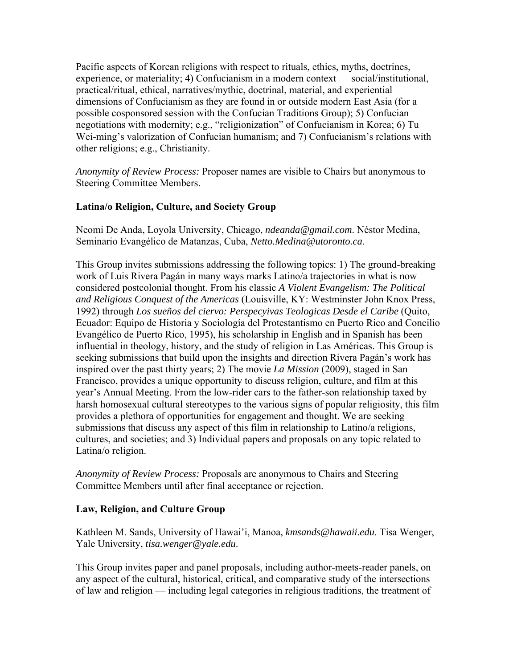Pacific aspects of Korean religions with respect to rituals, ethics, myths, doctrines, experience, or materiality; 4) Confucianism in a modern context — social/institutional, practical/ritual, ethical, narratives/mythic, doctrinal, material, and experiential dimensions of Confucianism as they are found in or outside modern East Asia (for a possible cosponsored session with the Confucian Traditions Group); 5) Confucian negotiations with modernity; e.g., "religionization" of Confucianism in Korea; 6) Tu Wei-ming's valorization of Confucian humanism; and 7) Confucianism's relations with other religions; e.g., Christianity.

*Anonymity of Review Process:* Proposer names are visible to Chairs but anonymous to Steering Committee Members.

# **Latina/o Religion, Culture, and Society Group**

Neomi De Anda, Loyola University, Chicago, *ndeanda@gmail.com*. Néstor Medina, Seminario Evangélico de Matanzas, Cuba, *Netto.Medina@utoronto.ca*.

This Group invites submissions addressing the following topics: 1) The ground-breaking work of Luis Rivera Pagán in many ways marks Latino/a trajectories in what is now considered postcolonial thought. From his classic *A Violent Evangelism: The Political and Religious Conquest of the Americas* (Louisville, KY: Westminster John Knox Press, 1992) through *Los sueños del ciervo: Perspecyivas Teologicas Desde el Caribe* (Quito, Ecuador: Equipo de Historia y Sociología del Protestantismo en Puerto Rico and Concilio Evangélico de Puerto Rico, 1995), his scholarship in English and in Spanish has been influential in theology, history, and the study of religion in Las Américas. This Group is seeking submissions that build upon the insights and direction Rivera Pagán's work has inspired over the past thirty years; 2) The movie *La Mission* (2009), staged in San Francisco, provides a unique opportunity to discuss religion, culture, and film at this year's Annual Meeting. From the low-rider cars to the father-son relationship taxed by harsh homosexual cultural stereotypes to the various signs of popular religiosity, this film provides a plethora of opportunities for engagement and thought. We are seeking submissions that discuss any aspect of this film in relationship to Latino/a religions, cultures, and societies; and 3) Individual papers and proposals on any topic related to Latina/o religion.

*Anonymity of Review Process:* Proposals are anonymous to Chairs and Steering Committee Members until after final acceptance or rejection.

# **Law, Religion, and Culture Group**

Kathleen M. Sands, University of Hawai'i, Manoa, *kmsands@hawaii.edu*. Tisa Wenger, Yale University, *tisa.wenger@yale.edu*.

This Group invites paper and panel proposals, including author-meets-reader panels, on any aspect of the cultural, historical, critical, and comparative study of the intersections of law and religion — including legal categories in religious traditions, the treatment of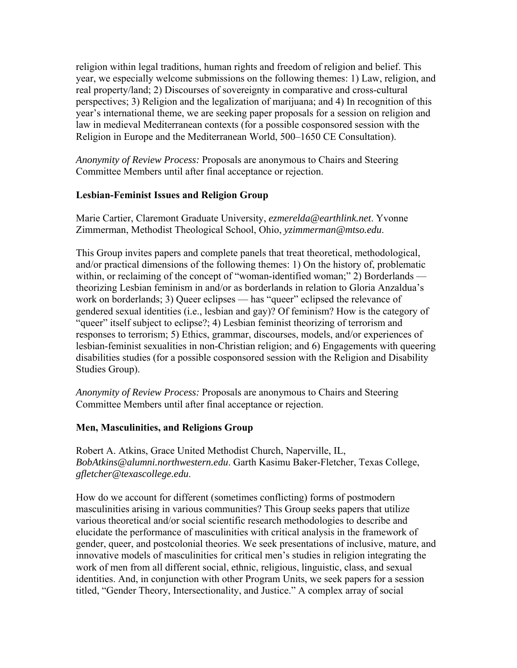religion within legal traditions, human rights and freedom of religion and belief. This year, we especially welcome submissions on the following themes: 1) Law, religion, and real property/land; 2) Discourses of sovereignty in comparative and cross-cultural perspectives; 3) Religion and the legalization of marijuana; and 4) In recognition of this year's international theme, we are seeking paper proposals for a session on religion and law in medieval Mediterranean contexts (for a possible cosponsored session with the Religion in Europe and the Mediterranean World, 500–1650 CE Consultation).

*Anonymity of Review Process:* Proposals are anonymous to Chairs and Steering Committee Members until after final acceptance or rejection.

### **Lesbian-Feminist Issues and Religion Group**

Marie Cartier, Claremont Graduate University, *ezmerelda@earthlink.net*. Yvonne Zimmerman, Methodist Theological School, Ohio, *yzimmerman@mtso.edu*.

This Group invites papers and complete panels that treat theoretical, methodological, and/or practical dimensions of the following themes: 1) On the history of, problematic within, or reclaiming of the concept of "woman-identified woman;" 2) Borderlands theorizing Lesbian feminism in and/or as borderlands in relation to Gloria Anzaldua's work on borderlands; 3) Queer eclipses — has "queer" eclipsed the relevance of gendered sexual identities (i.e., lesbian and gay)? Of feminism? How is the category of "queer" itself subject to eclipse?; 4) Lesbian feminist theorizing of terrorism and responses to terrorism; 5) Ethics, grammar, discourses, models, and/or experiences of lesbian-feminist sexualities in non-Christian religion; and 6) Engagements with queering disabilities studies (for a possible cosponsored session with the Religion and Disability Studies Group).

*Anonymity of Review Process:* Proposals are anonymous to Chairs and Steering Committee Members until after final acceptance or rejection.

#### **Men, Masculinities, and Religions Group**

Robert A. Atkins, Grace United Methodist Church, Naperville, IL, *BobAtkins@alumni.northwestern.edu*. Garth Kasimu Baker-Fletcher, Texas College, *gfletcher@texascollege.edu*.

How do we account for different (sometimes conflicting) forms of postmodern masculinities arising in various communities? This Group seeks papers that utilize various theoretical and/or social scientific research methodologies to describe and elucidate the performance of masculinities with critical analysis in the framework of gender, queer, and postcolonial theories. We seek presentations of inclusive, mature, and innovative models of masculinities for critical men's studies in religion integrating the work of men from all different social, ethnic, religious, linguistic, class, and sexual identities. And, in conjunction with other Program Units, we seek papers for a session titled, "Gender Theory, Intersectionality, and Justice." A complex array of social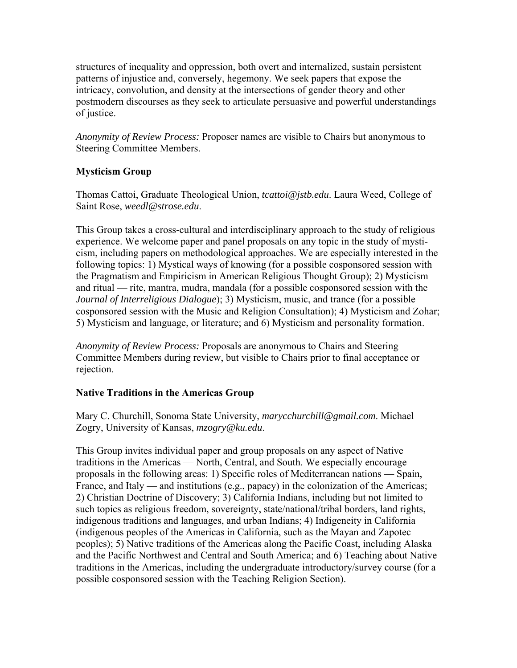structures of inequality and oppression, both overt and internalized, sustain persistent patterns of injustice and, conversely, hegemony. We seek papers that expose the intricacy, convolution, and density at the intersections of gender theory and other postmodern discourses as they seek to articulate persuasive and powerful understandings of justice.

*Anonymity of Review Process:* Proposer names are visible to Chairs but anonymous to Steering Committee Members.

# **Mysticism Group**

Thomas Cattoi, Graduate Theological Union, *tcattoi@jstb.edu*. Laura Weed, College of Saint Rose, *weedl@strose.edu*.

This Group takes a cross-cultural and interdisciplinary approach to the study of religious experience. We welcome paper and panel proposals on any topic in the study of mysticism, including papers on methodological approaches. We are especially interested in the following topics: 1) Mystical ways of knowing (for a possible cosponsored session with the Pragmatism and Empiricism in American Religious Thought Group); 2) Mysticism and ritual — rite, mantra, mudra, mandala (for a possible cosponsored session with the *Journal of Interreligious Dialogue*); 3) Mysticism, music, and trance (for a possible cosponsored session with the Music and Religion Consultation); 4) Mysticism and Zohar; 5) Mysticism and language, or literature; and 6) Mysticism and personality formation.

*Anonymity of Review Process:* Proposals are anonymous to Chairs and Steering Committee Members during review, but visible to Chairs prior to final acceptance or rejection.

# **Native Traditions in the Americas Group**

Mary C. Churchill, Sonoma State University, *marycchurchill@gmail.com*. Michael Zogry, University of Kansas, *mzogry@ku.edu*.

This Group invites individual paper and group proposals on any aspect of Native traditions in the Americas — North, Central, and South. We especially encourage proposals in the following areas: 1) Specific roles of Mediterranean nations — Spain, France, and Italy — and institutions (e.g., papacy) in the colonization of the Americas; 2) Christian Doctrine of Discovery; 3) California Indians, including but not limited to such topics as religious freedom, sovereignty, state/national/tribal borders, land rights, indigenous traditions and languages, and urban Indians; 4) Indigeneity in California (indigenous peoples of the Americas in California, such as the Mayan and Zapotec peoples); 5) Native traditions of the Americas along the Pacific Coast, including Alaska and the Pacific Northwest and Central and South America; and 6) Teaching about Native traditions in the Americas, including the undergraduate introductory/survey course (for a possible cosponsored session with the Teaching Religion Section).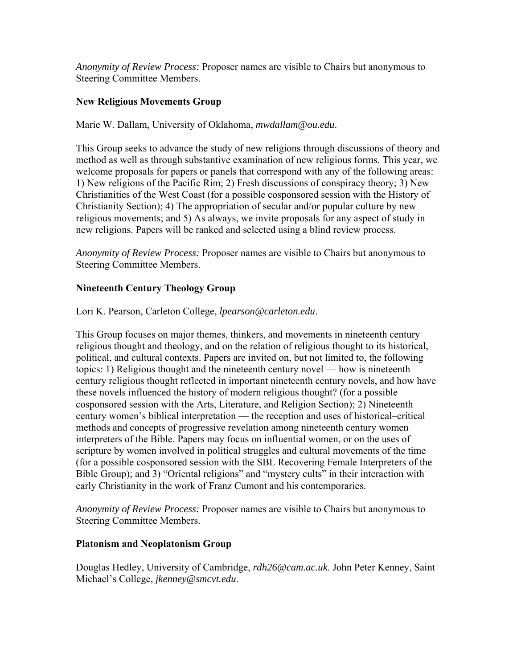*Anonymity of Review Process:* Proposer names are visible to Chairs but anonymous to Steering Committee Members.

### **New Religious Movements Group**

Marie W. Dallam, University of Oklahoma, *mwdallam@ou.edu*.

This Group seeks to advance the study of new religions through discussions of theory and method as well as through substantive examination of new religious forms. This year, we welcome proposals for papers or panels that correspond with any of the following areas: 1) New religions of the Pacific Rim; 2) Fresh discussions of conspiracy theory; 3) New Christianities of the West Coast (for a possible cosponsored session with the History of Christianity Section); 4) The appropriation of secular and/or popular culture by new religious movements; and 5) As always, we invite proposals for any aspect of study in new religions. Papers will be ranked and selected using a blind review process.

*Anonymity of Review Process:* Proposer names are visible to Chairs but anonymous to Steering Committee Members.

### **Nineteenth Century Theology Group**

Lori K. Pearson, Carleton College, *lpearson@carleton.edu*.

This Group focuses on major themes, thinkers, and movements in nineteenth century religious thought and theology, and on the relation of religious thought to its historical, political, and cultural contexts. Papers are invited on, but not limited to, the following topics: 1) Religious thought and the nineteenth century novel — how is nineteenth century religious thought reflected in important nineteenth century novels, and how have these novels influenced the history of modern religious thought? (for a possible cosponsored session with the Arts, Literature, and Religion Section); 2) Nineteenth century women's biblical interpretation — the reception and uses of historical–critical methods and concepts of progressive revelation among nineteenth century women interpreters of the Bible. Papers may focus on influential women, or on the uses of scripture by women involved in political struggles and cultural movements of the time (for a possible cosponsored session with the SBL Recovering Female Interpreters of the Bible Group); and 3) "Oriental religions" and "mystery cults" in their interaction with early Christianity in the work of Franz Cumont and his contemporaries.

*Anonymity of Review Process:* Proposer names are visible to Chairs but anonymous to Steering Committee Members.

#### **Platonism and Neoplatonism Group**

Douglas Hedley, University of Cambridge, *rdh26@cam.ac.uk*. John Peter Kenney, Saint Michael's College, *jkenney@smcvt.edu*.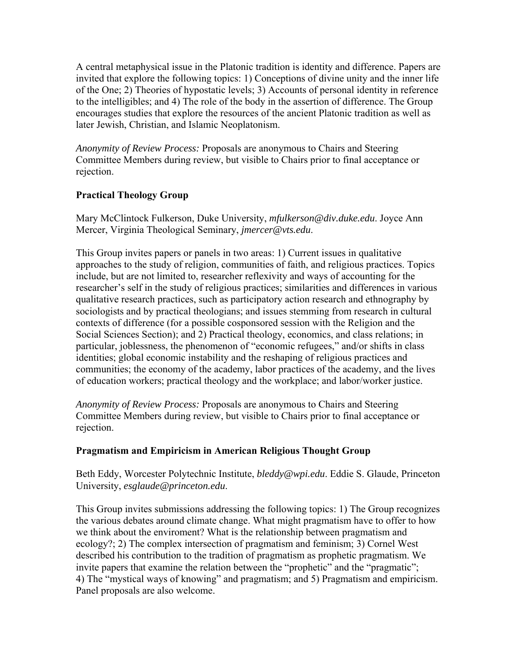A central metaphysical issue in the Platonic tradition is identity and difference. Papers are invited that explore the following topics: 1) Conceptions of divine unity and the inner life of the One; 2) Theories of hypostatic levels; 3) Accounts of personal identity in reference to the intelligibles; and 4) The role of the body in the assertion of difference. The Group encourages studies that explore the resources of the ancient Platonic tradition as well as later Jewish, Christian, and Islamic Neoplatonism.

*Anonymity of Review Process:* Proposals are anonymous to Chairs and Steering Committee Members during review, but visible to Chairs prior to final acceptance or rejection.

# **Practical Theology Group**

Mary McClintock Fulkerson, Duke University, *mfulkerson@div.duke.edu*. Joyce Ann Mercer, Virginia Theological Seminary, *jmercer@vts.edu*.

This Group invites papers or panels in two areas: 1) Current issues in qualitative approaches to the study of religion, communities of faith, and religious practices. Topics include, but are not limited to, researcher reflexivity and ways of accounting for the researcher's self in the study of religious practices; similarities and differences in various qualitative research practices, such as participatory action research and ethnography by sociologists and by practical theologians; and issues stemming from research in cultural contexts of difference (for a possible cosponsored session with the Religion and the Social Sciences Section); and 2) Practical theology, economics, and class relations; in particular, joblessness, the phenomenon of "economic refugees," and/or shifts in class identities; global economic instability and the reshaping of religious practices and communities; the economy of the academy, labor practices of the academy, and the lives of education workers; practical theology and the workplace; and labor/worker justice.

*Anonymity of Review Process:* Proposals are anonymous to Chairs and Steering Committee Members during review, but visible to Chairs prior to final acceptance or rejection.

# **Pragmatism and Empiricism in American Religious Thought Group**

Beth Eddy, Worcester Polytechnic Institute, *bleddy@wpi.edu*. Eddie S. Glaude, Princeton University, *esglaude@princeton.edu*.

This Group invites submissions addressing the following topics: 1) The Group recognizes the various debates around climate change. What might pragmatism have to offer to how we think about the enviroment? What is the relationship between pragmatism and ecology?; 2) The complex intersection of pragmatism and feminism; 3) Cornel West described his contribution to the tradition of pragmatism as prophetic pragmatism. We invite papers that examine the relation between the "prophetic" and the "pragmatic": 4) The "mystical ways of knowing" and pragmatism; and 5) Pragmatism and empiricism. Panel proposals are also welcome.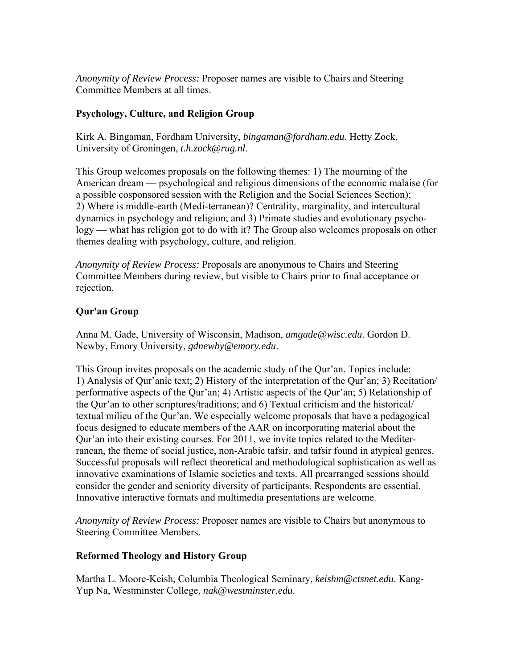*Anonymity of Review Process:* Proposer names are visible to Chairs and Steering Committee Members at all times.

# **Psychology, Culture, and Religion Group**

Kirk A. Bingaman, Fordham University, *bingaman@fordham.edu*. Hetty Zock, University of Groningen, *t.h.zock@rug.nl*.

This Group welcomes proposals on the following themes: 1) The mourning of the American dream — psychological and religious dimensions of the economic malaise (for a possible cosponsored session with the Religion and the Social Sciences Section); 2) Where is middle-earth (Medi-terranean)? Centrality, marginality, and intercultural dynamics in psychology and religion; and 3) Primate studies and evolutionary psychology — what has religion got to do with it? The Group also welcomes proposals on other themes dealing with psychology, culture, and religion.

*Anonymity of Review Process:* Proposals are anonymous to Chairs and Steering Committee Members during review, but visible to Chairs prior to final acceptance or rejection.

# **Qur'an Group**

Anna M. Gade, University of Wisconsin, Madison, *amgade@wisc.edu*. Gordon D. Newby, Emory University, *gdnewby@emory.edu*.

This Group invites proposals on the academic study of the Qur'an. Topics include: 1) Analysis of Qur'anic text; 2) History of the interpretation of the Qur'an; 3) Recitation/ performative aspects of the Qur'an; 4) Artistic aspects of the Qur'an; 5) Relationship of the Qur'an to other scriptures/traditions; and 6) Textual criticism and the historical/ textual milieu of the Qur'an. We especially welcome proposals that have a pedagogical focus designed to educate members of the AAR on incorporating material about the Qur'an into their existing courses. For 2011, we invite topics related to the Mediterranean, the theme of social justice, non-Arabic tafsir, and tafsir found in atypical genres. Successful proposals will reflect theoretical and methodological sophistication as well as innovative examinations of Islamic societies and texts. All prearranged sessions should consider the gender and seniority diversity of participants. Respondents are essential. Innovative interactive formats and multimedia presentations are welcome.

*Anonymity of Review Process:* Proposer names are visible to Chairs but anonymous to Steering Committee Members.

# **Reformed Theology and History Group**

Martha L. Moore-Keish, Columbia Theological Seminary, *keishm@ctsnet.edu*. Kang-Yup Na, Westminster College, *nak@westminster.edu*.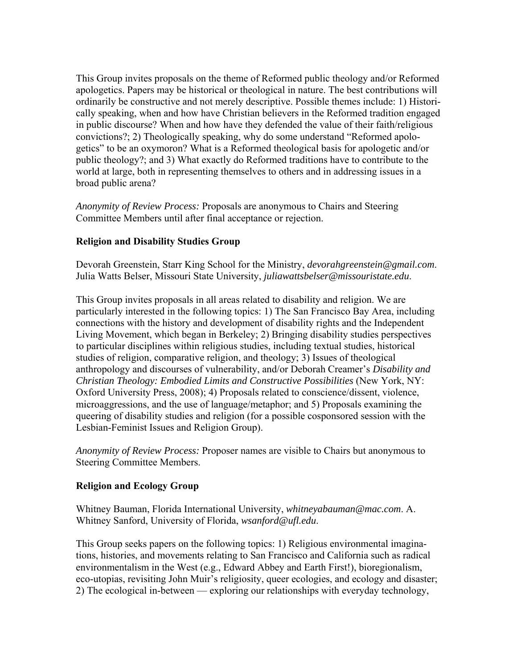This Group invites proposals on the theme of Reformed public theology and/or Reformed apologetics. Papers may be historical or theological in nature. The best contributions will ordinarily be constructive and not merely descriptive. Possible themes include: 1) Historically speaking, when and how have Christian believers in the Reformed tradition engaged in public discourse? When and how have they defended the value of their faith/religious convictions?; 2) Theologically speaking, why do some understand "Reformed apologetics" to be an oxymoron? What is a Reformed theological basis for apologetic and/or public theology?; and 3) What exactly do Reformed traditions have to contribute to the world at large, both in representing themselves to others and in addressing issues in a broad public arena?

*Anonymity of Review Process:* Proposals are anonymous to Chairs and Steering Committee Members until after final acceptance or rejection.

# **Religion and Disability Studies Group**

Devorah Greenstein, Starr King School for the Ministry, *devorahgreenstein@gmail.com*. Julia Watts Belser, Missouri State University, *juliawattsbelser@missouristate.edu*.

This Group invites proposals in all areas related to disability and religion. We are particularly interested in the following topics: 1) The San Francisco Bay Area, including connections with the history and development of disability rights and the Independent Living Movement, which began in Berkeley; 2) Bringing disability studies perspectives to particular disciplines within religious studies, including textual studies, historical studies of religion, comparative religion, and theology; 3) Issues of theological anthropology and discourses of vulnerability, and/or Deborah Creamer's *Disability and Christian Theology: Embodied Limits and Constructive Possibilities* (New York, NY: Oxford University Press, 2008); 4) Proposals related to conscience/dissent, violence, microaggressions, and the use of language/metaphor; and 5) Proposals examining the queering of disability studies and religion (for a possible cosponsored session with the Lesbian-Feminist Issues and Religion Group).

*Anonymity of Review Process:* Proposer names are visible to Chairs but anonymous to Steering Committee Members.

#### **Religion and Ecology Group**

Whitney Bauman, Florida International University, *whitneyabauman@mac.com*. A. Whitney Sanford, University of Florida, *wsanford@ufl.edu*.

This Group seeks papers on the following topics: 1) Religious environmental imaginations, histories, and movements relating to San Francisco and California such as radical environmentalism in the West (e.g., Edward Abbey and Earth First!), bioregionalism, eco-utopias, revisiting John Muir's religiosity, queer ecologies, and ecology and disaster; 2) The ecological in-between — exploring our relationships with everyday technology,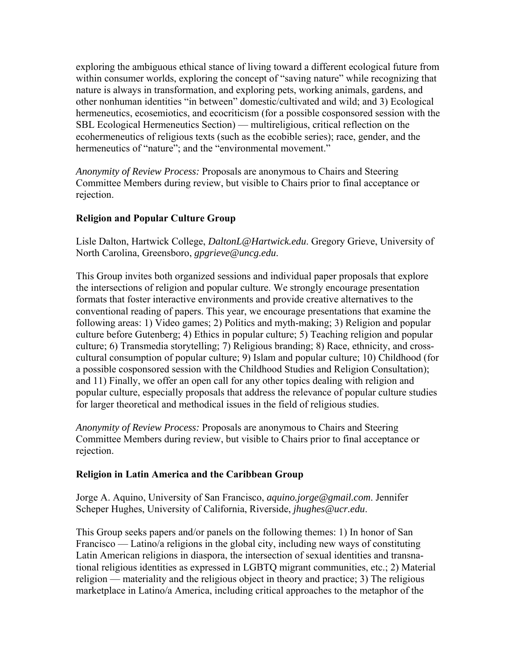exploring the ambiguous ethical stance of living toward a different ecological future from within consumer worlds, exploring the concept of "saving nature" while recognizing that nature is always in transformation, and exploring pets, working animals, gardens, and other nonhuman identities "in between" domestic/cultivated and wild; and 3) Ecological hermeneutics, ecosemiotics, and ecocriticism (for a possible cosponsored session with the SBL Ecological Hermeneutics Section) — multireligious, critical reflection on the ecohermeneutics of religious texts (such as the ecobible series); race, gender, and the hermeneutics of "nature"; and the "environmental movement."

*Anonymity of Review Process:* Proposals are anonymous to Chairs and Steering Committee Members during review, but visible to Chairs prior to final acceptance or rejection.

# **Religion and Popular Culture Group**

Lisle Dalton, Hartwick College, *DaltonL@Hartwick.edu*. Gregory Grieve, University of North Carolina, Greensboro, *gpgrieve@uncg.edu*.

This Group invites both organized sessions and individual paper proposals that explore the intersections of religion and popular culture. We strongly encourage presentation formats that foster interactive environments and provide creative alternatives to the conventional reading of papers. This year, we encourage presentations that examine the following areas: 1) Video games; 2) Politics and myth-making; 3) Religion and popular culture before Gutenberg; 4) Ethics in popular culture; 5) Teaching religion and popular culture; 6) Transmedia storytelling; 7) Religious branding; 8) Race, ethnicity, and crosscultural consumption of popular culture; 9) Islam and popular culture; 10) Childhood (for a possible cosponsored session with the Childhood Studies and Religion Consultation); and 11) Finally, we offer an open call for any other topics dealing with religion and popular culture, especially proposals that address the relevance of popular culture studies for larger theoretical and methodical issues in the field of religious studies.

*Anonymity of Review Process:* Proposals are anonymous to Chairs and Steering Committee Members during review, but visible to Chairs prior to final acceptance or rejection.

# **Religion in Latin America and the Caribbean Group**

Jorge A. Aquino, University of San Francisco, *aquino.jorge@gmail.com*. Jennifer Scheper Hughes, University of California, Riverside, *jhughes@ucr.edu*.

This Group seeks papers and/or panels on the following themes: 1) In honor of San Francisco — Latino/a religions in the global city, including new ways of constituting Latin American religions in diaspora, the intersection of sexual identities and transnational religious identities as expressed in LGBTQ migrant communities, etc.; 2) Material religion — materiality and the religious object in theory and practice; 3) The religious marketplace in Latino/a America, including critical approaches to the metaphor of the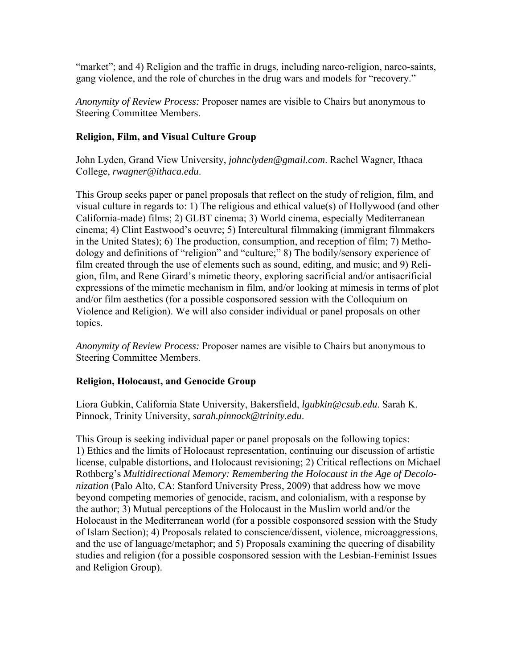"market"; and 4) Religion and the traffic in drugs, including narco-religion, narco-saints, gang violence, and the role of churches in the drug wars and models for "recovery."

*Anonymity of Review Process:* Proposer names are visible to Chairs but anonymous to Steering Committee Members.

# **Religion, Film, and Visual Culture Group**

John Lyden, Grand View University, *johnclyden@gmail.com*. Rachel Wagner, Ithaca College, *rwagner@ithaca.edu*.

This Group seeks paper or panel proposals that reflect on the study of religion, film, and visual culture in regards to: 1) The religious and ethical value(s) of Hollywood (and other California-made) films; 2) GLBT cinema; 3) World cinema, especially Mediterranean cinema; 4) Clint Eastwood's oeuvre; 5) Intercultural filmmaking (immigrant filmmakers in the United States); 6) The production, consumption, and reception of film; 7) Methodology and definitions of "religion" and "culture;" 8) The bodily/sensory experience of film created through the use of elements such as sound, editing, and music; and 9) Religion, film, and Rene Girard's mimetic theory, exploring sacrificial and/or antisacrificial expressions of the mimetic mechanism in film, and/or looking at mimesis in terms of plot and/or film aesthetics (for a possible cosponsored session with the Colloquium on Violence and Religion). We will also consider individual or panel proposals on other topics.

*Anonymity of Review Process:* Proposer names are visible to Chairs but anonymous to Steering Committee Members.

# **Religion, Holocaust, and Genocide Group**

Liora Gubkin, California State University, Bakersfield, *lgubkin@csub.edu*. Sarah K. Pinnock, Trinity University, *sarah.pinnock@trinity.edu*.

This Group is seeking individual paper or panel proposals on the following topics: 1) Ethics and the limits of Holocaust representation, continuing our discussion of artistic license, culpable distortions, and Holocaust revisioning; 2) Critical reflections on Michael Rothberg's *Multidirectional Memory: Remembering the Holocaust in the Age of Decolonization* (Palo Alto, CA: Stanford University Press, 2009) that address how we move beyond competing memories of genocide, racism, and colonialism, with a response by the author; 3) Mutual perceptions of the Holocaust in the Muslim world and/or the Holocaust in the Mediterranean world (for a possible cosponsored session with the Study of Islam Section); 4) Proposals related to conscience/dissent, violence, microaggressions, and the use of language/metaphor; and 5) Proposals examining the queering of disability studies and religion (for a possible cosponsored session with the Lesbian-Feminist Issues and Religion Group).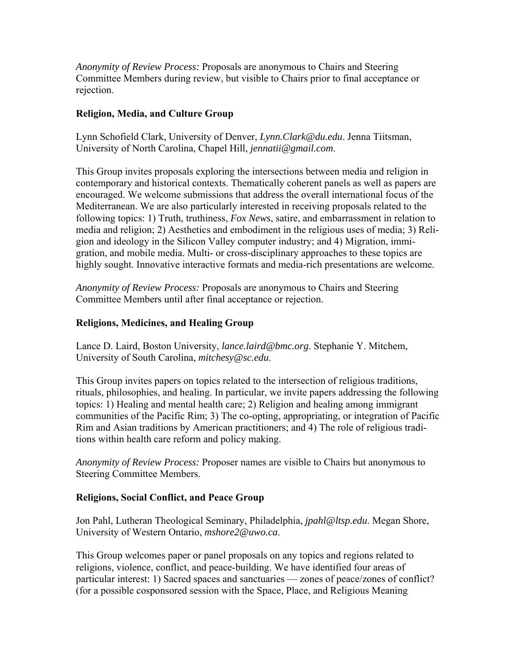*Anonymity of Review Process:* Proposals are anonymous to Chairs and Steering Committee Members during review, but visible to Chairs prior to final acceptance or rejection.

### **Religion, Media, and Culture Group**

Lynn Schofield Clark, University of Denver, *Lynn.Clark@du.edu*. Jenna Tiitsman, University of North Carolina, Chapel Hill, *jennatii@gmail.com*.

This Group invites proposals exploring the intersections between media and religion in contemporary and historical contexts. Thematically coherent panels as well as papers are encouraged. We welcome submissions that address the overall international focus of the Mediterranean. We are also particularly interested in receiving proposals related to the following topics: 1) Truth, truthiness, *Fox News*, satire, and embarrassment in relation to media and religion; 2) Aesthetics and embodiment in the religious uses of media; 3) Religion and ideology in the Silicon Valley computer industry; and 4) Migration, immigration, and mobile media. Multi- or cross-disciplinary approaches to these topics are highly sought. Innovative interactive formats and media-rich presentations are welcome.

*Anonymity of Review Process:* Proposals are anonymous to Chairs and Steering Committee Members until after final acceptance or rejection.

# **Religions, Medicines, and Healing Group**

Lance D. Laird, Boston University, *lance.laird@bmc.org*. Stephanie Y. Mitchem, University of South Carolina, *mitchesy@sc.edu*.

This Group invites papers on topics related to the intersection of religious traditions, rituals, philosophies, and healing. In particular, we invite papers addressing the following topics: 1) Healing and mental health care; 2) Religion and healing among immigrant communities of the Pacific Rim; 3) The co-opting, appropriating, or integration of Pacific Rim and Asian traditions by American practitioners; and 4) The role of religious traditions within health care reform and policy making.

*Anonymity of Review Process:* Proposer names are visible to Chairs but anonymous to Steering Committee Members.

#### **Religions, Social Conflict, and Peace Group**

Jon Pahl, Lutheran Theological Seminary, Philadelphia, *jpahl@ltsp.edu*. Megan Shore, University of Western Ontario, *mshore2@uwo.ca*.

This Group welcomes paper or panel proposals on any topics and regions related to religions, violence, conflict, and peace-building. We have identified four areas of particular interest: 1) Sacred spaces and sanctuaries — zones of peace/zones of conflict? (for a possible cosponsored session with the Space, Place, and Religious Meaning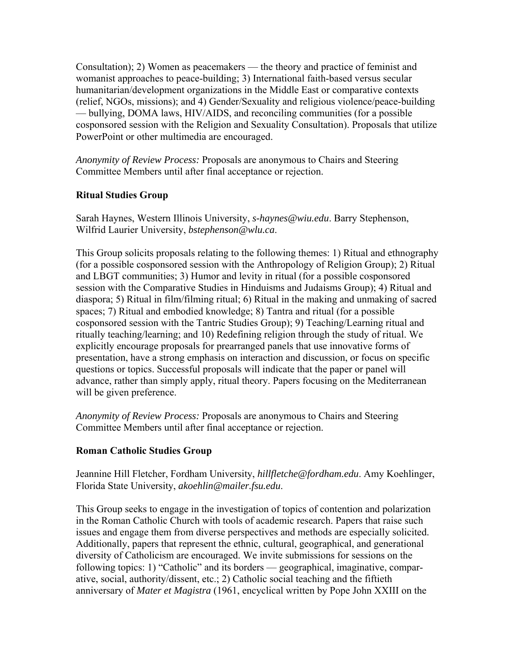Consultation); 2) Women as peacemakers — the theory and practice of feminist and womanist approaches to peace-building; 3) International faith-based versus secular humanitarian/development organizations in the Middle East or comparative contexts (relief, NGOs, missions); and 4) Gender/Sexuality and religious violence/peace-building — bullying, DOMA laws, HIV/AIDS, and reconciling communities (for a possible cosponsored session with the Religion and Sexuality Consultation). Proposals that utilize PowerPoint or other multimedia are encouraged.

*Anonymity of Review Process:* Proposals are anonymous to Chairs and Steering Committee Members until after final acceptance or rejection.

### **Ritual Studies Group**

Sarah Haynes, Western Illinois University, *s-haynes@wiu.edu*. Barry Stephenson, Wilfrid Laurier University, *bstephenson@wlu.ca*.

This Group solicits proposals relating to the following themes: 1) Ritual and ethnography (for a possible cosponsored session with the Anthropology of Religion Group); 2) Ritual and LBGT communities; 3) Humor and levity in ritual (for a possible cosponsored session with the Comparative Studies in Hinduisms and Judaisms Group); 4) Ritual and diaspora; 5) Ritual in film/filming ritual; 6) Ritual in the making and unmaking of sacred spaces; 7) Ritual and embodied knowledge; 8) Tantra and ritual (for a possible cosponsored session with the Tantric Studies Group); 9) Teaching/Learning ritual and ritually teaching/learning; and 10) Redefining religion through the study of ritual. We explicitly encourage proposals for prearranged panels that use innovative forms of presentation, have a strong emphasis on interaction and discussion, or focus on specific questions or topics. Successful proposals will indicate that the paper or panel will advance, rather than simply apply, ritual theory. Papers focusing on the Mediterranean will be given preference.

*Anonymity of Review Process:* Proposals are anonymous to Chairs and Steering Committee Members until after final acceptance or rejection.

#### **Roman Catholic Studies Group**

Jeannine Hill Fletcher, Fordham University, *hillfletche@fordham.edu*. Amy Koehlinger, Florida State University, *akoehlin@mailer.fsu.edu*.

This Group seeks to engage in the investigation of topics of contention and polarization in the Roman Catholic Church with tools of academic research. Papers that raise such issues and engage them from diverse perspectives and methods are especially solicited. Additionally, papers that represent the ethnic, cultural, geographical, and generational diversity of Catholicism are encouraged. We invite submissions for sessions on the following topics: 1) "Catholic" and its borders — geographical, imaginative, comparative, social, authority/dissent, etc.; 2) Catholic social teaching and the fiftieth anniversary of *Mater et Magistra* (1961, encyclical written by Pope John XXIII on the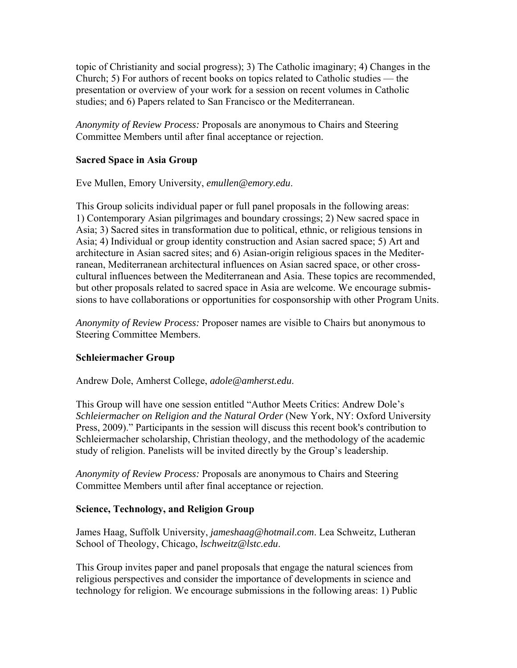topic of Christianity and social progress); 3) The Catholic imaginary; 4) Changes in the Church; 5) For authors of recent books on topics related to Catholic studies — the presentation or overview of your work for a session on recent volumes in Catholic studies; and 6) Papers related to San Francisco or the Mediterranean.

*Anonymity of Review Process:* Proposals are anonymous to Chairs and Steering Committee Members until after final acceptance or rejection.

### **Sacred Space in Asia Group**

Eve Mullen, Emory University, *emullen@emory.edu*.

This Group solicits individual paper or full panel proposals in the following areas: 1) Contemporary Asian pilgrimages and boundary crossings; 2) New sacred space in Asia; 3) Sacred sites in transformation due to political, ethnic, or religious tensions in Asia; 4) Individual or group identity construction and Asian sacred space; 5) Art and architecture in Asian sacred sites; and 6) Asian-origin religious spaces in the Mediterranean, Mediterranean architectural influences on Asian sacred space, or other crosscultural influences between the Mediterranean and Asia. These topics are recommended, but other proposals related to sacred space in Asia are welcome. We encourage submissions to have collaborations or opportunities for cosponsorship with other Program Units.

*Anonymity of Review Process:* Proposer names are visible to Chairs but anonymous to Steering Committee Members.

#### **Schleiermacher Group**

Andrew Dole, Amherst College, *adole@amherst.edu*.

This Group will have one session entitled "Author Meets Critics: Andrew Dole's *Schleiermacher on Religion and the Natural Order* (New York, NY: Oxford University Press, 2009)." Participants in the session will discuss this recent book's contribution to Schleiermacher scholarship, Christian theology, and the methodology of the academic study of religion. Panelists will be invited directly by the Group's leadership.

*Anonymity of Review Process:* Proposals are anonymous to Chairs and Steering Committee Members until after final acceptance or rejection.

#### **Science, Technology, and Religion Group**

James Haag, Suffolk University, *jameshaag@hotmail.com*. Lea Schweitz, Lutheran School of Theology, Chicago, *lschweitz@lstc.edu*.

This Group invites paper and panel proposals that engage the natural sciences from religious perspectives and consider the importance of developments in science and technology for religion. We encourage submissions in the following areas: 1) Public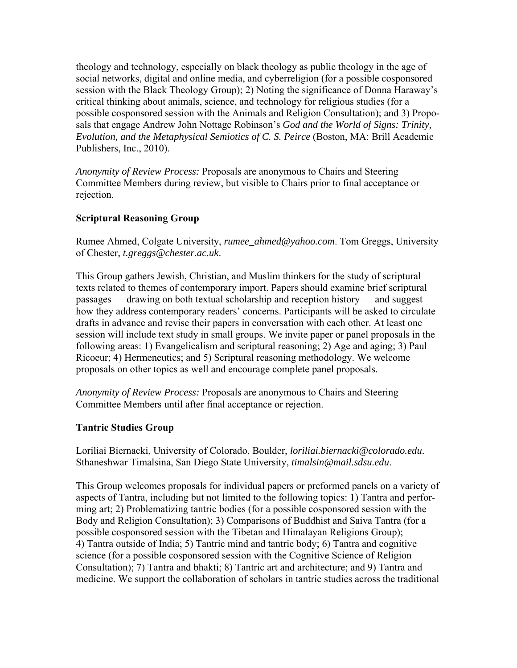theology and technology, especially on black theology as public theology in the age of social networks, digital and online media, and cyberreligion (for a possible cosponsored session with the Black Theology Group); 2) Noting the significance of Donna Haraway's critical thinking about animals, science, and technology for religious studies (for a possible cosponsored session with the Animals and Religion Consultation); and 3) Proposals that engage Andrew John Nottage Robinson's *God and the World of Signs: Trinity, Evolution, and the Metaphysical Semiotics of C. S. Peirce* (Boston, MA: Brill Academic Publishers, Inc., 2010).

*Anonymity of Review Process:* Proposals are anonymous to Chairs and Steering Committee Members during review, but visible to Chairs prior to final acceptance or rejection.

# **Scriptural Reasoning Group**

Rumee Ahmed, Colgate University, *rumee\_ahmed@yahoo.com*. Tom Greggs, University of Chester, *t.greggs@chester.ac.uk*.

This Group gathers Jewish, Christian, and Muslim thinkers for the study of scriptural texts related to themes of contemporary import. Papers should examine brief scriptural passages — drawing on both textual scholarship and reception history — and suggest how they address contemporary readers' concerns. Participants will be asked to circulate drafts in advance and revise their papers in conversation with each other. At least one session will include text study in small groups. We invite paper or panel proposals in the following areas: 1) Evangelicalism and scriptural reasoning; 2) Age and aging; 3) Paul Ricoeur; 4) Hermeneutics; and 5) Scriptural reasoning methodology. We welcome proposals on other topics as well and encourage complete panel proposals.

*Anonymity of Review Process:* Proposals are anonymous to Chairs and Steering Committee Members until after final acceptance or rejection.

# **Tantric Studies Group**

Loriliai Biernacki, University of Colorado, Boulder, *loriliai.biernacki@colorado.edu*. Sthaneshwar Timalsina, San Diego State University, *timalsin@mail.sdsu.edu*.

This Group welcomes proposals for individual papers or preformed panels on a variety of aspects of Tantra, including but not limited to the following topics: 1) Tantra and performing art; 2) Problematizing tantric bodies (for a possible cosponsored session with the Body and Religion Consultation); 3) Comparisons of Buddhist and Saiva Tantra (for a possible cosponsored session with the Tibetan and Himalayan Religions Group); 4) Tantra outside of India; 5) Tantric mind and tantric body; 6) Tantra and cognitive science (for a possible cosponsored session with the Cognitive Science of Religion Consultation); 7) Tantra and bhakti; 8) Tantric art and architecture; and 9) Tantra and medicine. We support the collaboration of scholars in tantric studies across the traditional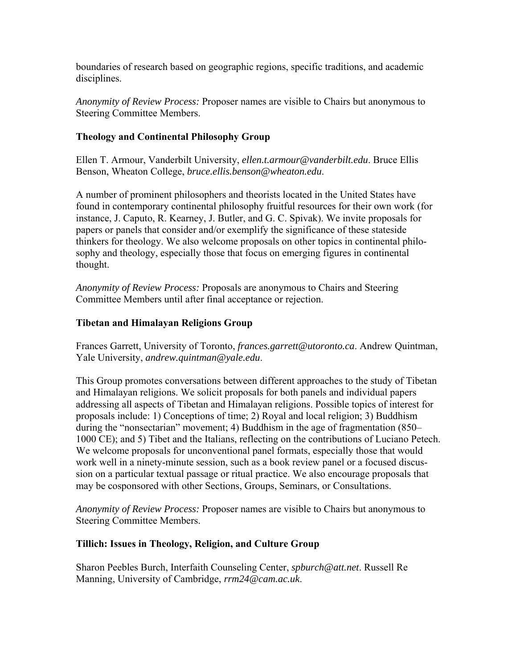boundaries of research based on geographic regions, specific traditions, and academic disciplines.

*Anonymity of Review Process:* Proposer names are visible to Chairs but anonymous to Steering Committee Members.

# **Theology and Continental Philosophy Group**

Ellen T. Armour, Vanderbilt University, *ellen.t.armour@vanderbilt.edu*. Bruce Ellis Benson, Wheaton College, *bruce.ellis.benson@wheaton.edu*.

A number of prominent philosophers and theorists located in the United States have found in contemporary continental philosophy fruitful resources for their own work (for instance, J. Caputo, R. Kearney, J. Butler, and G. C. Spivak). We invite proposals for papers or panels that consider and/or exemplify the significance of these stateside thinkers for theology. We also welcome proposals on other topics in continental philosophy and theology, especially those that focus on emerging figures in continental thought.

*Anonymity of Review Process:* Proposals are anonymous to Chairs and Steering Committee Members until after final acceptance or rejection.

# **Tibetan and Himalayan Religions Group**

Frances Garrett, University of Toronto, *frances.garrett@utoronto.ca*. Andrew Quintman, Yale University, *andrew.quintman@yale.edu*.

This Group promotes conversations between different approaches to the study of Tibetan and Himalayan religions. We solicit proposals for both panels and individual papers addressing all aspects of Tibetan and Himalayan religions. Possible topics of interest for proposals include: 1) Conceptions of time; 2) Royal and local religion; 3) Buddhism during the "nonsectarian" movement; 4) Buddhism in the age of fragmentation (850– 1000 CE); and 5) Tibet and the Italians, reflecting on the contributions of Luciano Petech. We welcome proposals for unconventional panel formats, especially those that would work well in a ninety-minute session, such as a book review panel or a focused discussion on a particular textual passage or ritual practice. We also encourage proposals that may be cosponsored with other Sections, Groups, Seminars, or Consultations.

*Anonymity of Review Process:* Proposer names are visible to Chairs but anonymous to Steering Committee Members.

# **Tillich: Issues in Theology, Religion, and Culture Group**

Sharon Peebles Burch, Interfaith Counseling Center, *spburch@att.net*. Russell Re Manning, University of Cambridge, *rrm24@cam.ac.uk*.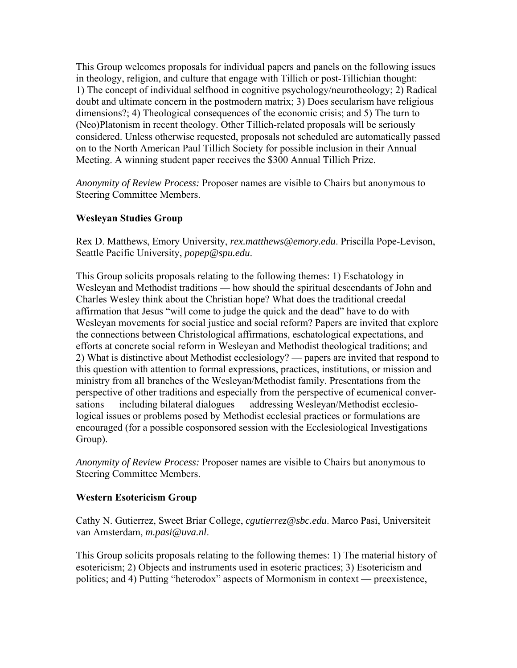This Group welcomes proposals for individual papers and panels on the following issues in theology, religion, and culture that engage with Tillich or post-Tillichian thought: 1) The concept of individual selfhood in cognitive psychology/neurotheology; 2) Radical doubt and ultimate concern in the postmodern matrix; 3) Does secularism have religious dimensions?; 4) Theological consequences of the economic crisis; and 5) The turn to (Neo)Platonism in recent theology. Other Tillich-related proposals will be seriously considered. Unless otherwise requested, proposals not scheduled are automatically passed on to the North American Paul Tillich Society for possible inclusion in their Annual Meeting. A winning student paper receives the \$300 Annual Tillich Prize.

*Anonymity of Review Process:* Proposer names are visible to Chairs but anonymous to Steering Committee Members.

# **Wesleyan Studies Group**

Rex D. Matthews, Emory University, *rex.matthews@emory.edu*. Priscilla Pope-Levison, Seattle Pacific University, *popep@spu.edu*.

This Group solicits proposals relating to the following themes: 1) Eschatology in Wesleyan and Methodist traditions — how should the spiritual descendants of John and Charles Wesley think about the Christian hope? What does the traditional creedal affirmation that Jesus "will come to judge the quick and the dead" have to do with Wesleyan movements for social justice and social reform? Papers are invited that explore the connections between Christological affirmations, eschatological expectations, and efforts at concrete social reform in Wesleyan and Methodist theological traditions; and 2) What is distinctive about Methodist ecclesiology? — papers are invited that respond to this question with attention to formal expressions, practices, institutions, or mission and ministry from all branches of the Wesleyan/Methodist family. Presentations from the perspective of other traditions and especially from the perspective of ecumenical conversations — including bilateral dialogues — addressing Wesleyan/Methodist ecclesiological issues or problems posed by Methodist ecclesial practices or formulations are encouraged (for a possible cosponsored session with the Ecclesiological Investigations Group).

*Anonymity of Review Process:* Proposer names are visible to Chairs but anonymous to Steering Committee Members.

#### **Western Esotericism Group**

Cathy N. Gutierrez, Sweet Briar College, *cgutierrez@sbc.edu*. Marco Pasi, Universiteit van Amsterdam, *m.pasi@uva.nl*.

This Group solicits proposals relating to the following themes: 1) The material history of esotericism; 2) Objects and instruments used in esoteric practices; 3) Esotericism and politics; and 4) Putting "heterodox" aspects of Mormonism in context — preexistence,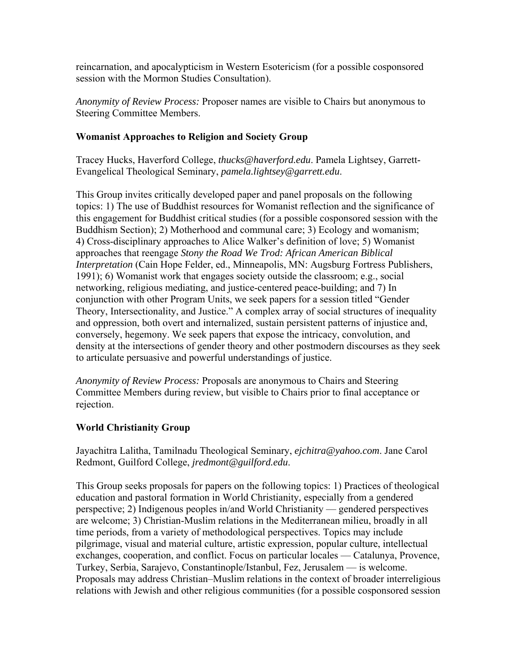reincarnation, and apocalypticism in Western Esotericism (for a possible cosponsored session with the Mormon Studies Consultation).

*Anonymity of Review Process:* Proposer names are visible to Chairs but anonymous to Steering Committee Members.

### **Womanist Approaches to Religion and Society Group**

Tracey Hucks, Haverford College, *thucks@haverford.edu*. Pamela Lightsey, Garrett-Evangelical Theological Seminary, *pamela.lightsey@garrett.edu*.

This Group invites critically developed paper and panel proposals on the following topics: 1) The use of Buddhist resources for Womanist reflection and the significance of this engagement for Buddhist critical studies (for a possible cosponsored session with the Buddhism Section); 2) Motherhood and communal care; 3) Ecology and womanism; 4) Cross-disciplinary approaches to Alice Walker's definition of love; 5) Womanist approaches that reengage *Stony the Road We Trod: African American Biblical Interpretation* (Cain Hope Felder, ed., Minneapolis, MN: Augsburg Fortress Publishers, 1991); 6) Womanist work that engages society outside the classroom; e.g., social networking, religious mediating, and justice-centered peace-building; and 7) In conjunction with other Program Units, we seek papers for a session titled "Gender Theory, Intersectionality, and Justice." A complex array of social structures of inequality and oppression, both overt and internalized, sustain persistent patterns of injustice and, conversely, hegemony. We seek papers that expose the intricacy, convolution, and density at the intersections of gender theory and other postmodern discourses as they seek to articulate persuasive and powerful understandings of justice.

*Anonymity of Review Process:* Proposals are anonymous to Chairs and Steering Committee Members during review, but visible to Chairs prior to final acceptance or rejection.

# **World Christianity Group**

Jayachitra Lalitha, Tamilnadu Theological Seminary, *ejchitra@yahoo.com*. Jane Carol Redmont, Guilford College, *jredmont@guilford.edu*.

This Group seeks proposals for papers on the following topics: 1) Practices of theological education and pastoral formation in World Christianity, especially from a gendered perspective; 2) Indigenous peoples in/and World Christianity — gendered perspectives are welcome; 3) Christian-Muslim relations in the Mediterranean milieu, broadly in all time periods, from a variety of methodological perspectives. Topics may include pilgrimage, visual and material culture, artistic expression, popular culture, intellectual exchanges, cooperation, and conflict. Focus on particular locales — Catalunya, Provence, Turkey, Serbia, Sarajevo, Constantinople/Istanbul, Fez, Jerusalem — is welcome. Proposals may address Christian–Muslim relations in the context of broader interreligious relations with Jewish and other religious communities (for a possible cosponsored session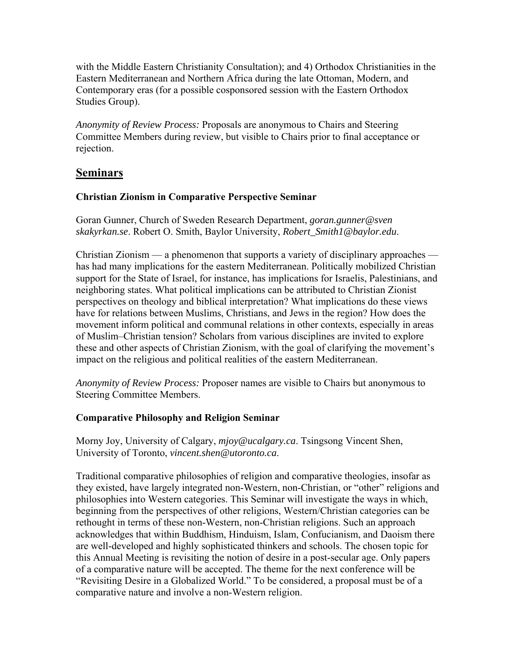with the Middle Eastern Christianity Consultation); and 4) Orthodox Christianities in the Eastern Mediterranean and Northern Africa during the late Ottoman, Modern, and Contemporary eras (for a possible cosponsored session with the Eastern Orthodox Studies Group).

*Anonymity of Review Process:* Proposals are anonymous to Chairs and Steering Committee Members during review, but visible to Chairs prior to final acceptance or rejection.

# **Seminars**

# **Christian Zionism in Comparative Perspective Seminar**

Goran Gunner, Church of Sweden Research Department, *goran.gunner@sven skakyrkan.se*. Robert O. Smith, Baylor University, *Robert\_Smith1@baylor.edu*.

Christian Zionism — a phenomenon that supports a variety of disciplinary approaches has had many implications for the eastern Mediterranean. Politically mobilized Christian support for the State of Israel, for instance, has implications for Israelis, Palestinians, and neighboring states. What political implications can be attributed to Christian Zionist perspectives on theology and biblical interpretation? What implications do these views have for relations between Muslims, Christians, and Jews in the region? How does the movement inform political and communal relations in other contexts, especially in areas of Muslim–Christian tension? Scholars from various disciplines are invited to explore these and other aspects of Christian Zionism, with the goal of clarifying the movement's impact on the religious and political realities of the eastern Mediterranean.

*Anonymity of Review Process:* Proposer names are visible to Chairs but anonymous to Steering Committee Members.

# **Comparative Philosophy and Religion Seminar**

Morny Joy, University of Calgary, *mjoy@ucalgary.ca*. Tsingsong Vincent Shen, University of Toronto, *vincent.shen@utoronto.ca*.

Traditional comparative philosophies of religion and comparative theologies, insofar as they existed, have largely integrated non-Western, non-Christian, or "other" religions and philosophies into Western categories. This Seminar will investigate the ways in which, beginning from the perspectives of other religions, Western/Christian categories can be rethought in terms of these non-Western, non-Christian religions. Such an approach acknowledges that within Buddhism, Hinduism, Islam, Confucianism, and Daoism there are well-developed and highly sophisticated thinkers and schools. The chosen topic for this Annual Meeting is revisiting the notion of desire in a post-secular age. Only papers of a comparative nature will be accepted. The theme for the next conference will be "Revisiting Desire in a Globalized World." To be considered, a proposal must be of a comparative nature and involve a non-Western religion.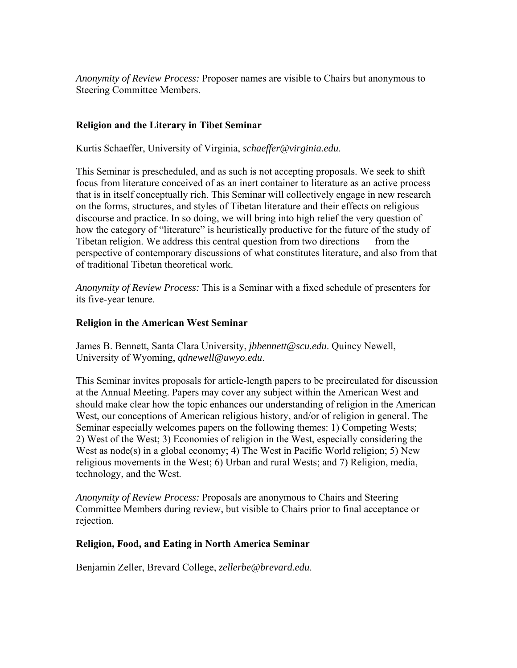*Anonymity of Review Process:* Proposer names are visible to Chairs but anonymous to Steering Committee Members.

### **Religion and the Literary in Tibet Seminar**

Kurtis Schaeffer, University of Virginia, *schaeffer@virginia.edu*.

This Seminar is prescheduled, and as such is not accepting proposals. We seek to shift focus from literature conceived of as an inert container to literature as an active process that is in itself conceptually rich. This Seminar will collectively engage in new research on the forms, structures, and styles of Tibetan literature and their effects on religious discourse and practice. In so doing, we will bring into high relief the very question of how the category of "literature" is heuristically productive for the future of the study of Tibetan religion. We address this central question from two directions — from the perspective of contemporary discussions of what constitutes literature, and also from that of traditional Tibetan theoretical work.

*Anonymity of Review Process:* This is a Seminar with a fixed schedule of presenters for its five-year tenure.

#### **Religion in the American West Seminar**

James B. Bennett, Santa Clara University, *jbbennett@scu.edu*. Quincy Newell, University of Wyoming, *qdnewell@uwyo.edu*.

This Seminar invites proposals for article-length papers to be precirculated for discussion at the Annual Meeting. Papers may cover any subject within the American West and should make clear how the topic enhances our understanding of religion in the American West, our conceptions of American religious history, and/or of religion in general. The Seminar especially welcomes papers on the following themes: 1) Competing Wests; 2) West of the West; 3) Economies of religion in the West, especially considering the West as node(s) in a global economy; 4) The West in Pacific World religion; 5) New religious movements in the West; 6) Urban and rural Wests; and 7) Religion, media, technology, and the West.

*Anonymity of Review Process:* Proposals are anonymous to Chairs and Steering Committee Members during review, but visible to Chairs prior to final acceptance or rejection.

#### **Religion, Food, and Eating in North America Seminar**

Benjamin Zeller, Brevard College, *zellerbe@brevard.edu*.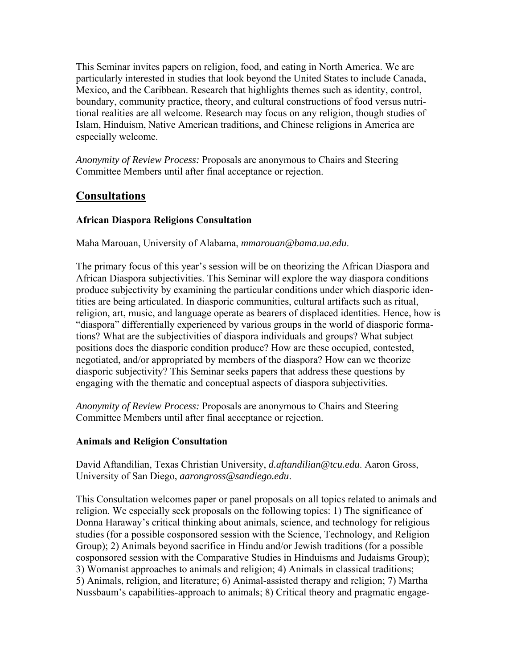This Seminar invites papers on religion, food, and eating in North America. We are particularly interested in studies that look beyond the United States to include Canada, Mexico, and the Caribbean. Research that highlights themes such as identity, control, boundary, community practice, theory, and cultural constructions of food versus nutritional realities are all welcome. Research may focus on any religion, though studies of Islam, Hinduism, Native American traditions, and Chinese religions in America are especially welcome.

*Anonymity of Review Process:* Proposals are anonymous to Chairs and Steering Committee Members until after final acceptance or rejection.

# **Consultations**

# **African Diaspora Religions Consultation**

Maha Marouan, University of Alabama, *mmarouan@bama.ua.edu*.

The primary focus of this year's session will be on theorizing the African Diaspora and African Diaspora subjectivities. This Seminar will explore the way diaspora conditions produce subjectivity by examining the particular conditions under which diasporic identities are being articulated. In diasporic communities, cultural artifacts such as ritual, religion, art, music, and language operate as bearers of displaced identities. Hence, how is "diaspora" differentially experienced by various groups in the world of diasporic formations? What are the subjectivities of diaspora individuals and groups? What subject positions does the diasporic condition produce? How are these occupied, contested, negotiated, and/or appropriated by members of the diaspora? How can we theorize diasporic subjectivity? This Seminar seeks papers that address these questions by engaging with the thematic and conceptual aspects of diaspora subjectivities.

*Anonymity of Review Process:* Proposals are anonymous to Chairs and Steering Committee Members until after final acceptance or rejection.

# **Animals and Religion Consultation**

David Aftandilian, Texas Christian University, *d.aftandilian@tcu.edu*. Aaron Gross, University of San Diego, *aarongross@sandiego.edu*.

This Consultation welcomes paper or panel proposals on all topics related to animals and religion. We especially seek proposals on the following topics: 1) The significance of Donna Haraway's critical thinking about animals, science, and technology for religious studies (for a possible cosponsored session with the Science, Technology, and Religion Group); 2) Animals beyond sacrifice in Hindu and/or Jewish traditions (for a possible cosponsored session with the Comparative Studies in Hinduisms and Judaisms Group); 3) Womanist approaches to animals and religion; 4) Animals in classical traditions; 5) Animals, religion, and literature; 6) Animal-assisted therapy and religion; 7) Martha Nussbaum's capabilities-approach to animals; 8) Critical theory and pragmatic engage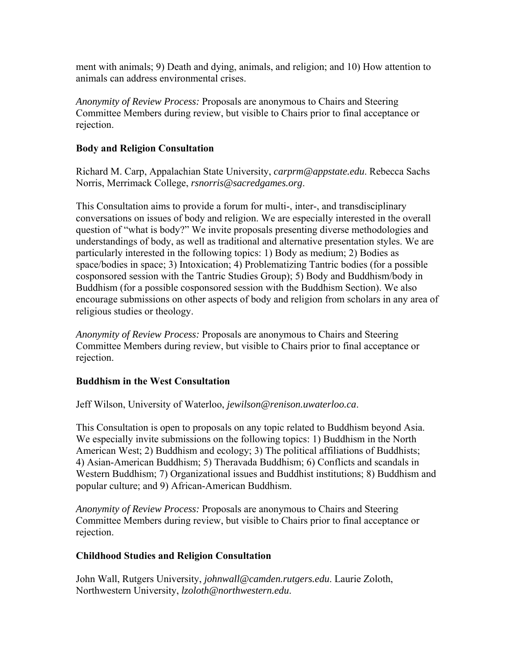ment with animals; 9) Death and dying, animals, and religion; and 10) How attention to animals can address environmental crises.

*Anonymity of Review Process:* Proposals are anonymous to Chairs and Steering Committee Members during review, but visible to Chairs prior to final acceptance or rejection.

### **Body and Religion Consultation**

Richard M. Carp, Appalachian State University, *carprm@appstate.edu*. Rebecca Sachs Norris, Merrimack College, *rsnorris@sacredgames.org*.

This Consultation aims to provide a forum for multi-, inter-, and transdisciplinary conversations on issues of body and religion. We are especially interested in the overall question of "what is body?" We invite proposals presenting diverse methodologies and understandings of body, as well as traditional and alternative presentation styles. We are particularly interested in the following topics: 1) Body as medium; 2) Bodies as space/bodies in space; 3) Intoxication; 4) Problematizing Tantric bodies (for a possible cosponsored session with the Tantric Studies Group); 5) Body and Buddhism/body in Buddhism (for a possible cosponsored session with the Buddhism Section). We also encourage submissions on other aspects of body and religion from scholars in any area of religious studies or theology.

*Anonymity of Review Process:* Proposals are anonymous to Chairs and Steering Committee Members during review, but visible to Chairs prior to final acceptance or rejection.

#### **Buddhism in the West Consultation**

Jeff Wilson, University of Waterloo, *jewilson@renison.uwaterloo.ca*.

This Consultation is open to proposals on any topic related to Buddhism beyond Asia. We especially invite submissions on the following topics: 1) Buddhism in the North American West; 2) Buddhism and ecology; 3) The political affiliations of Buddhists; 4) Asian-American Buddhism; 5) Theravada Buddhism; 6) Conflicts and scandals in Western Buddhism; 7) Organizational issues and Buddhist institutions; 8) Buddhism and popular culture; and 9) African-American Buddhism.

*Anonymity of Review Process:* Proposals are anonymous to Chairs and Steering Committee Members during review, but visible to Chairs prior to final acceptance or rejection.

#### **Childhood Studies and Religion Consultation**

John Wall, Rutgers University, *johnwall@camden.rutgers.edu*. Laurie Zoloth, Northwestern University, *lzoloth@northwestern.edu*.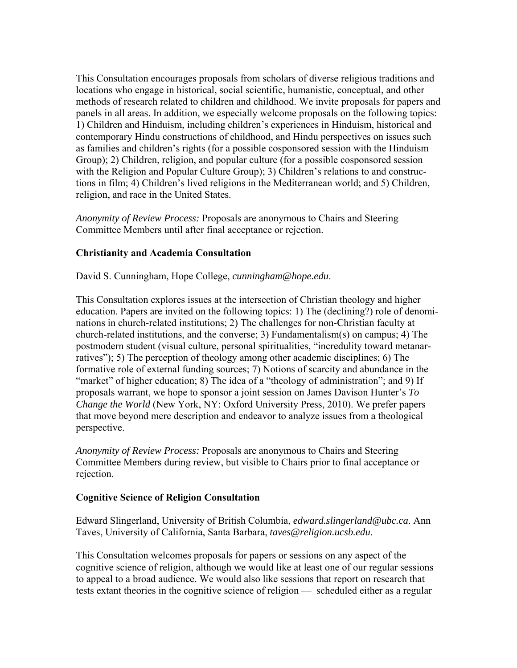This Consultation encourages proposals from scholars of diverse religious traditions and locations who engage in historical, social scientific, humanistic, conceptual, and other methods of research related to children and childhood. We invite proposals for papers and panels in all areas. In addition, we especially welcome proposals on the following topics: 1) Children and Hinduism, including children's experiences in Hinduism, historical and contemporary Hindu constructions of childhood, and Hindu perspectives on issues such as families and children's rights (for a possible cosponsored session with the Hinduism Group); 2) Children, religion, and popular culture (for a possible cosponsored session with the Religion and Popular Culture Group); 3) Children's relations to and constructions in film; 4) Children's lived religions in the Mediterranean world; and 5) Children, religion, and race in the United States.

*Anonymity of Review Process:* Proposals are anonymous to Chairs and Steering Committee Members until after final acceptance or rejection.

# **Christianity and Academia Consultation**

David S. Cunningham, Hope College, *cunningham@hope.edu*.

This Consultation explores issues at the intersection of Christian theology and higher education. Papers are invited on the following topics: 1) The (declining?) role of denominations in church-related institutions; 2) The challenges for non-Christian faculty at church-related institutions, and the converse; 3) Fundamentalism(s) on campus; 4) The postmodern student (visual culture, personal spiritualities, "incredulity toward metanarratives"); 5) The perception of theology among other academic disciplines; 6) The formative role of external funding sources; 7) Notions of scarcity and abundance in the "market" of higher education; 8) The idea of a "theology of administration"; and 9) If proposals warrant, we hope to sponsor a joint session on James Davison Hunter's *To Change the World* (New York, NY: Oxford University Press, 2010). We prefer papers that move beyond mere description and endeavor to analyze issues from a theological perspective.

*Anonymity of Review Process:* Proposals are anonymous to Chairs and Steering Committee Members during review, but visible to Chairs prior to final acceptance or rejection.

#### **Cognitive Science of Religion Consultation**

Edward Slingerland, University of British Columbia, *edward.slingerland@ubc.ca*. Ann Taves, University of California, Santa Barbara, *taves@religion.ucsb.edu*.

This Consultation welcomes proposals for papers or sessions on any aspect of the cognitive science of religion, although we would like at least one of our regular sessions to appeal to a broad audience. We would also like sessions that report on research that tests extant theories in the cognitive science of religion — scheduled either as a regular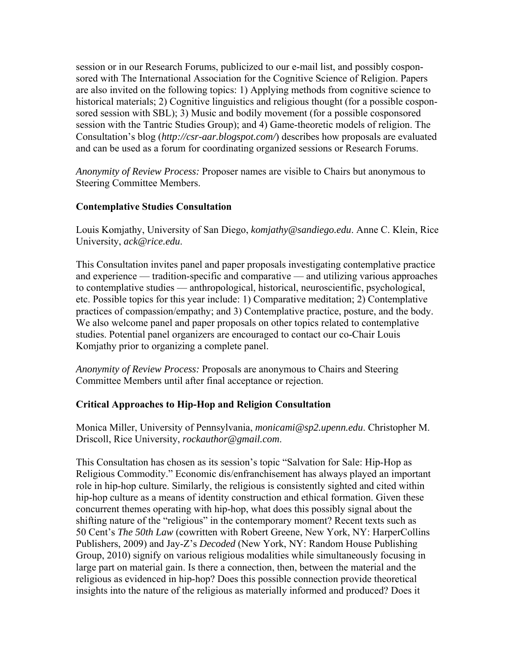session or in our Research Forums, publicized to our e-mail list, and possibly cosponsored with The International Association for the Cognitive Science of Religion. Papers are also invited on the following topics: 1) Applying methods from cognitive science to historical materials; 2) Cognitive linguistics and religious thought (for a possible cosponsored session with SBL); 3) Music and bodily movement (for a possible cosponsored session with the Tantric Studies Group); and 4) Game-theoretic models of religion. The Consultation's blog (*http://csr-aar.blogspot.com/*) describes how proposals are evaluated and can be used as a forum for coordinating organized sessions or Research Forums.

*Anonymity of Review Process:* Proposer names are visible to Chairs but anonymous to Steering Committee Members.

### **Contemplative Studies Consultation**

Louis Komjathy, University of San Diego, *komjathy@sandiego.edu*. Anne C. Klein, Rice University, *ack@rice.edu*.

This Consultation invites panel and paper proposals investigating contemplative practice and experience — tradition-specific and comparative — and utilizing various approaches to contemplative studies — anthropological, historical, neuroscientific, psychological, etc. Possible topics for this year include: 1) Comparative meditation; 2) Contemplative practices of compassion/empathy; and 3) Contemplative practice, posture, and the body. We also welcome panel and paper proposals on other topics related to contemplative studies. Potential panel organizers are encouraged to contact our co-Chair Louis Komjathy prior to organizing a complete panel.

*Anonymity of Review Process:* Proposals are anonymous to Chairs and Steering Committee Members until after final acceptance or rejection.

# **Critical Approaches to Hip-Hop and Religion Consultation**

Monica Miller, University of Pennsylvania, *monicami@sp2.upenn.edu*. Christopher M. Driscoll, Rice University, *rockauthor@gmail.com*.

This Consultation has chosen as its session's topic "Salvation for Sale: Hip-Hop as Religious Commodity." Economic dis/enfranchisement has always played an important role in hip-hop culture. Similarly, the religious is consistently sighted and cited within hip-hop culture as a means of identity construction and ethical formation. Given these concurrent themes operating with hip-hop, what does this possibly signal about the shifting nature of the "religious" in the contemporary moment? Recent texts such as 50 Cent's *The 50th Law* (cowritten with Robert Greene, New York, NY: HarperCollins Publishers, 2009) and Jay-Z's *Decoded* (New York, NY: Random House Publishing Group, 2010) signify on various religious modalities while simultaneously focusing in large part on material gain. Is there a connection, then, between the material and the religious as evidenced in hip-hop? Does this possible connection provide theoretical insights into the nature of the religious as materially informed and produced? Does it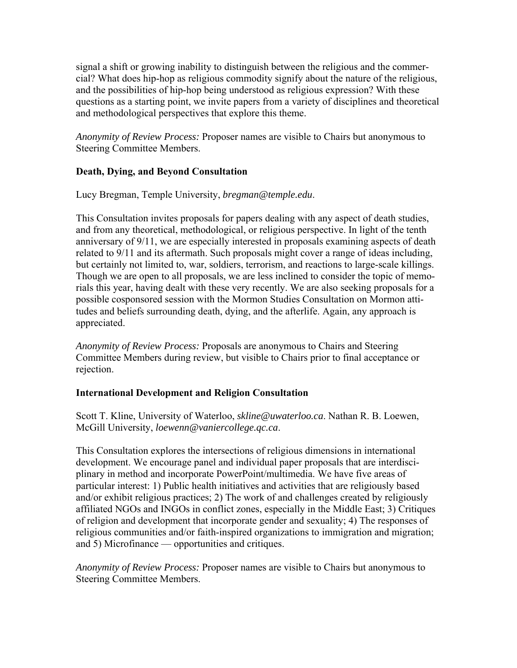signal a shift or growing inability to distinguish between the religious and the commercial? What does hip-hop as religious commodity signify about the nature of the religious, and the possibilities of hip-hop being understood as religious expression? With these questions as a starting point, we invite papers from a variety of disciplines and theoretical and methodological perspectives that explore this theme.

*Anonymity of Review Process:* Proposer names are visible to Chairs but anonymous to Steering Committee Members.

# **Death, Dying, and Beyond Consultation**

Lucy Bregman, Temple University, *bregman@temple.edu*.

This Consultation invites proposals for papers dealing with any aspect of death studies, and from any theoretical, methodological, or religious perspective. In light of the tenth anniversary of 9/11, we are especially interested in proposals examining aspects of death related to 9/11 and its aftermath. Such proposals might cover a range of ideas including, but certainly not limited to, war, soldiers, terrorism, and reactions to large-scale killings. Though we are open to all proposals, we are less inclined to consider the topic of memorials this year, having dealt with these very recently. We are also seeking proposals for a possible cosponsored session with the Mormon Studies Consultation on Mormon attitudes and beliefs surrounding death, dying, and the afterlife. Again, any approach is appreciated.

*Anonymity of Review Process:* Proposals are anonymous to Chairs and Steering Committee Members during review, but visible to Chairs prior to final acceptance or rejection.

# **International Development and Religion Consultation**

Scott T. Kline, University of Waterloo, *skline@uwaterloo.ca*. Nathan R. B. Loewen, McGill University, *loewenn@vaniercollege.qc.ca*.

This Consultation explores the intersections of religious dimensions in international development. We encourage panel and individual paper proposals that are interdisciplinary in method and incorporate PowerPoint/multimedia. We have five areas of particular interest: 1) Public health initiatives and activities that are religiously based and/or exhibit religious practices; 2) The work of and challenges created by religiously affiliated NGOs and INGOs in conflict zones, especially in the Middle East; 3) Critiques of religion and development that incorporate gender and sexuality; 4) The responses of religious communities and/or faith-inspired organizations to immigration and migration; and 5) Microfinance — opportunities and critiques.

*Anonymity of Review Process:* Proposer names are visible to Chairs but anonymous to Steering Committee Members.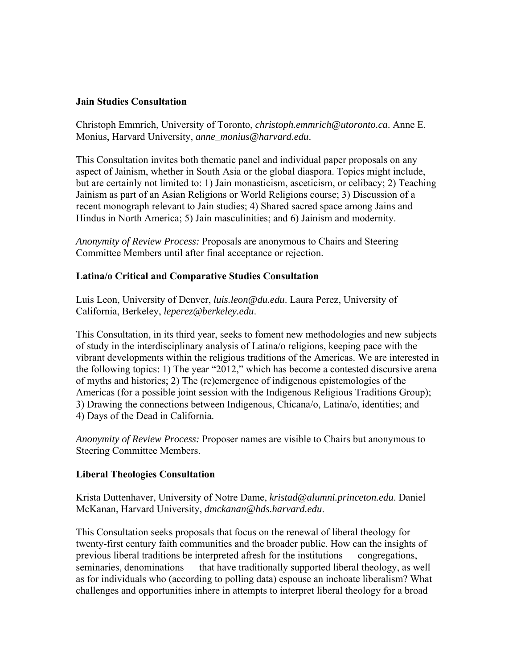#### **Jain Studies Consultation**

Christoph Emmrich, University of Toronto, *christoph.emmrich@utoronto.ca*. Anne E. Monius, Harvard University, *anne\_monius@harvard.edu*.

This Consultation invites both thematic panel and individual paper proposals on any aspect of Jainism, whether in South Asia or the global diaspora. Topics might include, but are certainly not limited to: 1) Jain monasticism, asceticism, or celibacy; 2) Teaching Jainism as part of an Asian Religions or World Religions course; 3) Discussion of a recent monograph relevant to Jain studies; 4) Shared sacred space among Jains and Hindus in North America; 5) Jain masculinities; and 6) Jainism and modernity.

*Anonymity of Review Process:* Proposals are anonymous to Chairs and Steering Committee Members until after final acceptance or rejection.

#### **Latina/o Critical and Comparative Studies Consultation**

Luis Leon, University of Denver, *luis.leon@du.edu*. Laura Perez, University of California, Berkeley, *leperez@berkeley.edu*.

This Consultation, in its third year, seeks to foment new methodologies and new subjects of study in the interdisciplinary analysis of Latina/o religions, keeping pace with the vibrant developments within the religious traditions of the Americas. We are interested in the following topics: 1) The year "2012," which has become a contested discursive arena of myths and histories; 2) The (re)emergence of indigenous epistemologies of the Americas (for a possible joint session with the Indigenous Religious Traditions Group); 3) Drawing the connections between Indigenous, Chicana/o, Latina/o, identities; and 4) Days of the Dead in California.

*Anonymity of Review Process:* Proposer names are visible to Chairs but anonymous to Steering Committee Members.

#### **Liberal Theologies Consultation**

Krista Duttenhaver, University of Notre Dame, *kristad@alumni.princeton.edu*. Daniel McKanan, Harvard University, *dmckanan@hds.harvard.edu*.

This Consultation seeks proposals that focus on the renewal of liberal theology for twenty-first century faith communities and the broader public. How can the insights of previous liberal traditions be interpreted afresh for the institutions — congregations, seminaries, denominations — that have traditionally supported liberal theology, as well as for individuals who (according to polling data) espouse an inchoate liberalism? What challenges and opportunities inhere in attempts to interpret liberal theology for a broad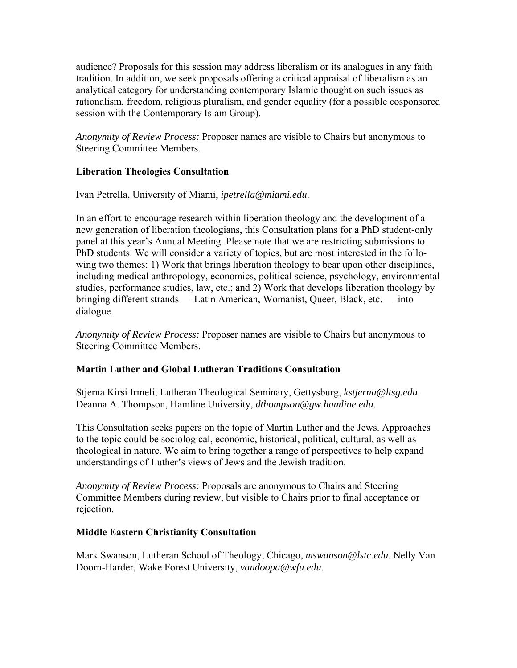audience? Proposals for this session may address liberalism or its analogues in any faith tradition. In addition, we seek proposals offering a critical appraisal of liberalism as an analytical category for understanding contemporary Islamic thought on such issues as rationalism, freedom, religious pluralism, and gender equality (for a possible cosponsored session with the Contemporary Islam Group).

*Anonymity of Review Process:* Proposer names are visible to Chairs but anonymous to Steering Committee Members.

# **Liberation Theologies Consultation**

Ivan Petrella, University of Miami, *ipetrella@miami.edu*.

In an effort to encourage research within liberation theology and the development of a new generation of liberation theologians, this Consultation plans for a PhD student-only panel at this year's Annual Meeting. Please note that we are restricting submissions to PhD students. We will consider a variety of topics, but are most interested in the following two themes: 1) Work that brings liberation theology to bear upon other disciplines, including medical anthropology, economics, political science, psychology, environmental studies, performance studies, law, etc.; and 2) Work that develops liberation theology by bringing different strands — Latin American, Womanist, Queer, Black, etc. — into dialogue.

*Anonymity of Review Process:* Proposer names are visible to Chairs but anonymous to Steering Committee Members.

# **Martin Luther and Global Lutheran Traditions Consultation**

Stjerna Kirsi Irmeli, Lutheran Theological Seminary, Gettysburg, *kstjerna@ltsg.edu*. Deanna A. Thompson, Hamline University, *dthompson@gw.hamline.edu*.

This Consultation seeks papers on the topic of Martin Luther and the Jews. Approaches to the topic could be sociological, economic, historical, political, cultural, as well as theological in nature. We aim to bring together a range of perspectives to help expand understandings of Luther's views of Jews and the Jewish tradition.

*Anonymity of Review Process:* Proposals are anonymous to Chairs and Steering Committee Members during review, but visible to Chairs prior to final acceptance or rejection.

#### **Middle Eastern Christianity Consultation**

Mark Swanson, Lutheran School of Theology, Chicago, *mswanson@lstc.edu*. Nelly Van Doorn-Harder, Wake Forest University, *vandoopa@wfu.edu*.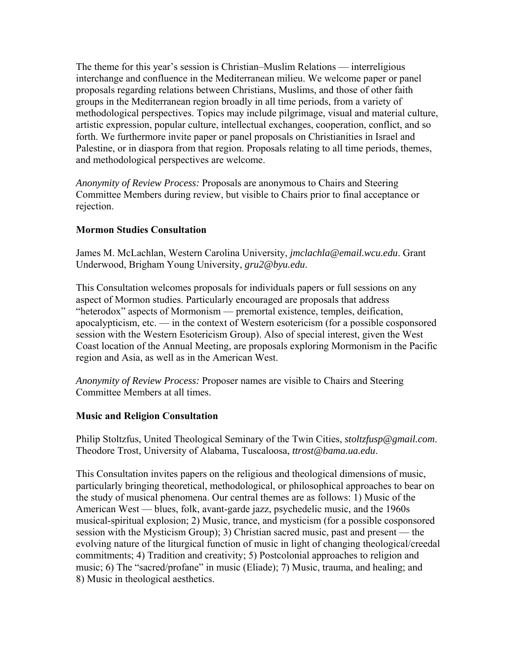The theme for this year's session is Christian–Muslim Relations — interreligious interchange and confluence in the Mediterranean milieu. We welcome paper or panel proposals regarding relations between Christians, Muslims, and those of other faith groups in the Mediterranean region broadly in all time periods, from a variety of methodological perspectives. Topics may include pilgrimage, visual and material culture, artistic expression, popular culture, intellectual exchanges, cooperation, conflict, and so forth. We furthermore invite paper or panel proposals on Christianities in Israel and Palestine, or in diaspora from that region. Proposals relating to all time periods, themes, and methodological perspectives are welcome.

*Anonymity of Review Process:* Proposals are anonymous to Chairs and Steering Committee Members during review, but visible to Chairs prior to final acceptance or rejection.

# **Mormon Studies Consultation**

James M. McLachlan, Western Carolina University, *jmclachla@email.wcu.edu*. Grant Underwood, Brigham Young University, *gru2@byu.edu*.

This Consultation welcomes proposals for individuals papers or full sessions on any aspect of Mormon studies. Particularly encouraged are proposals that address "heterodox" aspects of Mormonism — premortal existence, temples, deification, apocalypticism, etc. — in the context of Western esotericism (for a possible cosponsored session with the Western Esotericism Group). Also of special interest, given the West Coast location of the Annual Meeting, are proposals exploring Mormonism in the Pacific region and Asia, as well as in the American West.

*Anonymity of Review Process:* Proposer names are visible to Chairs and Steering Committee Members at all times.

# **Music and Religion Consultation**

Philip Stoltzfus, United Theological Seminary of the Twin Cities, *stoltzfusp@gmail.com*. Theodore Trost, University of Alabama, Tuscaloosa, *ttrost@bama.ua.edu*.

This Consultation invites papers on the religious and theological dimensions of music, particularly bringing theoretical, methodological, or philosophical approaches to bear on the study of musical phenomena. Our central themes are as follows: 1) Music of the American West — blues, folk, avant-garde jazz, psychedelic music, and the 1960s musical-spiritual explosion; 2) Music, trance, and mysticism (for a possible cosponsored session with the Mysticism Group); 3) Christian sacred music, past and present — the evolving nature of the liturgical function of music in light of changing theological/creedal commitments; 4) Tradition and creativity; 5) Postcolonial approaches to religion and music; 6) The "sacred/profane" in music (Eliade); 7) Music, trauma, and healing; and 8) Music in theological aesthetics.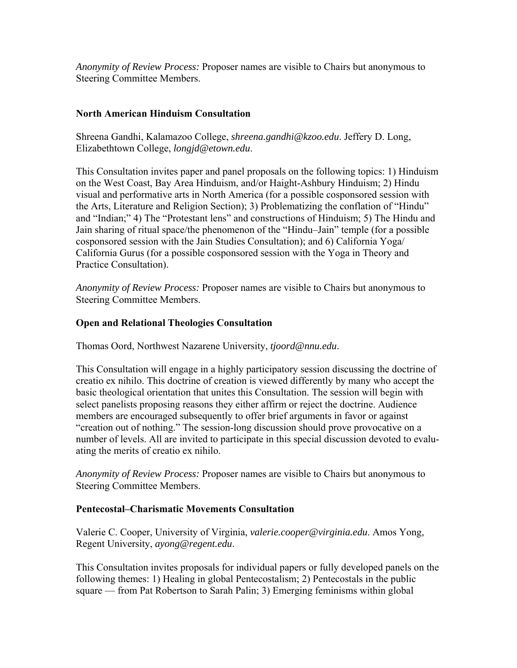*Anonymity of Review Process:* Proposer names are visible to Chairs but anonymous to Steering Committee Members.

### **North American Hinduism Consultation**

Shreena Gandhi, Kalamazoo College, *shreena.gandhi@kzoo.edu*. Jeffery D. Long, Elizabethtown College, *longjd@etown.edu*.

This Consultation invites paper and panel proposals on the following topics: 1) Hinduism on the West Coast, Bay Area Hinduism, and/or Haight-Ashbury Hinduism; 2) Hindu visual and performative arts in North America (for a possible cosponsored session with the Arts, Literature and Religion Section); 3) Problematizing the conflation of "Hindu" and "Indian;" 4) The "Protestant lens" and constructions of Hinduism; 5) The Hindu and Jain sharing of ritual space/the phenomenon of the "Hindu–Jain" temple (for a possible cosponsored session with the Jain Studies Consultation); and 6) California Yoga/ California Gurus (for a possible cosponsored session with the Yoga in Theory and Practice Consultation).

*Anonymity of Review Process:* Proposer names are visible to Chairs but anonymous to Steering Committee Members.

### **Open and Relational Theologies Consultation**

Thomas Oord, Northwest Nazarene University, *tjoord@nnu.edu*.

This Consultation will engage in a highly participatory session discussing the doctrine of creatio ex nihilo. This doctrine of creation is viewed differently by many who accept the basic theological orientation that unites this Consultation. The session will begin with select panelists proposing reasons they either affirm or reject the doctrine. Audience members are encouraged subsequently to offer brief arguments in favor or against "creation out of nothing." The session-long discussion should prove provocative on a number of levels. All are invited to participate in this special discussion devoted to evaluating the merits of creatio ex nihilo.

*Anonymity of Review Process:* Proposer names are visible to Chairs but anonymous to Steering Committee Members.

#### **Pentecostal–Charismatic Movements Consultation**

Valerie C. Cooper, University of Virginia, *valerie.cooper@virginia.edu*. Amos Yong, Regent University, *ayong@regent.edu*.

This Consultation invites proposals for individual papers or fully developed panels on the following themes: 1) Healing in global Pentecostalism; 2) Pentecostals in the public square — from Pat Robertson to Sarah Palin; 3) Emerging feminisms within global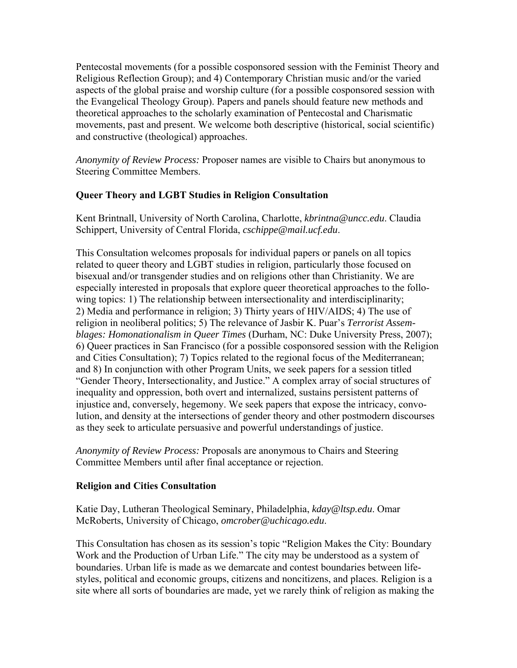Pentecostal movements (for a possible cosponsored session with the Feminist Theory and Religious Reflection Group); and 4) Contemporary Christian music and/or the varied aspects of the global praise and worship culture (for a possible cosponsored session with the Evangelical Theology Group). Papers and panels should feature new methods and theoretical approaches to the scholarly examination of Pentecostal and Charismatic movements, past and present. We welcome both descriptive (historical, social scientific) and constructive (theological) approaches.

*Anonymity of Review Process:* Proposer names are visible to Chairs but anonymous to Steering Committee Members.

### **Queer Theory and LGBT Studies in Religion Consultation**

Kent Brintnall, University of North Carolina, Charlotte, *kbrintna@uncc.edu*. Claudia Schippert, University of Central Florida, *cschippe@mail.ucf.edu*.

This Consultation welcomes proposals for individual papers or panels on all topics related to queer theory and LGBT studies in religion, particularly those focused on bisexual and/or transgender studies and on religions other than Christianity. We are especially interested in proposals that explore queer theoretical approaches to the following topics: 1) The relationship between intersectionality and interdisciplinarity; 2) Media and performance in religion; 3) Thirty years of HIV/AIDS; 4) The use of religion in neoliberal politics; 5) The relevance of Jasbir K. Puar's *Terrorist Assemblages: Homonationalism in Queer Times* (Durham, NC: Duke University Press, 2007); 6) Queer practices in San Francisco (for a possible cosponsored session with the Religion and Cities Consultation); 7) Topics related to the regional focus of the Mediterranean; and 8) In conjunction with other Program Units, we seek papers for a session titled "Gender Theory, Intersectionality, and Justice." A complex array of social structures of inequality and oppression, both overt and internalized, sustains persistent patterns of injustice and, conversely, hegemony. We seek papers that expose the intricacy, convolution, and density at the intersections of gender theory and other postmodern discourses as they seek to articulate persuasive and powerful understandings of justice.

*Anonymity of Review Process:* Proposals are anonymous to Chairs and Steering Committee Members until after final acceptance or rejection.

#### **Religion and Cities Consultation**

Katie Day, Lutheran Theological Seminary, Philadelphia, *kday@ltsp.edu*. Omar McRoberts, University of Chicago, *omcrober@uchicago.edu*.

This Consultation has chosen as its session's topic "Religion Makes the City: Boundary Work and the Production of Urban Life." The city may be understood as a system of boundaries. Urban life is made as we demarcate and contest boundaries between lifestyles, political and economic groups, citizens and noncitizens, and places. Religion is a site where all sorts of boundaries are made, yet we rarely think of religion as making the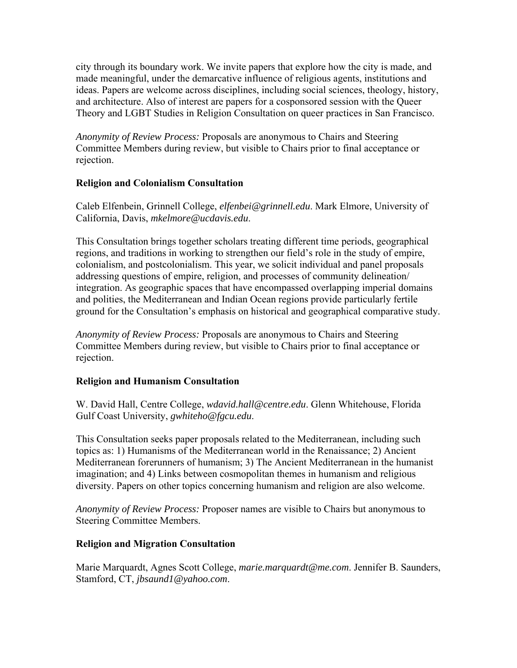city through its boundary work. We invite papers that explore how the city is made, and made meaningful, under the demarcative influence of religious agents, institutions and ideas. Papers are welcome across disciplines, including social sciences, theology, history, and architecture. Also of interest are papers for a cosponsored session with the Queer Theory and LGBT Studies in Religion Consultation on queer practices in San Francisco.

*Anonymity of Review Process:* Proposals are anonymous to Chairs and Steering Committee Members during review, but visible to Chairs prior to final acceptance or rejection.

# **Religion and Colonialism Consultation**

Caleb Elfenbein, Grinnell College, *elfenbei@grinnell.edu*. Mark Elmore, University of California, Davis, *mkelmore@ucdavis.edu*.

This Consultation brings together scholars treating different time periods, geographical regions, and traditions in working to strengthen our field's role in the study of empire, colonialism, and postcolonialism. This year, we solicit individual and panel proposals addressing questions of empire, religion, and processes of community delineation/ integration. As geographic spaces that have encompassed overlapping imperial domains and polities, the Mediterranean and Indian Ocean regions provide particularly fertile ground for the Consultation's emphasis on historical and geographical comparative study.

*Anonymity of Review Process:* Proposals are anonymous to Chairs and Steering Committee Members during review, but visible to Chairs prior to final acceptance or rejection.

# **Religion and Humanism Consultation**

W. David Hall, Centre College, *wdavid.hall@centre.edu*. Glenn Whitehouse, Florida Gulf Coast University, *gwhiteho@fgcu.edu*.

This Consultation seeks paper proposals related to the Mediterranean, including such topics as: 1) Humanisms of the Mediterranean world in the Renaissance; 2) Ancient Mediterranean forerunners of humanism; 3) The Ancient Mediterranean in the humanist imagination; and 4) Links between cosmopolitan themes in humanism and religious diversity. Papers on other topics concerning humanism and religion are also welcome.

*Anonymity of Review Process:* Proposer names are visible to Chairs but anonymous to Steering Committee Members.

# **Religion and Migration Consultation**

Marie Marquardt, Agnes Scott College, *marie.marquardt@me.com*. Jennifer B. Saunders, Stamford, CT, *jbsaund1@yahoo.com*.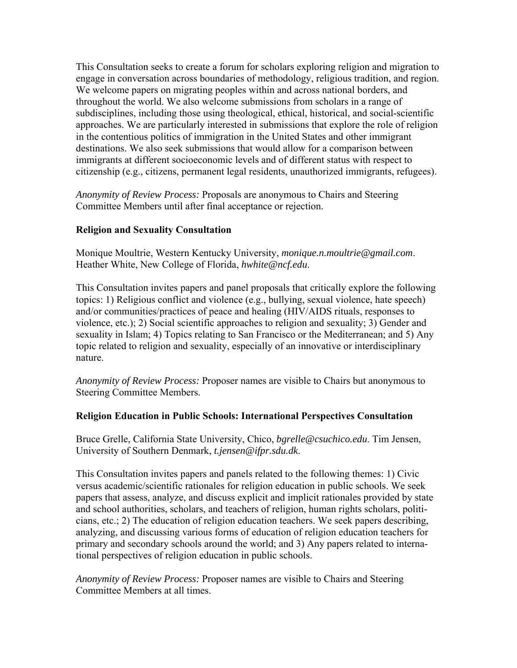This Consultation seeks to create a forum for scholars exploring religion and migration to engage in conversation across boundaries of methodology, religious tradition, and region. We welcome papers on migrating peoples within and across national borders, and throughout the world. We also welcome submissions from scholars in a range of subdisciplines, including those using theological, ethical, historical, and social-scientific approaches. We are particularly interested in submissions that explore the role of religion in the contentious politics of immigration in the United States and other immigrant destinations. We also seek submissions that would allow for a comparison between immigrants at different socioeconomic levels and of different status with respect to citizenship (e.g., citizens, permanent legal residents, unauthorized immigrants, refugees).

*Anonymity of Review Process:* Proposals are anonymous to Chairs and Steering Committee Members until after final acceptance or rejection.

### **Religion and Sexuality Consultation**

Monique Moultrie, Western Kentucky University, *monique.n.moultrie@gmail.com*. Heather White, New College of Florida, *hwhite@ncf.edu*.

This Consultation invites papers and panel proposals that critically explore the following topics: 1) Religious conflict and violence (e.g., bullying, sexual violence, hate speech) and/or communities/practices of peace and healing (HIV/AIDS rituals, responses to violence, etc.); 2) Social scientific approaches to religion and sexuality; 3) Gender and sexuality in Islam; 4) Topics relating to San Francisco or the Mediterranean; and 5) Any topic related to religion and sexuality, especially of an innovative or interdisciplinary nature.

*Anonymity of Review Process:* Proposer names are visible to Chairs but anonymous to Steering Committee Members.

#### **Religion Education in Public Schools: International Perspectives Consultation**

Bruce Grelle, California State University, Chico, *bgrelle@csuchico.edu*. Tim Jensen, University of Southern Denmark, *t.jensen@ifpr.sdu.dk*.

This Consultation invites papers and panels related to the following themes: 1) Civic versus academic/scientific rationales for religion education in public schools. We seek papers that assess, analyze, and discuss explicit and implicit rationales provided by state and school authorities, scholars, and teachers of religion, human rights scholars, politicians, etc.; 2) The education of religion education teachers. We seek papers describing, analyzing, and discussing various forms of education of religion education teachers for primary and secondary schools around the world; and 3) Any papers related to international perspectives of religion education in public schools.

*Anonymity of Review Process:* Proposer names are visible to Chairs and Steering Committee Members at all times.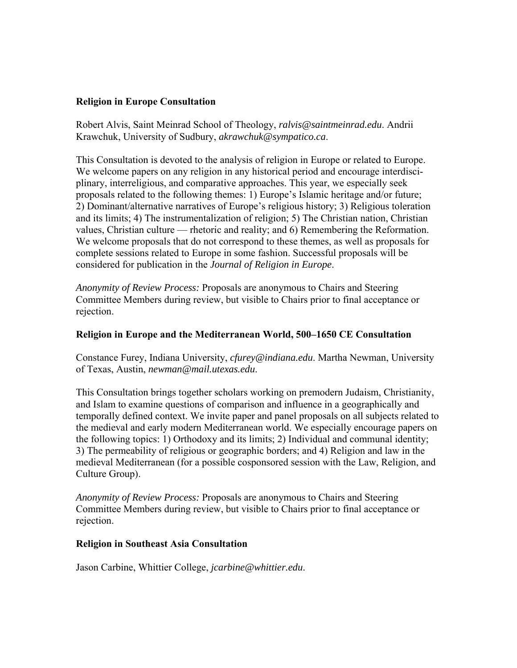#### **Religion in Europe Consultation**

Robert Alvis, Saint Meinrad School of Theology, *ralvis@saintmeinrad.edu*. Andrii Krawchuk, University of Sudbury, *akrawchuk@sympatico.ca*.

This Consultation is devoted to the analysis of religion in Europe or related to Europe. We welcome papers on any religion in any historical period and encourage interdisciplinary, interreligious, and comparative approaches. This year, we especially seek proposals related to the following themes: 1) Europe's Islamic heritage and/or future; 2) Dominant/alternative narratives of Europe's religious history; 3) Religious toleration and its limits; 4) The instrumentalization of religion; 5) The Christian nation, Christian values, Christian culture — rhetoric and reality; and 6) Remembering the Reformation. We welcome proposals that do not correspond to these themes, as well as proposals for complete sessions related to Europe in some fashion. Successful proposals will be considered for publication in the *Journal of Religion in Europe*.

*Anonymity of Review Process:* Proposals are anonymous to Chairs and Steering Committee Members during review, but visible to Chairs prior to final acceptance or rejection.

### **Religion in Europe and the Mediterranean World, 500–1650 CE Consultation**

Constance Furey, Indiana University, *cfurey@indiana.edu*. Martha Newman, University of Texas, Austin, *newman@mail.utexas.edu*.

This Consultation brings together scholars working on premodern Judaism, Christianity, and Islam to examine questions of comparison and influence in a geographically and temporally defined context. We invite paper and panel proposals on all subjects related to the medieval and early modern Mediterranean world. We especially encourage papers on the following topics: 1) Orthodoxy and its limits; 2) Individual and communal identity; 3) The permeability of religious or geographic borders; and 4) Religion and law in the medieval Mediterranean (for a possible cosponsored session with the Law, Religion, and Culture Group).

*Anonymity of Review Process:* Proposals are anonymous to Chairs and Steering Committee Members during review, but visible to Chairs prior to final acceptance or rejection.

#### **Religion in Southeast Asia Consultation**

Jason Carbine, Whittier College, *jcarbine@whittier.edu*.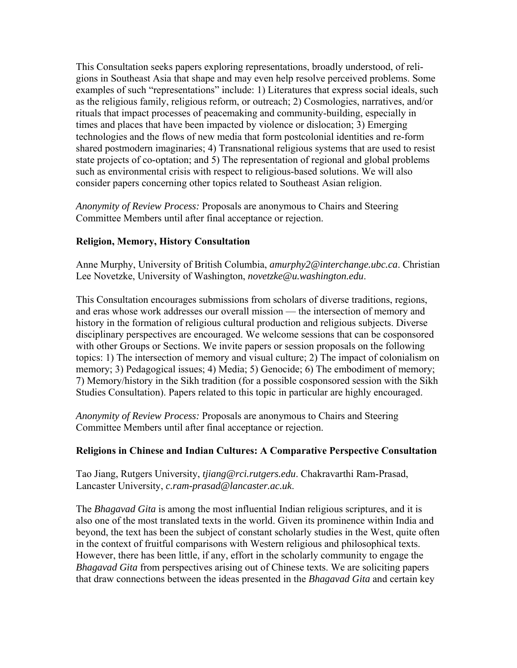This Consultation seeks papers exploring representations, broadly understood, of religions in Southeast Asia that shape and may even help resolve perceived problems. Some examples of such "representations" include: 1) Literatures that express social ideals, such as the religious family, religious reform, or outreach; 2) Cosmologies, narratives, and/or rituals that impact processes of peacemaking and community-building, especially in times and places that have been impacted by violence or dislocation; 3) Emerging technologies and the flows of new media that form postcolonial identities and re-form shared postmodern imaginaries; 4) Transnational religious systems that are used to resist state projects of co-optation; and 5) The representation of regional and global problems such as environmental crisis with respect to religious-based solutions. We will also consider papers concerning other topics related to Southeast Asian religion.

*Anonymity of Review Process:* Proposals are anonymous to Chairs and Steering Committee Members until after final acceptance or rejection.

# **Religion, Memory, History Consultation**

Anne Murphy, University of British Columbia, *amurphy2@interchange.ubc.ca*. Christian Lee Novetzke, University of Washington, *novetzke@u.washington.edu*.

This Consultation encourages submissions from scholars of diverse traditions, regions, and eras whose work addresses our overall mission — the intersection of memory and history in the formation of religious cultural production and religious subjects. Diverse disciplinary perspectives are encouraged. We welcome sessions that can be cosponsored with other Groups or Sections. We invite papers or session proposals on the following topics: 1) The intersection of memory and visual culture; 2) The impact of colonialism on memory; 3) Pedagogical issues; 4) Media; 5) Genocide; 6) The embodiment of memory; 7) Memory/history in the Sikh tradition (for a possible cosponsored session with the Sikh Studies Consultation). Papers related to this topic in particular are highly encouraged.

*Anonymity of Review Process:* Proposals are anonymous to Chairs and Steering Committee Members until after final acceptance or rejection.

#### **Religions in Chinese and Indian Cultures: A Comparative Perspective Consultation**

Tao Jiang, Rutgers University, *tjiang@rci.rutgers.edu*. Chakravarthi Ram-Prasad, Lancaster University, *c.ram-prasad@lancaster.ac.uk*.

The *Bhagavad Gita* is among the most influential Indian religious scriptures, and it is also one of the most translated texts in the world. Given its prominence within India and beyond, the text has been the subject of constant scholarly studies in the West, quite often in the context of fruitful comparisons with Western religious and philosophical texts. However, there has been little, if any, effort in the scholarly community to engage the *Bhagavad Gita* from perspectives arising out of Chinese texts. We are soliciting papers that draw connections between the ideas presented in the *Bhagavad Gita* and certain key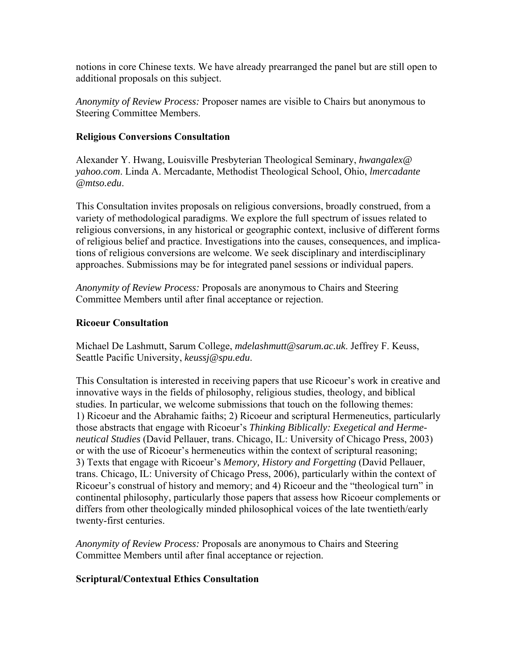notions in core Chinese texts. We have already prearranged the panel but are still open to additional proposals on this subject.

*Anonymity of Review Process:* Proposer names are visible to Chairs but anonymous to Steering Committee Members.

### **Religious Conversions Consultation**

Alexander Y. Hwang, Louisville Presbyterian Theological Seminary, *hwangalex@ yahoo.com*. Linda A. Mercadante, Methodist Theological School, Ohio, *lmercadante @mtso.edu*.

This Consultation invites proposals on religious conversions, broadly construed, from a variety of methodological paradigms. We explore the full spectrum of issues related to religious conversions, in any historical or geographic context, inclusive of different forms of religious belief and practice. Investigations into the causes, consequences, and implications of religious conversions are welcome. We seek disciplinary and interdisciplinary approaches. Submissions may be for integrated panel sessions or individual papers.

*Anonymity of Review Process:* Proposals are anonymous to Chairs and Steering Committee Members until after final acceptance or rejection.

### **Ricoeur Consultation**

Michael De Lashmutt, Sarum College, *mdelashmutt@sarum.ac.uk*. Jeffrey F. Keuss, Seattle Pacific University, *keussj@spu.edu*.

This Consultation is interested in receiving papers that use Ricoeur's work in creative and innovative ways in the fields of philosophy, religious studies, theology, and biblical studies. In particular, we welcome submissions that touch on the following themes: 1) Ricoeur and the Abrahamic faiths; 2) Ricoeur and scriptural Hermeneutics, particularly those abstracts that engage with Ricoeur's *Thinking Biblically: Exegetical and Hermeneutical Studies* (David Pellauer, trans. Chicago, IL: University of Chicago Press, 2003) or with the use of Ricoeur's hermeneutics within the context of scriptural reasoning; 3) Texts that engage with Ricoeur's *Memory, History and Forgetting* (David Pellauer, trans. Chicago, IL: University of Chicago Press, 2006), particularly within the context of Ricoeur's construal of history and memory; and 4) Ricoeur and the "theological turn" in continental philosophy, particularly those papers that assess how Ricoeur complements or differs from other theologically minded philosophical voices of the late twentieth/early twenty-first centuries.

*Anonymity of Review Process:* Proposals are anonymous to Chairs and Steering Committee Members until after final acceptance or rejection.

# **Scriptural/Contextual Ethics Consultation**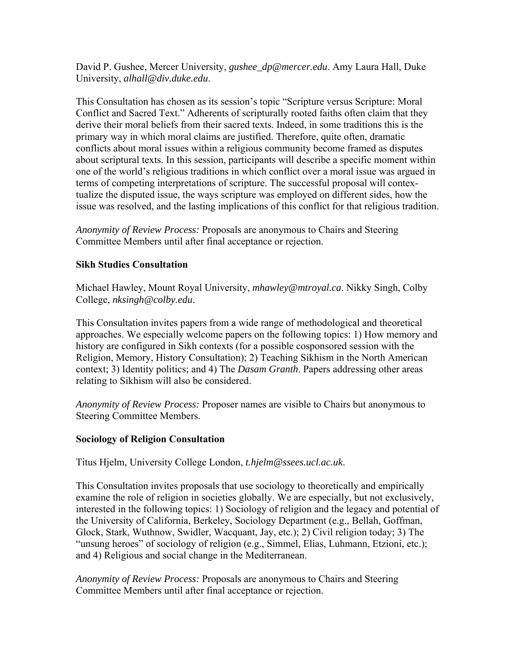David P. Gushee, Mercer University, *gushee\_dp@mercer.edu*. Amy Laura Hall, Duke University, *alhall@div.duke.edu*.

This Consultation has chosen as its session's topic "Scripture versus Scripture: Moral Conflict and Sacred Text." Adherents of scripturally rooted faiths often claim that they derive their moral beliefs from their sacred texts. Indeed, in some traditions this is the primary way in which moral claims are justified. Therefore, quite often, dramatic conflicts about moral issues within a religious community become framed as disputes about scriptural texts. In this session, participants will describe a specific moment within one of the world's religious traditions in which conflict over a moral issue was argued in terms of competing interpretations of scripture. The successful proposal will contextualize the disputed issue, the ways scripture was employed on different sides, how the issue was resolved, and the lasting implications of this conflict for that religious tradition.

*Anonymity of Review Process:* Proposals are anonymous to Chairs and Steering Committee Members until after final acceptance or rejection.

#### **Sikh Studies Consultation**

Michael Hawley, Mount Royal University, *mhawley@mtroyal.ca*. Nikky Singh, Colby College, *nksingh@colby.edu*.

This Consultation invites papers from a wide range of methodological and theoretical approaches. We especially welcome papers on the following topics: 1) How memory and history are configured in Sikh contexts (for a possible cosponsored session with the Religion, Memory, History Consultation); 2) Teaching Sikhism in the North American context; 3) Identity politics; and 4) The *Dasam Granth*. Papers addressing other areas relating to Sikhism will also be considered.

*Anonymity of Review Process:* Proposer names are visible to Chairs but anonymous to Steering Committee Members.

#### **Sociology of Religion Consultation**

Titus Hjelm, University College London, *t.hjelm@ssees.ucl.ac.uk*.

This Consultation invites proposals that use sociology to theoretically and empirically examine the role of religion in societies globally. We are especially, but not exclusively, interested in the following topics: 1) Sociology of religion and the legacy and potential of the University of California, Berkeley, Sociology Department (e.g., Bellah, Goffman, Glock, Stark, Wuthnow, Swidler, Wacquant, Jay, etc.); 2) Civil religion today; 3) The "unsung heroes" of sociology of religion (e.g., Simmel, Elias, Luhmann, Etzioni, etc.); and 4) Religious and social change in the Mediterranean.

*Anonymity of Review Process:* Proposals are anonymous to Chairs and Steering Committee Members until after final acceptance or rejection.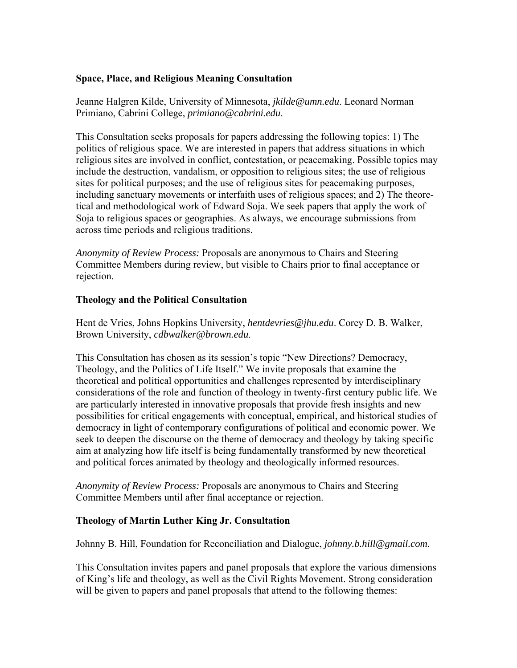### **Space, Place, and Religious Meaning Consultation**

Jeanne Halgren Kilde, University of Minnesota, *jkilde@umn.edu*. Leonard Norman Primiano, Cabrini College, *primiano@cabrini.edu*.

This Consultation seeks proposals for papers addressing the following topics: 1) The politics of religious space. We are interested in papers that address situations in which religious sites are involved in conflict, contestation, or peacemaking. Possible topics may include the destruction, vandalism, or opposition to religious sites; the use of religious sites for political purposes; and the use of religious sites for peacemaking purposes, including sanctuary movements or interfaith uses of religious spaces; and 2) The theoretical and methodological work of Edward Soja. We seek papers that apply the work of Soja to religious spaces or geographies. As always, we encourage submissions from across time periods and religious traditions.

*Anonymity of Review Process:* Proposals are anonymous to Chairs and Steering Committee Members during review, but visible to Chairs prior to final acceptance or rejection.

#### **Theology and the Political Consultation**

Hent de Vries, Johns Hopkins University, *hentdevries@jhu.edu*. Corey D. B. Walker, Brown University, *cdbwalker@brown.edu*.

This Consultation has chosen as its session's topic "New Directions? Democracy, Theology, and the Politics of Life Itself." We invite proposals that examine the theoretical and political opportunities and challenges represented by interdisciplinary considerations of the role and function of theology in twenty-first century public life. We are particularly interested in innovative proposals that provide fresh insights and new possibilities for critical engagements with conceptual, empirical, and historical studies of democracy in light of contemporary configurations of political and economic power. We seek to deepen the discourse on the theme of democracy and theology by taking specific aim at analyzing how life itself is being fundamentally transformed by new theoretical and political forces animated by theology and theologically informed resources.

*Anonymity of Review Process:* Proposals are anonymous to Chairs and Steering Committee Members until after final acceptance or rejection.

# **Theology of Martin Luther King Jr. Consultation**

Johnny B. Hill, Foundation for Reconciliation and Dialogue, *johnny.b.hill@gmail.com*.

This Consultation invites papers and panel proposals that explore the various dimensions of King's life and theology, as well as the Civil Rights Movement. Strong consideration will be given to papers and panel proposals that attend to the following themes: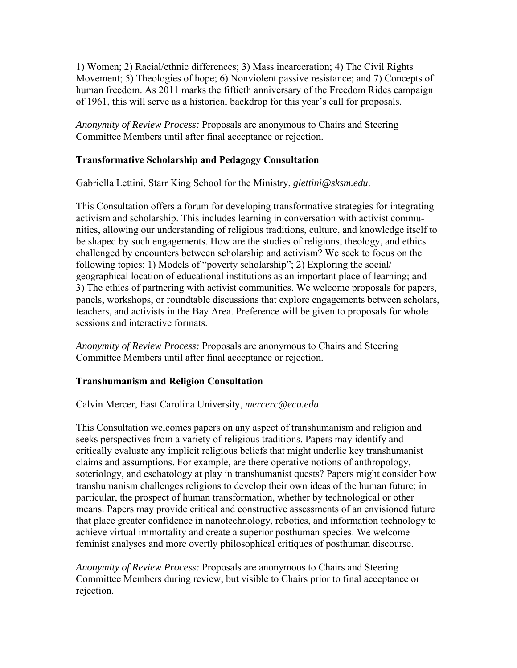1) Women; 2) Racial/ethnic differences; 3) Mass incarceration; 4) The Civil Rights Movement; 5) Theologies of hope; 6) Nonviolent passive resistance; and 7) Concepts of human freedom. As 2011 marks the fiftieth anniversary of the Freedom Rides campaign of 1961, this will serve as a historical backdrop for this year's call for proposals.

*Anonymity of Review Process:* Proposals are anonymous to Chairs and Steering Committee Members until after final acceptance or rejection.

### **Transformative Scholarship and Pedagogy Consultation**

Gabriella Lettini, Starr King School for the Ministry, *glettini@sksm.edu*.

This Consultation offers a forum for developing transformative strategies for integrating activism and scholarship. This includes learning in conversation with activist communities, allowing our understanding of religious traditions, culture, and knowledge itself to be shaped by such engagements. How are the studies of religions, theology, and ethics challenged by encounters between scholarship and activism? We seek to focus on the following topics: 1) Models of "poverty scholarship"; 2) Exploring the social/ geographical location of educational institutions as an important place of learning; and 3) The ethics of partnering with activist communities. We welcome proposals for papers, panels, workshops, or roundtable discussions that explore engagements between scholars, teachers, and activists in the Bay Area. Preference will be given to proposals for whole sessions and interactive formats.

*Anonymity of Review Process:* Proposals are anonymous to Chairs and Steering Committee Members until after final acceptance or rejection.

#### **Transhumanism and Religion Consultation**

Calvin Mercer, East Carolina University, *mercerc@ecu.edu*.

This Consultation welcomes papers on any aspect of transhumanism and religion and seeks perspectives from a variety of religious traditions. Papers may identify and critically evaluate any implicit religious beliefs that might underlie key transhumanist claims and assumptions. For example, are there operative notions of anthropology, soteriology, and eschatology at play in transhumanist quests? Papers might consider how transhumanism challenges religions to develop their own ideas of the human future; in particular, the prospect of human transformation, whether by technological or other means. Papers may provide critical and constructive assessments of an envisioned future that place greater confidence in nanotechnology, robotics, and information technology to achieve virtual immortality and create a superior posthuman species. We welcome feminist analyses and more overtly philosophical critiques of posthuman discourse.

*Anonymity of Review Process:* Proposals are anonymous to Chairs and Steering Committee Members during review, but visible to Chairs prior to final acceptance or rejection.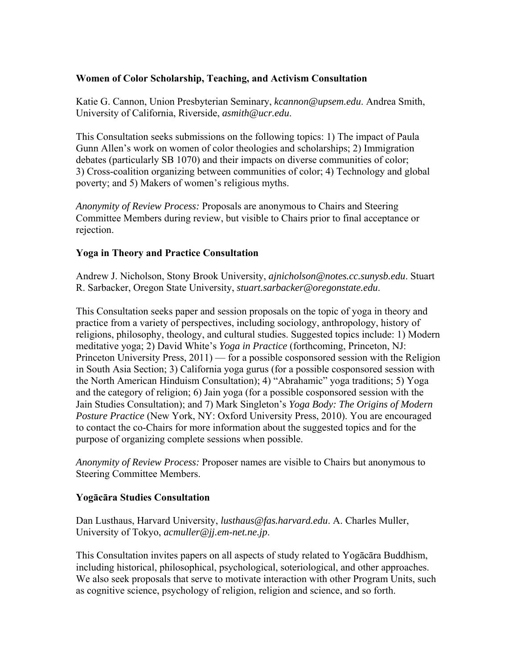### **Women of Color Scholarship, Teaching, and Activism Consultation**

Katie G. Cannon, Union Presbyterian Seminary, *kcannon@upsem.edu*. Andrea Smith, University of California, Riverside, *asmith@ucr.edu*.

This Consultation seeks submissions on the following topics: 1) The impact of Paula Gunn Allen's work on women of color theologies and scholarships; 2) Immigration debates (particularly SB 1070) and their impacts on diverse communities of color; 3) Cross-coalition organizing between communities of color; 4) Technology and global poverty; and 5) Makers of women's religious myths.

*Anonymity of Review Process:* Proposals are anonymous to Chairs and Steering Committee Members during review, but visible to Chairs prior to final acceptance or rejection.

### **Yoga in Theory and Practice Consultation**

Andrew J. Nicholson, Stony Brook University, *ajnicholson@notes.cc.sunysb.edu*. Stuart R. Sarbacker, Oregon State University, *stuart.sarbacker@oregonstate.edu*.

This Consultation seeks paper and session proposals on the topic of yoga in theory and practice from a variety of perspectives, including sociology, anthropology, history of religions, philosophy, theology, and cultural studies. Suggested topics include: 1) Modern meditative yoga; 2) David White's *Yoga in Practice* (forthcoming, Princeton, NJ: Princeton University Press, 2011) — for a possible cosponsored session with the Religion in South Asia Section; 3) California yoga gurus (for a possible cosponsored session with the North American Hinduism Consultation); 4) "Abrahamic" yoga traditions; 5) Yoga and the category of religion; 6) Jain yoga (for a possible cosponsored session with the Jain Studies Consultation); and 7) Mark Singleton's *Yoga Body: The Origins of Modern Posture Practice* (New York, NY: Oxford University Press, 2010). You are encouraged to contact the co-Chairs for more information about the suggested topics and for the purpose of organizing complete sessions when possible.

*Anonymity of Review Process:* Proposer names are visible to Chairs but anonymous to Steering Committee Members.

#### **Yogācāra Studies Consultation**

Dan Lusthaus, Harvard University, *lusthaus@fas.harvard.edu*. A. Charles Muller, University of Tokyo, *acmuller@jj.em-net.ne.jp*.

This Consultation invites papers on all aspects of study related to Yogācāra Buddhism, including historical, philosophical, psychological, soteriological, and other approaches. We also seek proposals that serve to motivate interaction with other Program Units, such as cognitive science, psychology of religion, religion and science, and so forth.